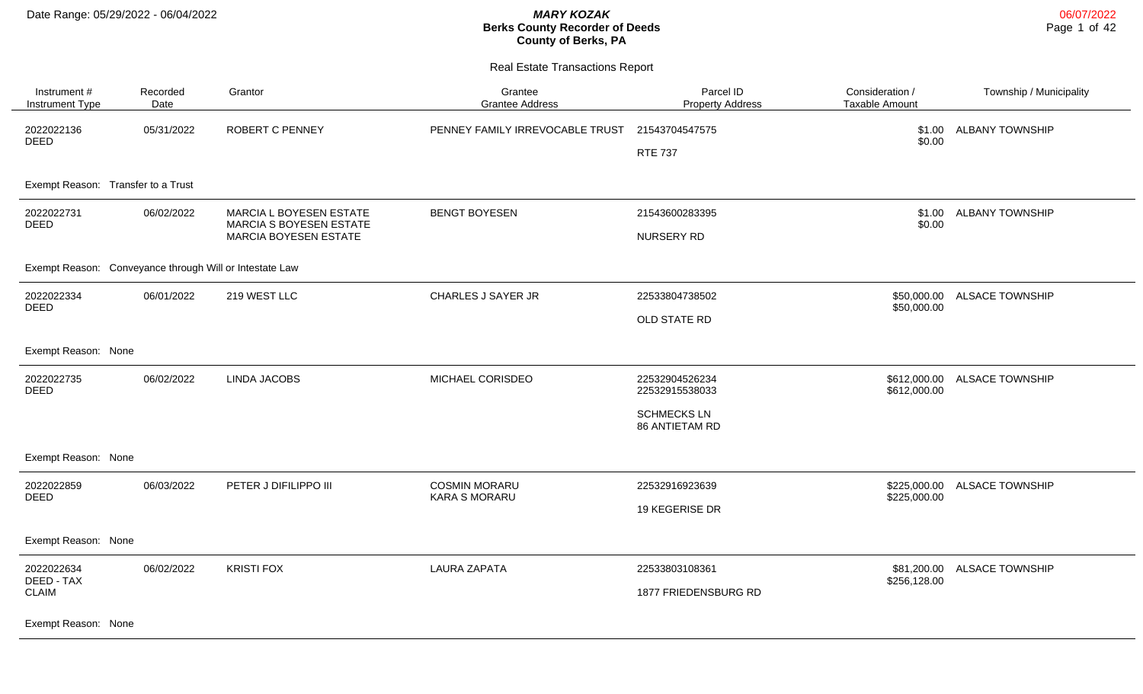| Instrument #<br>Instrument Type         | Recorded<br>Date                                        | Grantor                      | Grantee<br><b>Grantee Address</b>            | Parcel ID<br><b>Property Address</b> | Consideration /<br>Taxable Amount | Township / Municipality |
|-----------------------------------------|---------------------------------------------------------|------------------------------|----------------------------------------------|--------------------------------------|-----------------------------------|-------------------------|
| 2022022136                              | 05/31/2022                                              | <b>ROBERT C PENNEY</b>       | PENNEY FAMILY IRREVOCABLE TRUST              | 21543704547575                       | \$1.00                            | <b>ALBANY TOWNSHIP</b>  |
| DEED                                    |                                                         |                              |                                              | <b>RTE 737</b>                       | \$0.00                            |                         |
| Exempt Reason: Transfer to a Trust      |                                                         |                              |                                              |                                      |                                   |                         |
| 06/02/2022<br>2022022731<br><b>DEED</b> | MARCIA L BOYESEN ESTATE<br>MARCIA S BOYESEN ESTATE      | <b>BENGT BOYESEN</b>         | 21543600283395                               | \$1.00<br>\$0.00                     | <b>ALBANY TOWNSHIP</b>            |                         |
|                                         |                                                         | <b>MARCIA BOYESEN ESTATE</b> |                                              | NURSERY RD                           |                                   |                         |
|                                         | Exempt Reason: Conveyance through Will or Intestate Law |                              |                                              |                                      |                                   |                         |
| 2022022334<br><b>DEED</b>               | 06/01/2022                                              | 219 WEST LLC                 | CHARLES J SAYER JR                           | 22533804738502                       | \$50,000.00<br>\$50,000.00        | <b>ALSACE TOWNSHIP</b>  |
|                                         |                                                         |                              |                                              | OLD STATE RD                         |                                   |                         |
| Exempt Reason: None                     |                                                         |                              |                                              |                                      |                                   |                         |
| 2022022735<br><b>DEED</b>               | 06/02/2022                                              | <b>LINDA JACOBS</b>          | MICHAEL CORISDEO                             | 22532904526234<br>22532915538033     | \$612,000.00<br>\$612,000.00      | <b>ALSACE TOWNSHIP</b>  |
|                                         |                                                         |                              |                                              | <b>SCHMECKS LN</b><br>86 ANTIETAM RD |                                   |                         |
| Exempt Reason: None                     |                                                         |                              |                                              |                                      |                                   |                         |
| 2022022859<br><b>DEED</b>               | 06/03/2022                                              | PETER J DIFILIPPO III        | <b>COSMIN MORARU</b><br><b>KARA S MORARU</b> | 22532916923639                       | \$225,000.00<br>\$225,000.00      | <b>ALSACE TOWNSHIP</b>  |
|                                         |                                                         |                              |                                              | 19 KEGERISE DR                       |                                   |                         |
| Exempt Reason: None                     |                                                         |                              |                                              |                                      |                                   |                         |
| 2022022634                              | 06/02/2022                                              | <b>KRISTI FOX</b>            | <b>LAURA ZAPATA</b>                          | 22533803108361                       | \$81,200.00                       | <b>ALSACE TOWNSHIP</b>  |
| DEED - TAX<br><b>CLAIM</b>              |                                                         |                              |                                              | 1877 FRIEDENSBURG RD                 | \$256,128.00                      |                         |
| Exempt Reason: None                     |                                                         |                              |                                              |                                      |                                   |                         |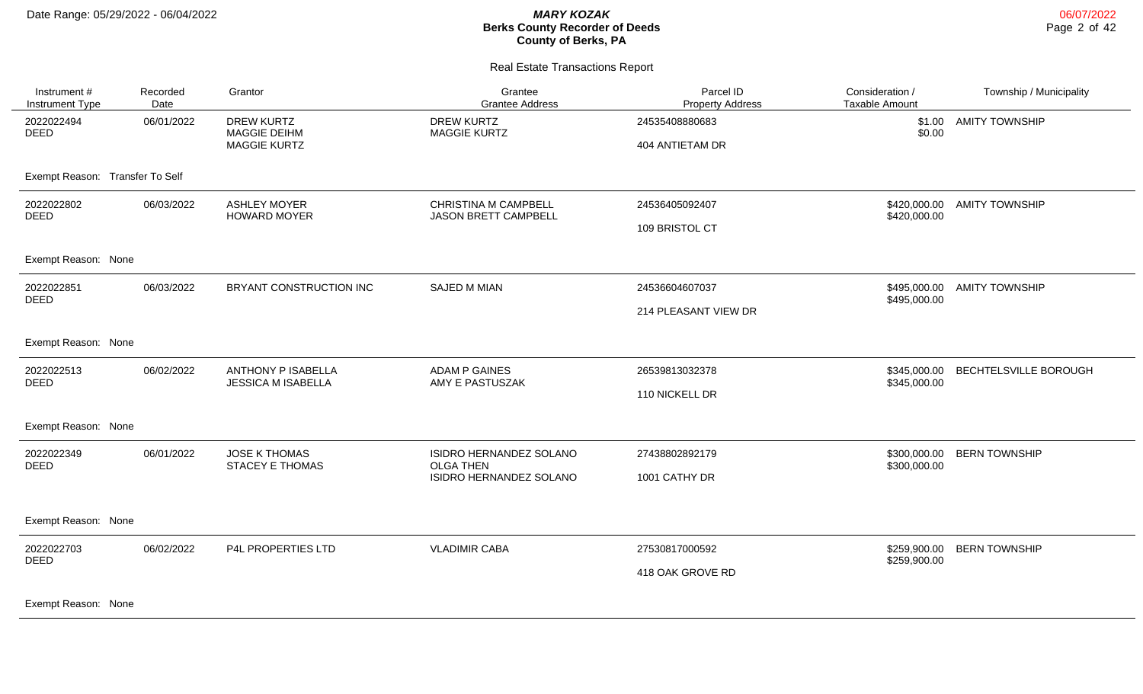06/07/2022 Page 2 of 42

#### Real Estate Transactions Report

| Instrument #<br><b>Instrument Type</b> | Recorded<br>Date | Grantor                                                         | Grantee<br><b>Grantee Address</b>                   | Parcel ID<br><b>Property Address</b> | Consideration /<br><b>Taxable Amount</b> | Township / Municipality |
|----------------------------------------|------------------|-----------------------------------------------------------------|-----------------------------------------------------|--------------------------------------|------------------------------------------|-------------------------|
| 2022022494<br><b>DEED</b>              | 06/01/2022       | <b>DREW KURTZ</b><br><b>MAGGIE DEIHM</b><br><b>MAGGIE KURTZ</b> | <b>DREW KURTZ</b><br><b>MAGGIE KURTZ</b>            | 24535408880683<br>404 ANTIETAM DR    | \$0.00                                   | \$1.00 AMITY TOWNSHIP   |
| Exempt Reason: Transfer To Self        |                  |                                                                 |                                                     |                                      |                                          |                         |
| 2022022802<br><b>DEED</b>              | 06/03/2022       | <b>ASHLEY MOYER</b><br><b>HOWARD MOYER</b>                      | <b>CHRISTINA M CAMPBELL</b><br>JASON BRETT CAMPBELL | 24536405092407                       | \$420,000.00<br>\$420,000.00             | <b>AMITY TOWNSHIP</b>   |
|                                        |                  |                                                                 |                                                     | 109 BRISTOL CT                       |                                          |                         |
| Exempt Reason: None                    |                  |                                                                 |                                                     |                                      |                                          |                         |
| 2022022851<br><b>DEED</b>              | 06/03/2022       | BRYANT CONSTRUCTION INC                                         | <b>SAJED M MIAN</b>                                 | 24536604607037                       | \$495,000.00<br>\$495,000.00             | <b>AMITY TOWNSHIP</b>   |
|                                        |                  |                                                                 |                                                     | 214 PLEASANT VIEW DR                 |                                          |                         |
| Exempt Reason: None                    |                  |                                                                 |                                                     |                                      |                                          |                         |
| 2022022513<br><b>DEED</b>              | 06/02/2022       | <b>ANTHONY P ISABELLA</b><br><b>JESSICA M ISABELLA</b>          | <b>ADAM P GAINES</b><br>AMY E PASTUSZAK             | 26539813032378                       | \$345,000.00<br>\$345,000.00             | BECHTELSVILLE BOROUGH   |
|                                        |                  |                                                                 |                                                     | 110 NICKELL DR                       |                                          |                         |
| Exempt Reason: None                    |                  |                                                                 |                                                     |                                      |                                          |                         |
| 2022022349<br><b>DEED</b>              | 06/01/2022       | <b>JOSE K THOMAS</b><br><b>STACEY E THOMAS</b>                  | ISIDRO HERNANDEZ SOLANO<br><b>OLGA THEN</b>         | 27438802892179                       | \$300,000.00<br>\$300,000.00             | <b>BERN TOWNSHIP</b>    |
|                                        |                  |                                                                 | ISIDRO HERNANDEZ SOLANO                             | 1001 CATHY DR                        |                                          |                         |
| Exempt Reason: None                    |                  |                                                                 |                                                     |                                      |                                          |                         |
| 2022022703<br><b>DEED</b>              | 06/02/2022       | P4L PROPERTIES LTD                                              | <b>VLADIMIR CABA</b>                                | 27530817000592                       | \$259,900.00<br>\$259,900.00             | <b>BERN TOWNSHIP</b>    |
|                                        |                  |                                                                 |                                                     | 418 OAK GROVE RD                     |                                          |                         |
|                                        |                  |                                                                 |                                                     |                                      |                                          |                         |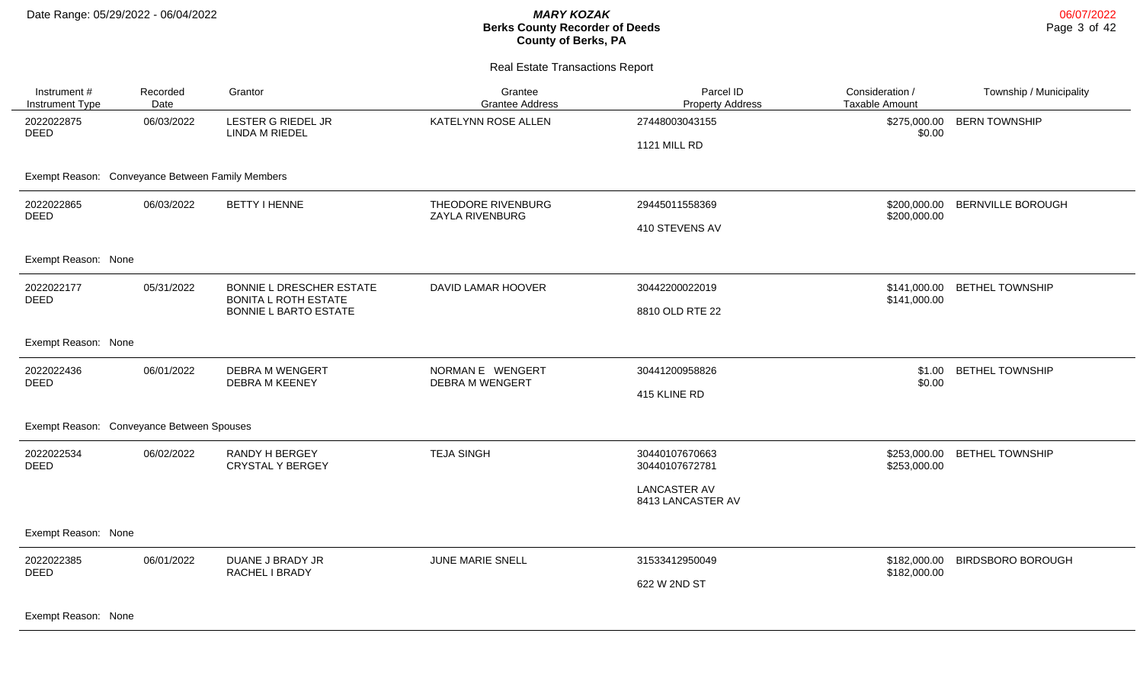Real Estate Transactions Report

| Instrument #<br><b>Instrument Type</b>           | Recorded<br>Date | Grantor                                                 | Grantee<br><b>Grantee Address</b>     | Parcel ID<br><b>Property Address</b>     | Consideration /<br><b>Taxable Amount</b> | Township / Municipality  |
|--------------------------------------------------|------------------|---------------------------------------------------------|---------------------------------------|------------------------------------------|------------------------------------------|--------------------------|
| 2022022875<br><b>DEED</b>                        | 06/03/2022       | LESTER G RIEDEL JR<br><b>LINDA M RIEDEL</b>             | KATELYNN ROSE ALLEN                   | 27448003043155                           | \$275,000.00<br>\$0.00                   | <b>BERN TOWNSHIP</b>     |
|                                                  |                  |                                                         |                                       | <b>1121 MILL RD</b>                      |                                          |                          |
| Exempt Reason: Conveyance Between Family Members |                  |                                                         |                                       |                                          |                                          |                          |
| 2022022865<br><b>DEED</b>                        | 06/03/2022       | <b>BETTY I HENNE</b>                                    | THEODORE RIVENBURG<br>ZAYLA RIVENBURG | 29445011558369                           | \$200,000.00<br>\$200,000.00             | <b>BERNVILLE BOROUGH</b> |
|                                                  |                  |                                                         |                                       | 410 STEVENS AV                           |                                          |                          |
| Exempt Reason: None                              |                  |                                                         |                                       |                                          |                                          |                          |
| 2022022177<br><b>DEED</b>                        | 05/31/2022       | BONNIE L DRESCHER ESTATE<br><b>BONITA L ROTH ESTATE</b> | DAVID LAMAR HOOVER                    | 30442200022019                           | \$141,000.00<br>\$141,000.00             | <b>BETHEL TOWNSHIP</b>   |
|                                                  |                  | <b>BONNIE L BARTO ESTATE</b>                            |                                       | 8810 OLD RTE 22                          |                                          |                          |
| Exempt Reason: None                              |                  |                                                         |                                       |                                          |                                          |                          |
| 2022022436                                       | 06/01/2022       | <b>DEBRA M WENGERT</b>                                  | NORMAN E WENGERT                      | 30441200958826                           | \$1.00                                   | <b>BETHEL TOWNSHIP</b>   |
|                                                  |                  |                                                         |                                       | 415 KLINE RD                             |                                          |                          |
| Exempt Reason: Conveyance Between Spouses        |                  |                                                         |                                       |                                          |                                          |                          |
| 2022022534<br><b>DEED</b>                        | 06/02/2022       | RANDY H BERGEY<br><b>CRYSTAL Y BERGEY</b>               | <b>TEJA SINGH</b>                     | 30440107670663<br>30440107672781         | \$253,000.00<br>\$253,000.00             | <b>BETHEL TOWNSHIP</b>   |
|                                                  |                  |                                                         |                                       | <b>LANCASTER AV</b><br>8413 LANCASTER AV |                                          |                          |
| Exempt Reason: None                              |                  |                                                         |                                       |                                          |                                          |                          |
| 2022022385                                       | 06/01/2022       | DUANE J BRADY JR                                        | JUNE MARIE SNELL                      | 31533412950049                           | \$182,000.00                             | <b>BIRDSBORO BOROUGH</b> |
|                                                  |                  |                                                         |                                       | 622 W 2ND ST                             |                                          |                          |
| <b>DEED</b><br><b>DEED</b>                       |                  | <b>DEBRA M KEENEY</b><br>RACHEL I BRADY                 | <b>DEBRA M WENGERT</b>                |                                          | \$0.00<br>\$182,000.00                   |                          |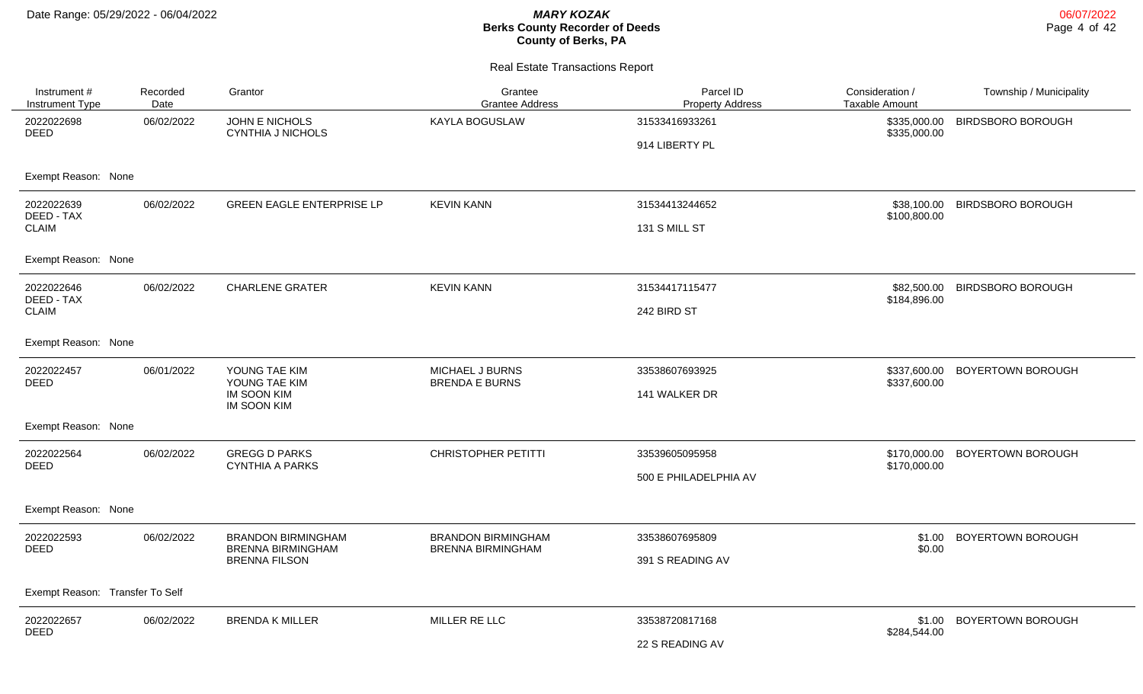| Instrument #<br><b>Instrument Type</b> | Recorded<br>Date | Grantor                                               | Grantee<br><b>Grantee Address</b>        | Parcel ID<br><b>Property Address</b> | Consideration /<br><b>Taxable Amount</b> | Township / Municipality  |
|----------------------------------------|------------------|-------------------------------------------------------|------------------------------------------|--------------------------------------|------------------------------------------|--------------------------|
| 2022022698<br><b>DEED</b>              | 06/02/2022       | JOHN E NICHOLS<br><b>CYNTHIA J NICHOLS</b>            | KAYLA BOGUSLAW                           | 31533416933261                       | \$335,000.00<br>\$335,000.00             | <b>BIRDSBORO BOROUGH</b> |
|                                        |                  |                                                       |                                          | 914 LIBERTY PL                       |                                          |                          |
| Exempt Reason: None                    |                  |                                                       |                                          |                                      |                                          |                          |
| 2022022639<br>DEED - TAX               | 06/02/2022       | <b>GREEN EAGLE ENTERPRISE LP</b>                      | <b>KEVIN KANN</b>                        | 31534413244652                       | \$38,100.00<br>\$100,800.00              | <b>BIRDSBORO BOROUGH</b> |
| <b>CLAIM</b>                           |                  |                                                       |                                          | 131 S MILL ST                        |                                          |                          |
| Exempt Reason: None                    |                  |                                                       |                                          |                                      |                                          |                          |
| 2022022646<br>DEED - TAX               | 06/02/2022       | <b>CHARLENE GRATER</b>                                | <b>KEVIN KANN</b>                        | 31534417115477                       | \$82,500.00<br>\$184,896.00              | <b>BIRDSBORO BOROUGH</b> |
| <b>CLAIM</b>                           |                  |                                                       |                                          | 242 BIRD ST                          |                                          |                          |
| Exempt Reason: None                    |                  |                                                       |                                          |                                      |                                          |                          |
| 2022022457<br><b>DEED</b>              | 06/01/2022       | YOUNG TAE KIM<br>YOUNG TAE KIM                        | MICHAEL J BURNS<br><b>BRENDA E BURNS</b> | 33538607693925                       | \$337,600.00<br>\$337,600.00             | BOYERTOWN BOROUGH        |
|                                        |                  | <b>IM SOON KIM</b><br><b>IM SOON KIM</b>              |                                          | 141 WALKER DR                        |                                          |                          |
| Exempt Reason: None                    |                  |                                                       |                                          |                                      |                                          |                          |
| 2022022564<br><b>DEED</b>              | 06/02/2022       | <b>GREGG D PARKS</b><br><b>CYNTHIA A PARKS</b>        | <b>CHRISTOPHER PETITTI</b>               | 33539605095958                       | \$170,000.00<br>\$170,000.00             | BOYERTOWN BOROUGH        |
|                                        |                  |                                                       |                                          | 500 E PHILADELPHIA AV                |                                          |                          |
| Exempt Reason: None                    |                  |                                                       |                                          |                                      |                                          |                          |
| 2022022593<br><b>DEED</b>              | 06/02/2022       | <b>BRANDON BIRMINGHAM</b><br><b>BRENNA BIRMINGHAM</b> | <b>BRANDON BIRMINGHAM</b>                | 33538607695809                       | \$1.00<br>\$0.00                         | BOYERTOWN BOROUGH        |
|                                        |                  | <b>BRENNA FILSON</b>                                  | <b>BRENNA BIRMINGHAM</b>                 | 391 S READING AV                     |                                          |                          |
| Exempt Reason: Transfer To Self        |                  |                                                       |                                          |                                      |                                          |                          |
| 2022022657                             | 06/02/2022       | <b>BRENDA K MILLER</b>                                | MILLER RE LLC                            | 33538720817168                       | \$1.00                                   | BOYERTOWN BOROUGH        |
| <b>DEED</b>                            |                  |                                                       | 22 S READING AV                          | \$284,544.00                         |                                          |                          |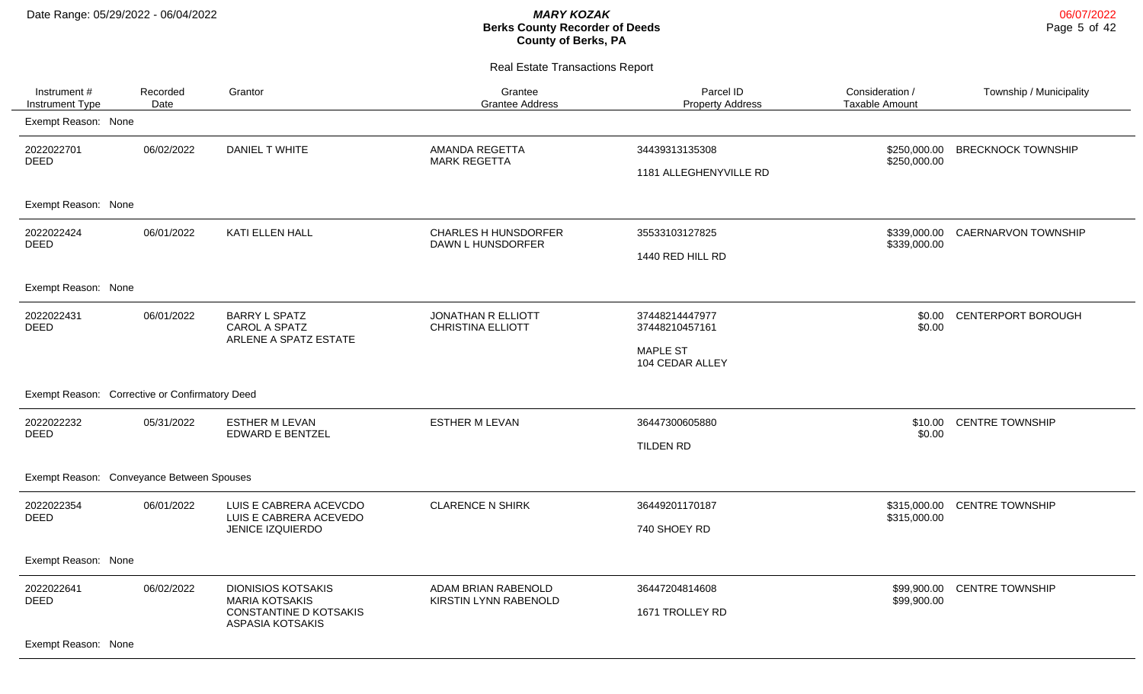Real Estate Transactions Report

| Instrument#<br><b>Instrument Type</b>          | Recorded<br>Date | Grantor                                                                                                 | Grantee<br><b>Grantee Address</b>                | Parcel ID<br><b>Property Address</b>                                   | Consideration /<br><b>Taxable Amount</b> | Township / Municipality   |
|------------------------------------------------|------------------|---------------------------------------------------------------------------------------------------------|--------------------------------------------------|------------------------------------------------------------------------|------------------------------------------|---------------------------|
| Exempt Reason: None                            |                  |                                                                                                         |                                                  |                                                                        |                                          |                           |
| 2022022701<br><b>DEED</b>                      | 06/02/2022       | DANIEL T WHITE                                                                                          | AMANDA REGETTA<br><b>MARK REGETTA</b>            | 34439313135308<br>1181 ALLEGHENYVILLE RD                               | \$250,000.00<br>\$250,000.00             | <b>BRECKNOCK TOWNSHIP</b> |
| Exempt Reason: None                            |                  |                                                                                                         |                                                  |                                                                        |                                          |                           |
| 2022022424<br><b>DEED</b>                      | 06/01/2022       | KATI ELLEN HALL                                                                                         | <b>CHARLES H HUNSDORFER</b><br>DAWN L HUNSDORFER | 35533103127825<br>1440 RED HILL RD                                     | \$339,000.00<br>\$339,000.00             | CAERNARVON TOWNSHIP       |
| Exempt Reason: None                            |                  |                                                                                                         |                                                  |                                                                        |                                          |                           |
| 2022022431<br><b>DEED</b>                      | 06/01/2022       | <b>BARRY L SPATZ</b><br>CAROL A SPATZ<br>ARLENE A SPATZ ESTATE                                          | JONATHAN R ELLIOTT<br><b>CHRISTINA ELLIOTT</b>   | 37448214447977<br>37448210457161<br><b>MAPLE ST</b><br>104 CEDAR ALLEY | \$0.00<br>\$0.00                         | CENTERPORT BOROUGH        |
| Exempt Reason: Corrective or Confirmatory Deed |                  |                                                                                                         |                                                  |                                                                        |                                          |                           |
| 2022022232<br><b>DEED</b>                      | 05/31/2022       | <b>ESTHER M LEVAN</b><br><b>EDWARD E BENTZEL</b>                                                        | <b>ESTHER M LEVAN</b>                            | 36447300605880<br>TILDEN RD                                            | \$10.00<br>\$0.00                        | <b>CENTRE TOWNSHIP</b>    |
| Exempt Reason: Conveyance Between Spouses      |                  |                                                                                                         |                                                  |                                                                        |                                          |                           |
| 2022022354<br><b>DEED</b>                      | 06/01/2022       | LUIS E CABRERA ACEVCDO<br>LUIS E CABRERA ACEVEDO<br>JENICE IZQUIERDO                                    | <b>CLARENCE N SHIRK</b>                          | 36449201170187<br>740 SHOEY RD                                         | \$315,000.00<br>\$315,000.00             | <b>CENTRE TOWNSHIP</b>    |
| Exempt Reason: None                            |                  |                                                                                                         |                                                  |                                                                        |                                          |                           |
| 2022022641<br><b>DEED</b>                      | 06/02/2022       | <b>DIONISIOS KOTSAKIS</b><br><b>MARIA KOTSAKIS</b><br><b>CONSTANTINE D KOTSAKIS</b><br>ASPASIA KOTSAKIS | ADAM BRIAN RABENOLD<br>KIRSTIN LYNN RABENOLD     | 36447204814608<br>1671 TROLLEY RD                                      | \$99,900.00<br>\$99,900.00               | <b>CENTRE TOWNSHIP</b>    |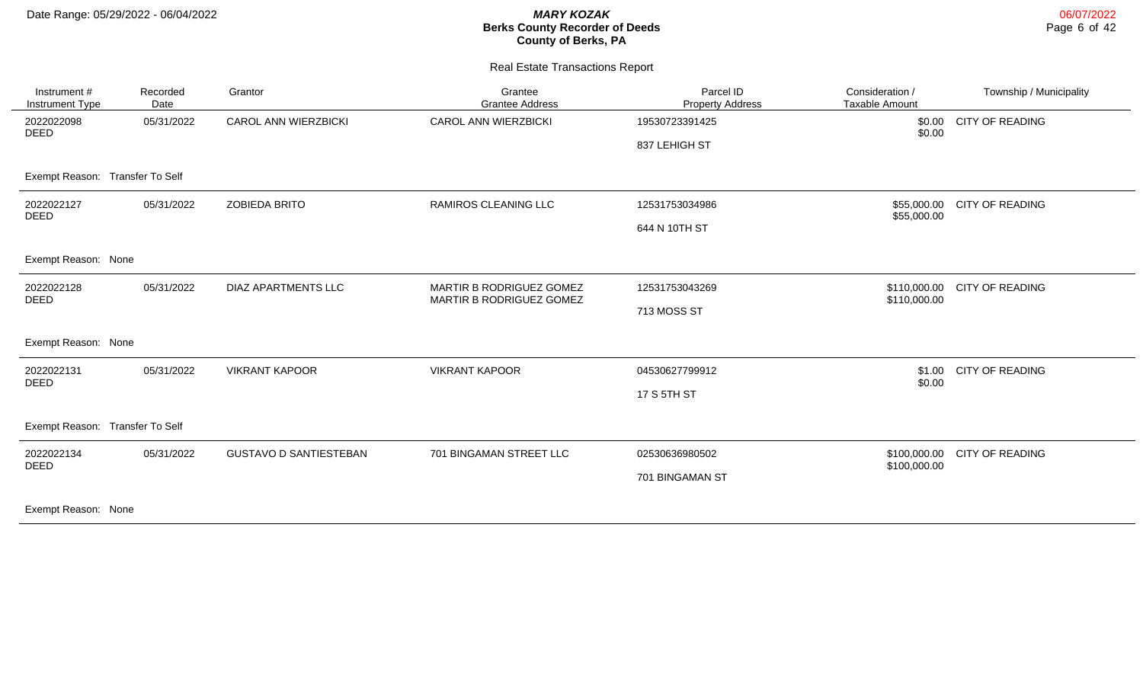| Instrument #<br>Instrument Type | Recorded<br>Date | Grantor                       | Grantee<br><b>Grantee Address</b>                           | Parcel ID<br><b>Property Address</b> | Consideration /<br>Taxable Amount | Township / Municipality |
|---------------------------------|------------------|-------------------------------|-------------------------------------------------------------|--------------------------------------|-----------------------------------|-------------------------|
| 2022022098<br><b>DEED</b>       | 05/31/2022       | <b>CAROL ANN WIERZBICKI</b>   | <b>CAROL ANN WIERZBICKI</b>                                 | 19530723391425<br>837 LEHIGH ST      | \$0.00<br>\$0.00                  | <b>CITY OF READING</b>  |
| Exempt Reason: Transfer To Self |                  |                               |                                                             |                                      |                                   |                         |
| 2022022127<br><b>DEED</b>       | 05/31/2022       | <b>ZOBIEDA BRITO</b>          | RAMIROS CLEANING LLC                                        | 12531753034986<br>644 N 10TH ST      | \$55,000.00<br>\$55,000.00        | <b>CITY OF READING</b>  |
| Exempt Reason: None             |                  |                               |                                                             |                                      |                                   |                         |
| 2022022128<br>DEED              | 05/31/2022       | DIAZ APARTMENTS LLC           | MARTIR B RODRIGUEZ GOMEZ<br><b>MARTIR B RODRIGUEZ GOMEZ</b> | 12531753043269<br>713 MOSS ST        | \$110,000.00<br>\$110,000.00      | <b>CITY OF READING</b>  |
| Exempt Reason: None             |                  |                               |                                                             |                                      |                                   |                         |
| 2022022131<br><b>DEED</b>       | 05/31/2022       | <b>VIKRANT KAPOOR</b>         | <b>VIKRANT KAPOOR</b>                                       | 04530627799912<br>17 S 5TH ST        | \$1.00<br>\$0.00                  | <b>CITY OF READING</b>  |
| Exempt Reason: Transfer To Self |                  |                               |                                                             |                                      |                                   |                         |
| 2022022134<br><b>DEED</b>       | 05/31/2022       | <b>GUSTAVO D SANTIESTEBAN</b> | 701 BINGAMAN STREET LLC                                     | 02530636980502<br>701 BINGAMAN ST    | \$100,000.00<br>\$100,000.00      | <b>CITY OF READING</b>  |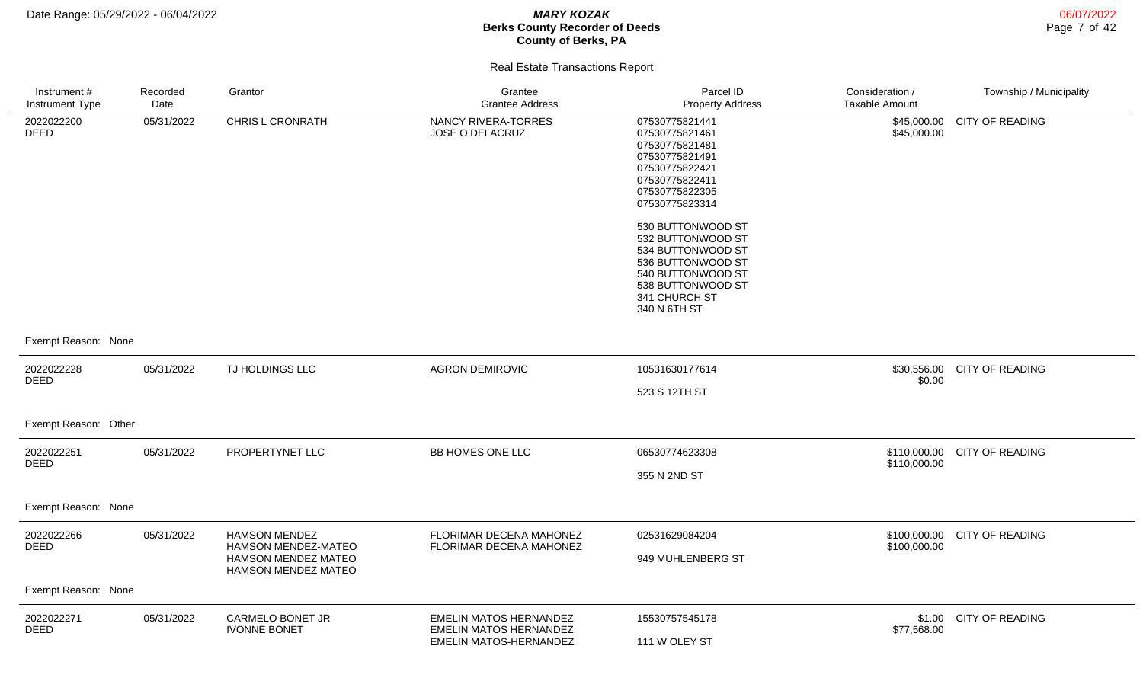| Instrument #<br>Instrument Type | Recorded<br>Date | Grantor                                                                                   | Grantee<br><b>Grantee Address</b>                                                        | Parcel ID<br><b>Property Address</b>                                                                                                                        | Consideration /<br><b>Taxable Amount</b> | Township / Municipality |
|---------------------------------|------------------|-------------------------------------------------------------------------------------------|------------------------------------------------------------------------------------------|-------------------------------------------------------------------------------------------------------------------------------------------------------------|------------------------------------------|-------------------------|
| 2022022200<br>DEED              | 05/31/2022       | <b>CHRIS L CRONRATH</b>                                                                   | NANCY RIVERA-TORRES<br>JOSE O DELACRUZ                                                   | 07530775821441<br>07530775821461<br>07530775821481<br>07530775821491<br>07530775822421<br>07530775822411<br>07530775822305<br>07530775823314                | \$45,000.00<br>\$45,000.00               | <b>CITY OF READING</b>  |
|                                 |                  |                                                                                           |                                                                                          | 530 BUTTONWOOD ST<br>532 BUTTONWOOD ST<br>534 BUTTONWOOD ST<br>536 BUTTONWOOD ST<br>540 BUTTONWOOD ST<br>538 BUTTONWOOD ST<br>341 CHURCH ST<br>340 N 6TH ST |                                          |                         |
| Exempt Reason: None             |                  |                                                                                           |                                                                                          |                                                                                                                                                             |                                          |                         |
| 2022022228<br><b>DEED</b>       | 05/31/2022       | TJ HOLDINGS LLC                                                                           | <b>AGRON DEMIROVIC</b>                                                                   | 10531630177614<br>523 S 12TH ST                                                                                                                             | \$30,556.00<br>\$0.00                    | CITY OF READING         |
| Exempt Reason: Other            |                  |                                                                                           |                                                                                          |                                                                                                                                                             |                                          |                         |
| 2022022251<br><b>DEED</b>       | 05/31/2022       | PROPERTYNET LLC                                                                           | BB HOMES ONE LLC                                                                         | 06530774623308<br>355 N 2ND ST                                                                                                                              | \$110,000.00<br>\$110,000.00             | <b>CITY OF READING</b>  |
| Exempt Reason: None             |                  |                                                                                           |                                                                                          |                                                                                                                                                             |                                          |                         |
| 2022022266<br><b>DEED</b>       | 05/31/2022       | <b>HAMSON MENDEZ</b><br>HAMSON MENDEZ-MATEO<br>HAMSON MENDEZ MATEO<br>HAMSON MENDEZ MATEO | FLORIMAR DECENA MAHONEZ<br>FLORIMAR DECENA MAHONEZ                                       | 02531629084204<br>949 MUHLENBERG ST                                                                                                                         | \$100,000.00<br>\$100,000.00             | CITY OF READING         |
| Exempt Reason: None             |                  |                                                                                           |                                                                                          |                                                                                                                                                             |                                          |                         |
| 2022022271<br><b>DEED</b>       | 05/31/2022       | CARMELO BONET JR<br><b>IVONNE BONET</b>                                                   | <b>EMELIN MATOS HERNANDEZ</b><br><b>EMELIN MATOS HERNANDEZ</b><br>EMELIN MATOS-HERNANDEZ | 15530757545178<br>111 W OLEY ST                                                                                                                             | \$1.00<br>\$77,568.00                    | <b>CITY OF READING</b>  |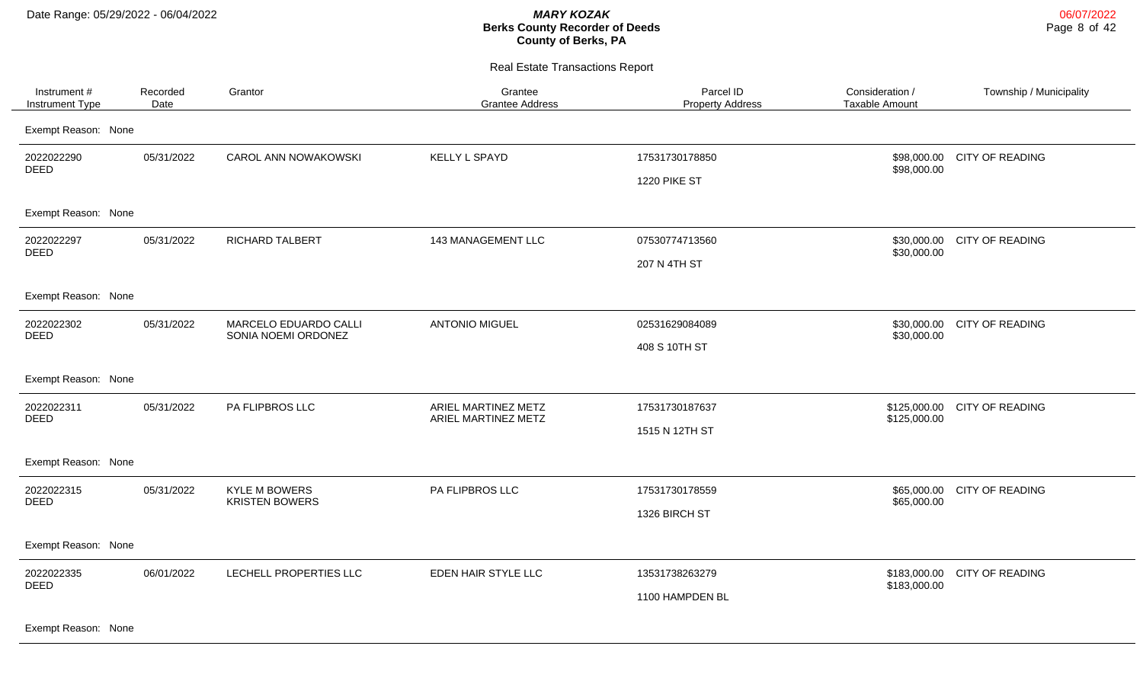Real Estate Transactions Report

| Instrument #<br>Instrument Type         | Recorded<br>Date                             | Grantor                                       | Grantee<br><b>Grantee Address</b>          | Parcel ID<br><b>Property Address</b> | Consideration /<br>Taxable Amount | Township / Municipality     |
|-----------------------------------------|----------------------------------------------|-----------------------------------------------|--------------------------------------------|--------------------------------------|-----------------------------------|-----------------------------|
| Exempt Reason: None                     |                                              |                                               |                                            |                                      |                                   |                             |
| 2022022290<br><b>DEED</b>               | 05/31/2022                                   | CAROL ANN NOWAKOWSKI                          | <b>KELLY L SPAYD</b>                       | 17531730178850                       | \$98,000.00                       | \$98,000.00 CITY OF READING |
|                                         |                                              |                                               |                                            | 1220 PIKE ST                         |                                   |                             |
| Exempt Reason: None                     |                                              |                                               |                                            |                                      |                                   |                             |
| 2022022297<br><b>DEED</b>               | 05/31/2022                                   | RICHARD TALBERT                               | 143 MANAGEMENT LLC                         | 07530774713560                       | \$30,000.00                       | \$30,000.00 CITY OF READING |
|                                         |                                              |                                               |                                            | 207 N 4TH ST                         |                                   |                             |
| Exempt Reason: None                     |                                              |                                               |                                            |                                      |                                   |                             |
| 2022022302<br>05/31/2022<br><b>DEED</b> | MARCELO EDUARDO CALLI<br>SONIA NOEMI ORDONEZ | <b>ANTONIO MIGUEL</b>                         | 02531629084089                             | \$30,000.00                          | \$30,000.00 CITY OF READING       |                             |
|                                         |                                              |                                               | 408 S 10TH ST                              |                                      |                                   |                             |
| Exempt Reason: None                     |                                              |                                               |                                            |                                      |                                   |                             |
| 2022022311<br><b>DEED</b>               | 05/31/2022                                   | PA FLIPBROS LLC                               | ARIEL MARTINEZ METZ<br>ARIEL MARTINEZ METZ | 17531730187637                       | \$125,000.00<br>\$125,000.00      | <b>CITY OF READING</b>      |
|                                         |                                              |                                               |                                            | 1515 N 12TH ST                       |                                   |                             |
| Exempt Reason: None                     |                                              |                                               |                                            |                                      |                                   |                             |
| 2022022315<br>DEED                      | 05/31/2022                                   | <b>KYLE M BOWERS</b><br><b>KRISTEN BOWERS</b> | PA FLIPBROS LLC                            | 17531730178559                       | \$65,000.00<br>\$65,000.00        | <b>CITY OF READING</b>      |
|                                         |                                              |                                               |                                            | 1326 BIRCH ST                        |                                   |                             |
| Exempt Reason: None                     |                                              |                                               |                                            |                                      |                                   |                             |
| 2022022335<br>DEED                      | 06/01/2022                                   | LECHELL PROPERTIES LLC                        | EDEN HAIR STYLE LLC                        | 13531738263279                       | \$183,000.00<br>\$183,000.00      | <b>CITY OF READING</b>      |
|                                         |                                              |                                               |                                            | 1100 HAMPDEN BL                      |                                   |                             |
|                                         |                                              |                                               |                                            |                                      |                                   |                             |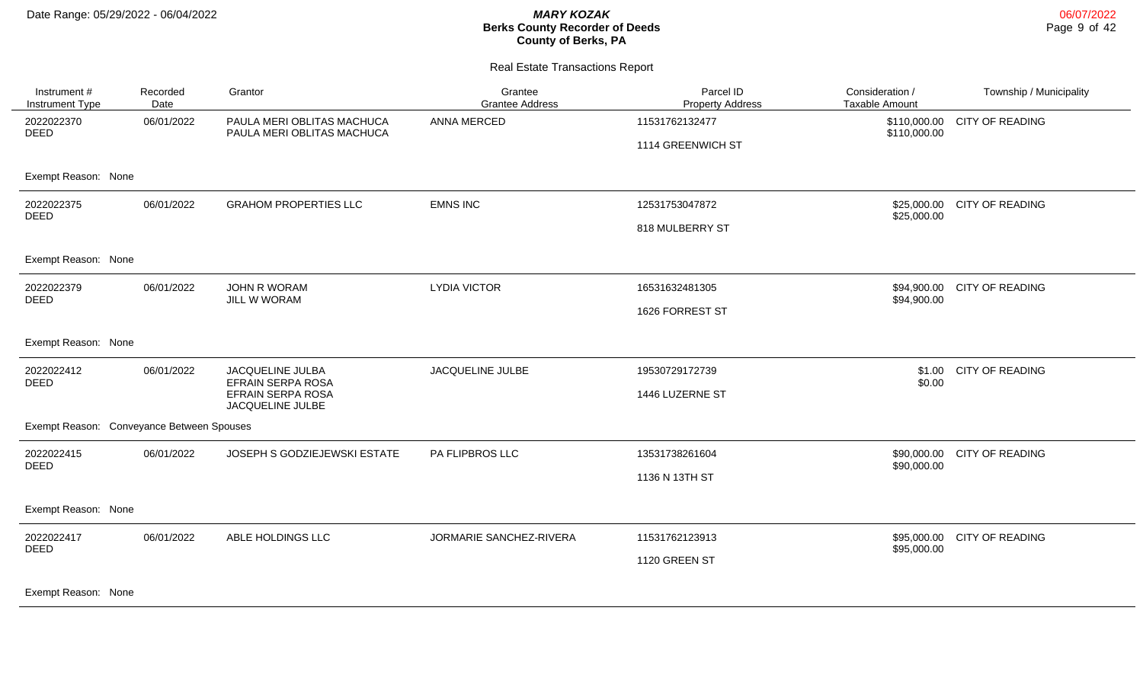| Instrument #<br>Instrument Type           | Recorded<br>Date                                  | Grantor                                                                                            | Grantee<br><b>Grantee Address</b> | Parcel ID<br><b>Property Address</b> | Consideration /<br><b>Taxable Amount</b> | Township / Municipality |
|-------------------------------------------|---------------------------------------------------|----------------------------------------------------------------------------------------------------|-----------------------------------|--------------------------------------|------------------------------------------|-------------------------|
| 2022022370<br><b>DEED</b>                 | 06/01/2022                                        | PAULA MERI OBLITAS MACHUCA<br>PAULA MERI OBLITAS MACHUCA                                           | ANNA MERCED                       | 11531762132477                       | \$110,000.00<br>\$110,000.00             | <b>CITY OF READING</b>  |
|                                           |                                                   |                                                                                                    |                                   | 1114 GREENWICH ST                    |                                          |                         |
| Exempt Reason: None                       |                                                   |                                                                                                    |                                   |                                      |                                          |                         |
| 06/01/2022<br>2022022375<br><b>DEED</b>   | <b>GRAHOM PROPERTIES LLC</b>                      | <b>EMNS INC</b>                                                                                    | 12531753047872                    | \$25,000.00<br>\$25,000.00           | <b>CITY OF READING</b>                   |                         |
|                                           |                                                   |                                                                                                    | 818 MULBERRY ST                   |                                      |                                          |                         |
| Exempt Reason: None                       |                                                   |                                                                                                    |                                   |                                      |                                          |                         |
| 2022022379<br><b>DEED</b>                 | 06/01/2022<br><b>JOHN R WORAM</b><br>JILL W WORAM | <b>LYDIA VICTOR</b>                                                                                | 16531632481305                    | \$94,900.00                          | \$94,900.00 CITY OF READING              |                         |
|                                           |                                                   |                                                                                                    |                                   | 1626 FORREST ST                      |                                          |                         |
| Exempt Reason: None                       |                                                   |                                                                                                    |                                   |                                      |                                          |                         |
| 2022022412<br><b>DEED</b>                 | 06/01/2022                                        | JACQUELINE JULBE<br>JACQUELINE JULBA<br>EFRAIN SERPA ROSA<br>EFRAIN SERPA ROSA<br>JACQUELINE JULBE | 19530729172739                    | \$0.00                               | \$1.00 CITY OF READING                   |                         |
|                                           |                                                   |                                                                                                    |                                   | 1446 LUZERNE ST                      |                                          |                         |
| Exempt Reason: Conveyance Between Spouses |                                                   |                                                                                                    |                                   |                                      |                                          |                         |
| 2022022415<br><b>DEED</b>                 | 06/01/2022                                        | JOSEPH S GODZIEJEWSKI ESTATE                                                                       | PA FLIPBROS LLC                   | 13531738261604                       | \$90,000.00<br>\$90,000.00               | <b>CITY OF READING</b>  |
|                                           |                                                   |                                                                                                    |                                   | 1136 N 13TH ST                       |                                          |                         |
| Exempt Reason: None                       |                                                   |                                                                                                    |                                   |                                      |                                          |                         |
| 2022022417<br>06/01/2022<br><b>DEED</b>   |                                                   | ABLE HOLDINGS LLC                                                                                  | JORMARIE SANCHEZ-RIVERA           | 11531762123913                       | \$95,000.00<br>\$95,000.00               | <b>CITY OF READING</b>  |
|                                           |                                                   |                                                                                                    |                                   | 1120 GREEN ST                        |                                          |                         |
| Exempt Reason: None                       |                                                   |                                                                                                    |                                   |                                      |                                          |                         |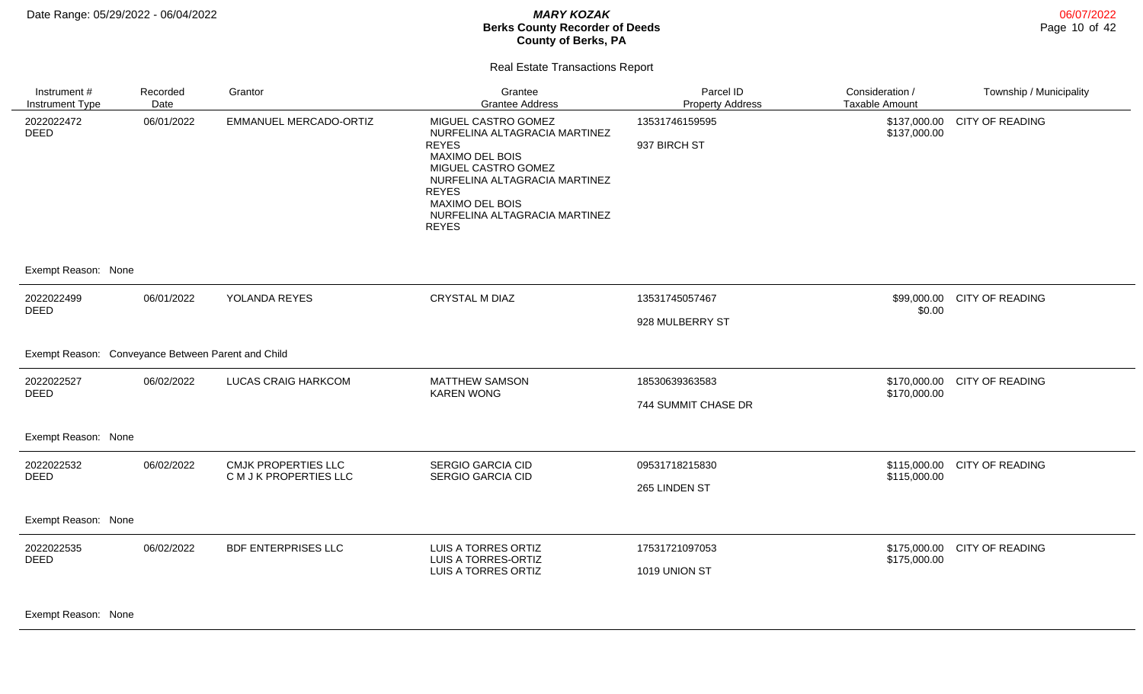06/07/2022 Page 10 of 42

#### Real Estate Transactions Report

| Instrument #<br>Instrument Type                    | Recorded<br>Date | Grantor                                              | Grantee<br><b>Grantee Address</b>                                                                                                                                                                                                                 | Parcel ID<br><b>Property Address</b>  | Consideration /<br><b>Taxable Amount</b> | Township / Municipality |
|----------------------------------------------------|------------------|------------------------------------------------------|---------------------------------------------------------------------------------------------------------------------------------------------------------------------------------------------------------------------------------------------------|---------------------------------------|------------------------------------------|-------------------------|
| 2022022472<br><b>DEED</b>                          | 06/01/2022       | EMMANUEL MERCADO-ORTIZ                               | MIGUEL CASTRO GOMEZ<br>NURFELINA ALTAGRACIA MARTINEZ<br><b>REYES</b><br><b>MAXIMO DEL BOIS</b><br>MIGUEL CASTRO GOMEZ<br>NURFELINA ALTAGRACIA MARTINEZ<br><b>REYES</b><br><b>MAXIMO DEL BOIS</b><br>NURFELINA ALTAGRACIA MARTINEZ<br><b>REYES</b> | 13531746159595<br>937 BIRCH ST        | \$137,000.00<br>\$137,000.00             | CITY OF READING         |
| Exempt Reason: None                                |                  |                                                      |                                                                                                                                                                                                                                                   |                                       |                                          |                         |
| 2022022499<br><b>DEED</b>                          | 06/01/2022       | YOLANDA REYES                                        | <b>CRYSTAL M DIAZ</b>                                                                                                                                                                                                                             | 13531745057467<br>928 MULBERRY ST     | \$99,000.00<br>\$0.00                    | <b>CITY OF READING</b>  |
| Exempt Reason: Conveyance Between Parent and Child |                  |                                                      |                                                                                                                                                                                                                                                   |                                       |                                          |                         |
| 2022022527<br><b>DEED</b>                          | 06/02/2022       | LUCAS CRAIG HARKCOM                                  | <b>MATTHEW SAMSON</b><br><b>KAREN WONG</b>                                                                                                                                                                                                        | 18530639363583<br>744 SUMMIT CHASE DR | \$170,000.00<br>\$170,000.00             | <b>CITY OF READING</b>  |
| Exempt Reason: None                                |                  |                                                      |                                                                                                                                                                                                                                                   |                                       |                                          |                         |
| 2022022532<br><b>DEED</b>                          | 06/02/2022       | <b>CMJK PROPERTIES LLC</b><br>C M J K PROPERTIES LLC | <b>SERGIO GARCIA CID</b><br><b>SERGIO GARCIA CID</b>                                                                                                                                                                                              | 09531718215830<br>265 LINDEN ST       | \$115,000.00<br>\$115,000.00             | <b>CITY OF READING</b>  |
| Exempt Reason: None                                |                  |                                                      |                                                                                                                                                                                                                                                   |                                       |                                          |                         |
| 2022022535<br><b>DEED</b>                          | 06/02/2022       | <b>BDF ENTERPRISES LLC</b>                           | LUIS A TORRES ORTIZ<br>LUIS A TORRES-ORTIZ<br>LUIS A TORRES ORTIZ                                                                                                                                                                                 | 17531721097053<br>1019 UNION ST       | \$175,000.00<br>\$175,000.00             | <b>CITY OF READING</b>  |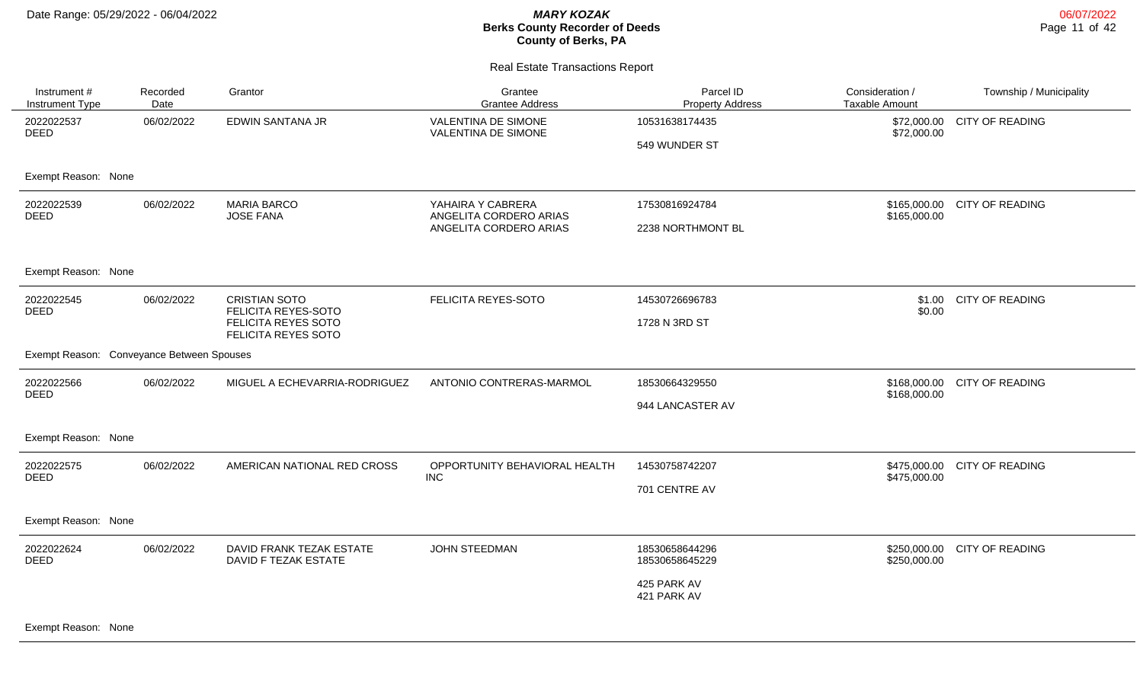#### Real Estate Transactions Report

| Instrument #<br>Instrument Type           | Recorded<br>Date | Grantor                                                                                   | Grantee<br><b>Grantee Address</b>                                     | Parcel ID<br><b>Property Address</b>                           | Consideration /<br><b>Taxable Amount</b> | Township / Municipality |
|-------------------------------------------|------------------|-------------------------------------------------------------------------------------------|-----------------------------------------------------------------------|----------------------------------------------------------------|------------------------------------------|-------------------------|
| 2022022537<br><b>DEED</b>                 | 06/02/2022       | EDWIN SANTANA JR                                                                          | VALENTINA DE SIMONE<br>VALENTINA DE SIMONE                            | 10531638174435<br>549 WUNDER ST                                | \$72,000.00<br>\$72,000.00               | <b>CITY OF READING</b>  |
| Exempt Reason: None                       |                  |                                                                                           |                                                                       |                                                                |                                          |                         |
| 2022022539<br><b>DEED</b>                 | 06/02/2022       | <b>MARIA BARCO</b><br><b>JOSE FANA</b>                                                    | YAHAIRA Y CABRERA<br>ANGELITA CORDERO ARIAS<br>ANGELITA CORDERO ARIAS | 17530816924784<br>2238 NORTHMONT BL                            | \$165,000.00<br>\$165,000.00             | <b>CITY OF READING</b>  |
| Exempt Reason: None                       |                  |                                                                                           |                                                                       |                                                                |                                          |                         |
| 2022022545<br>DEED                        | 06/02/2022       | <b>CRISTIAN SOTO</b><br>FELICITA REYES-SOTO<br>FELICITA REYES SOTO<br>FELICITA REYES SOTO | FELICITA REYES-SOTO                                                   | 14530726696783<br>1728 N 3RD ST                                | \$1.00<br>\$0.00                         | <b>CITY OF READING</b>  |
| Exempt Reason: Conveyance Between Spouses |                  |                                                                                           |                                                                       |                                                                |                                          |                         |
| 2022022566<br><b>DEED</b>                 | 06/02/2022       | MIGUEL A ECHEVARRIA-RODRIGUEZ                                                             | ANTONIO CONTRERAS-MARMOL                                              | 18530664329550<br>944 LANCASTER AV                             | \$168,000.00<br>\$168,000.00             | <b>CITY OF READING</b>  |
| Exempt Reason: None                       |                  |                                                                                           |                                                                       |                                                                |                                          |                         |
| 2022022575<br><b>DEED</b>                 | 06/02/2022       | AMERICAN NATIONAL RED CROSS                                                               | OPPORTUNITY BEHAVIORAL HEALTH<br><b>INC</b>                           | 14530758742207<br>701 CENTRE AV                                | \$475,000.00<br>\$475,000.00             | <b>CITY OF READING</b>  |
| Exempt Reason: None                       |                  |                                                                                           |                                                                       |                                                                |                                          |                         |
| 2022022624<br><b>DEED</b>                 | 06/02/2022       | DAVID FRANK TEZAK ESTATE<br>DAVID F TEZAK ESTATE                                          | <b>JOHN STEEDMAN</b>                                                  | 18530658644296<br>18530658645229<br>425 PARK AV<br>421 PARK AV | \$250,000.00<br>\$250,000.00             | <b>CITY OF READING</b>  |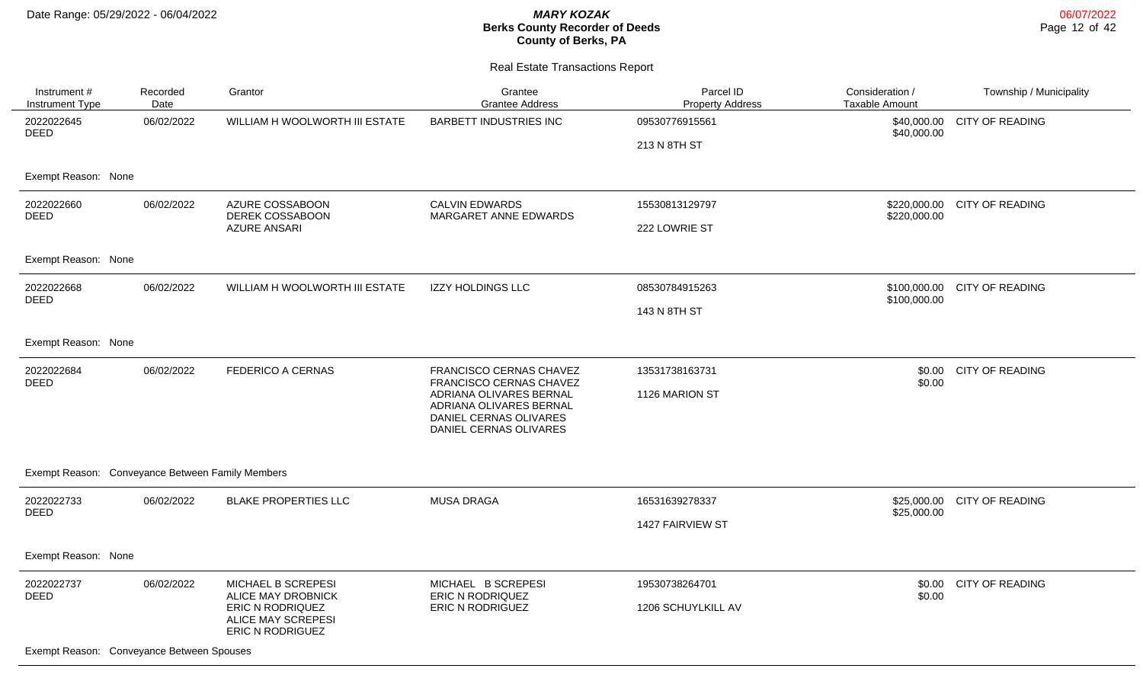| Instrument#<br>Instrument Type                   | Recorded<br>Date                   | Grantor                                                                                                       | Grantee<br><b>Grantee Address</b>                                                                      | Parcel ID<br><b>Property Address</b> | Consideration /<br>Taxable Amount | Township / Municipality |
|--------------------------------------------------|------------------------------------|---------------------------------------------------------------------------------------------------------------|--------------------------------------------------------------------------------------------------------|--------------------------------------|-----------------------------------|-------------------------|
| 2022022645<br><b>DEED</b>                        | 06/02/2022                         | WILLIAM H WOOLWORTH III ESTATE                                                                                | BARBETT INDUSTRIES INC                                                                                 | 09530776915561                       | \$40,000.00<br>\$40,000.00        | <b>CITY OF READING</b>  |
|                                                  |                                    |                                                                                                               |                                                                                                        | 213 N 8TH ST                         |                                   |                         |
| Exempt Reason: None                              |                                    |                                                                                                               |                                                                                                        |                                      |                                   |                         |
| 2022022660<br>06/02/2022<br><b>DEED</b>          | AZURE COSSABOON<br>DEREK COSSABOON | <b>CALVIN EDWARDS</b><br>MARGARET ANNE EDWARDS                                                                | 15530813129797                                                                                         | \$220,000.00<br>\$220,000.00         | <b>CITY OF READING</b>            |                         |
|                                                  |                                    | <b>AZURE ANSARI</b>                                                                                           |                                                                                                        | 222 LOWRIE ST                        |                                   |                         |
| Exempt Reason: None                              |                                    |                                                                                                               |                                                                                                        |                                      |                                   |                         |
| 2022022668<br>06/02/2022<br><b>DEED</b>          | WILLIAM H WOOLWORTH III ESTATE     | <b>IZZY HOLDINGS LLC</b>                                                                                      | 08530784915263                                                                                         | \$100,000.00<br>\$100,000.00         | CITY OF READING                   |                         |
|                                                  |                                    |                                                                                                               | 143 N 8TH ST                                                                                           |                                      |                                   |                         |
| Exempt Reason: None                              |                                    |                                                                                                               |                                                                                                        |                                      |                                   |                         |
| 2022022684<br><b>DEED</b>                        | 06/02/2022                         | FEDERICO A CERNAS                                                                                             | <b>FRANCISCO CERNAS CHAVEZ</b><br>FRANCISCO CERNAS CHAVEZ                                              | 13531738163731                       | \$0.00<br>\$0.00                  | <b>CITY OF READING</b>  |
|                                                  |                                    |                                                                                                               | ADRIANA OLIVARES BERNAL<br>ADRIANA OLIVARES BERNAL<br>DANIEL CERNAS OLIVARES<br>DANIEL CERNAS OLIVARES | 1126 MARION ST                       |                                   |                         |
| Exempt Reason: Conveyance Between Family Members |                                    |                                                                                                               |                                                                                                        |                                      |                                   |                         |
| 2022022733<br><b>DEED</b>                        | 06/02/2022                         | <b>BLAKE PROPERTIES LLC</b>                                                                                   | <b>MUSA DRAGA</b>                                                                                      | 16531639278337                       | \$25,000.00<br>\$25,000.00        | <b>CITY OF READING</b>  |
|                                                  |                                    |                                                                                                               |                                                                                                        | 1427 FAIRVIEW ST                     |                                   |                         |
| Exempt Reason: None                              |                                    |                                                                                                               |                                                                                                        |                                      |                                   |                         |
| 2022022737<br><b>DEED</b>                        | 06/02/2022                         | MICHAEL B SCREPESI<br>ALICE MAY DROBNICK<br>ERIC N RODRIQUEZ<br>ALICE MAY SCREPESI<br><b>ERIC N RODRIGUEZ</b> | MICHAEL B SCREPESI<br>ERIC N RODRIQUEZ<br>ERIC N RODRIGUEZ                                             | 19530738264701                       | \$0.00<br>\$0.00                  | <b>CITY OF READING</b>  |
|                                                  |                                    |                                                                                                               |                                                                                                        | 1206 SCHUYLKILL AV                   |                                   |                         |
| Exempt Reason: Conveyance Between Spouses        |                                    |                                                                                                               |                                                                                                        |                                      |                                   |                         |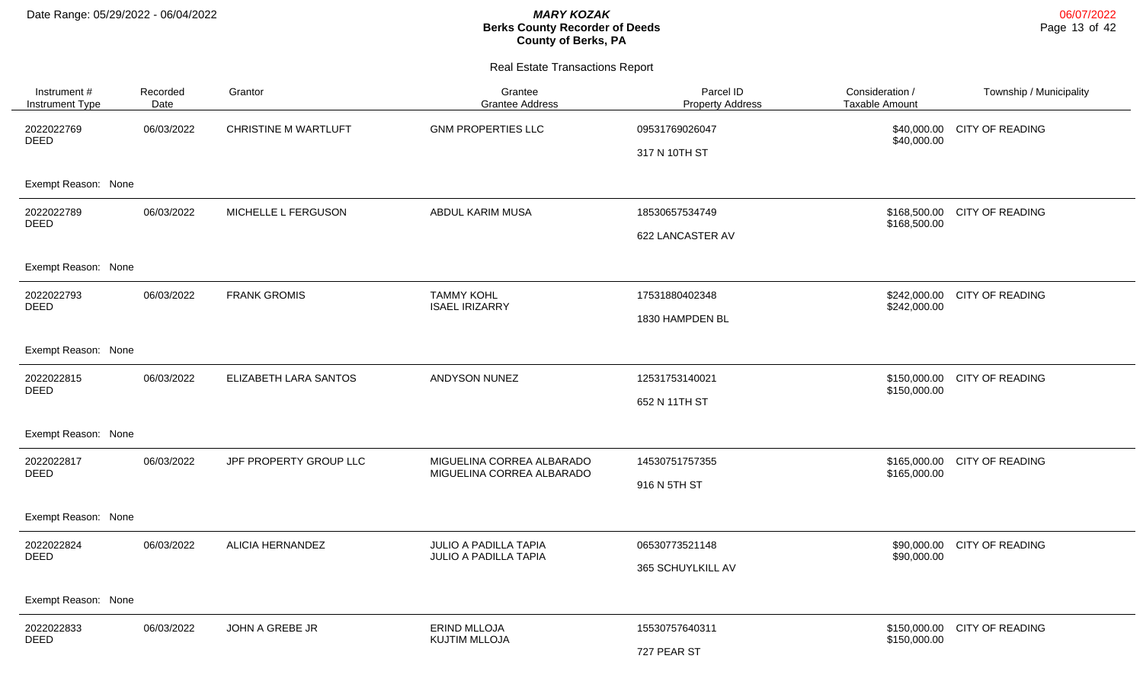| Instrument#<br>Instrument Type | Recorded<br>Date | Grantor                     | Grantee<br><b>Grantee Address</b>                      | Parcel ID<br><b>Property Address</b> | Consideration /<br><b>Taxable Amount</b> | Township / Municipality      |
|--------------------------------|------------------|-----------------------------|--------------------------------------------------------|--------------------------------------|------------------------------------------|------------------------------|
| 2022022769<br><b>DEED</b>      | 06/03/2022       | <b>CHRISTINE M WARTLUFT</b> | <b>GNM PROPERTIES LLC</b>                              | 09531769026047<br>317 N 10TH ST      | \$40,000.00                              | \$40,000.00 CITY OF READING  |
| Exempt Reason: None            |                  |                             |                                                        |                                      |                                          |                              |
| 2022022789<br><b>DEED</b>      | 06/03/2022       | MICHELLE L FERGUSON         | ABDUL KARIM MUSA                                       | 18530657534749<br>622 LANCASTER AV   | \$168,500.00                             | \$168,500.00 CITY OF READING |
| Exempt Reason: None            |                  |                             |                                                        |                                      |                                          |                              |
| 2022022793<br><b>DEED</b>      | 06/03/2022       | <b>FRANK GROMIS</b>         | <b>TAMMY KOHL</b><br><b>ISAEL IRIZARRY</b>             | 17531880402348<br>1830 HAMPDEN BL    | \$242,000.00                             | \$242,000.00 CITY OF READING |
| Exempt Reason: None            |                  |                             |                                                        |                                      |                                          |                              |
| 2022022815<br><b>DEED</b>      | 06/03/2022       | ELIZABETH LARA SANTOS       | ANDYSON NUNEZ                                          | 12531753140021<br>652 N 11TH ST      | \$150,000.00                             | \$150,000.00 CITY OF READING |
| Exempt Reason: None            |                  |                             |                                                        |                                      |                                          |                              |
| 2022022817<br><b>DEED</b>      | 06/03/2022       | JPF PROPERTY GROUP LLC      | MIGUELINA CORREA ALBARADO<br>MIGUELINA CORREA ALBARADO | 14530751757355<br>916 N 5TH ST       | \$165,000.00                             | \$165,000.00 CITY OF READING |
| Exempt Reason: None            |                  |                             |                                                        |                                      |                                          |                              |
| 2022022824<br><b>DEED</b>      | 06/03/2022       | <b>ALICIA HERNANDEZ</b>     | JULIO A PADILLA TAPIA<br>JULIO A PADILLA TAPIA         | 06530773521148<br>365 SCHUYLKILL AV  | \$90,000.00                              | \$90,000.00 CITY OF READING  |
| Exempt Reason: None            |                  |                             |                                                        |                                      |                                          |                              |
| 2022022833<br><b>DEED</b>      | 06/03/2022       | JOHN A GREBE JR             | <b>ERIND MLLOJA</b><br><b>KUJTIM MLLOJA</b>            | 15530757640311<br>727 PEAR ST        | \$150,000.00                             | \$150,000.00 CITY OF READING |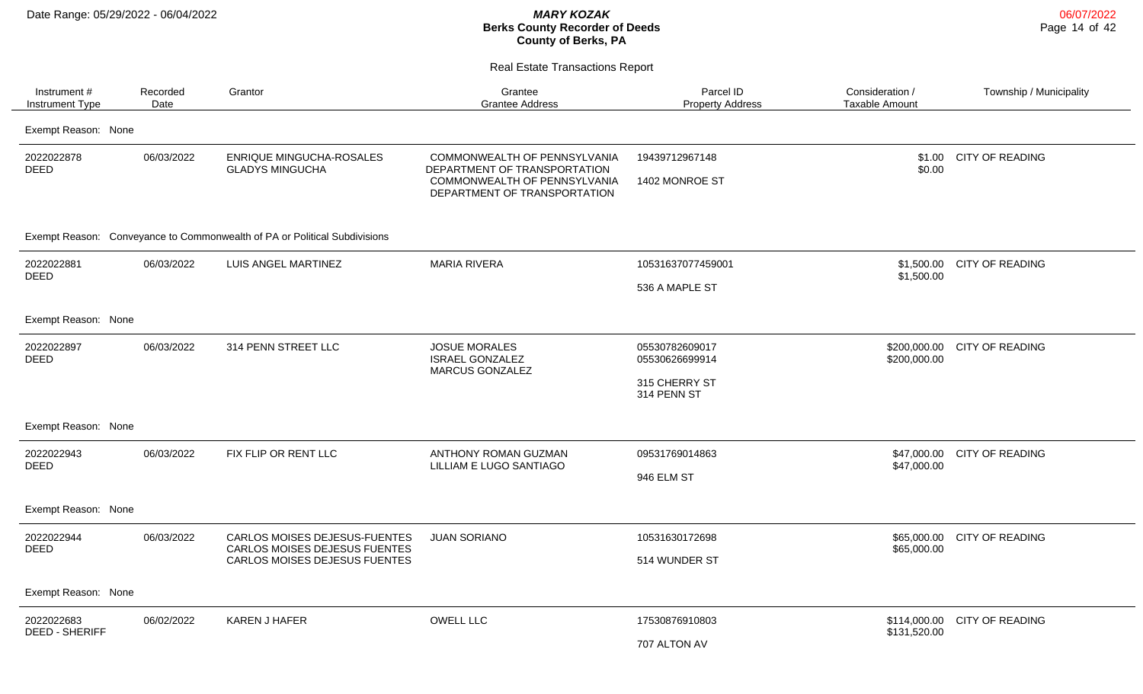| Instrument#<br><b>Instrument Type</b> | Recorded<br>Date | Grantor                                                                                                | Grantee<br><b>Grantee Address</b>                                                                                            | Parcel ID<br><b>Property Address</b>                             | Consideration /<br>Taxable Amount | Township / Municipality |
|---------------------------------------|------------------|--------------------------------------------------------------------------------------------------------|------------------------------------------------------------------------------------------------------------------------------|------------------------------------------------------------------|-----------------------------------|-------------------------|
| Exempt Reason: None                   |                  |                                                                                                        |                                                                                                                              |                                                                  |                                   |                         |
| 2022022878<br><b>DEED</b>             | 06/03/2022       | <b>ENRIQUE MINGUCHA-ROSALES</b><br><b>GLADYS MINGUCHA</b>                                              | COMMONWEALTH OF PENNSYLVANIA<br>DEPARTMENT OF TRANSPORTATION<br>COMMONWEALTH OF PENNSYLVANIA<br>DEPARTMENT OF TRANSPORTATION | 19439712967148<br>1402 MONROE ST                                 | \$1.00<br>\$0.00                  | <b>CITY OF READING</b>  |
|                                       |                  | Exempt Reason: Conveyance to Commonwealth of PA or Political Subdivisions                              |                                                                                                                              |                                                                  |                                   |                         |
| 2022022881<br><b>DEED</b>             | 06/03/2022       | LUIS ANGEL MARTINEZ                                                                                    | <b>MARIA RIVERA</b>                                                                                                          | 10531637077459001<br>536 A MAPLE ST                              | \$1,500.00<br>\$1,500.00          | <b>CITY OF READING</b>  |
| Exempt Reason: None                   |                  |                                                                                                        |                                                                                                                              |                                                                  |                                   |                         |
| 2022022897<br><b>DEED</b>             | 06/03/2022       | 314 PENN STREET LLC                                                                                    | <b>JOSUE MORALES</b><br><b>ISRAEL GONZALEZ</b><br><b>MARCUS GONZALEZ</b>                                                     | 05530782609017<br>05530626699914<br>315 CHERRY ST<br>314 PENN ST | \$200,000.00<br>\$200,000.00      | <b>CITY OF READING</b>  |
| Exempt Reason: None                   |                  |                                                                                                        |                                                                                                                              |                                                                  |                                   |                         |
| 2022022943<br><b>DEED</b>             | 06/03/2022       | FIX FLIP OR RENT LLC                                                                                   | ANTHONY ROMAN GUZMAN<br>LILLIAM E LUGO SANTIAGO                                                                              | 09531769014863<br>946 ELM ST                                     | \$47,000.00<br>\$47,000.00        | <b>CITY OF READING</b>  |
| Exempt Reason: None                   |                  |                                                                                                        |                                                                                                                              |                                                                  |                                   |                         |
| 2022022944<br><b>DEED</b>             | 06/03/2022       | <b>CARLOS MOISES DEJESUS-FUENTES</b><br>CARLOS MOISES DEJESUS FUENTES<br>CARLOS MOISES DEJESUS FUENTES | <b>JUAN SORIANO</b>                                                                                                          | 10531630172698<br>514 WUNDER ST                                  | \$65,000.00<br>\$65,000.00        | <b>CITY OF READING</b>  |
| Exempt Reason: None                   |                  |                                                                                                        |                                                                                                                              |                                                                  |                                   |                         |
| 2022022683<br><b>DEED - SHERIFF</b>   | 06/02/2022       | <b>KAREN J HAFER</b>                                                                                   | <b>OWELL LLC</b>                                                                                                             | 17530876910803<br>707 ALTON AV                                   | \$114,000.00<br>\$131,520.00      | <b>CITY OF READING</b>  |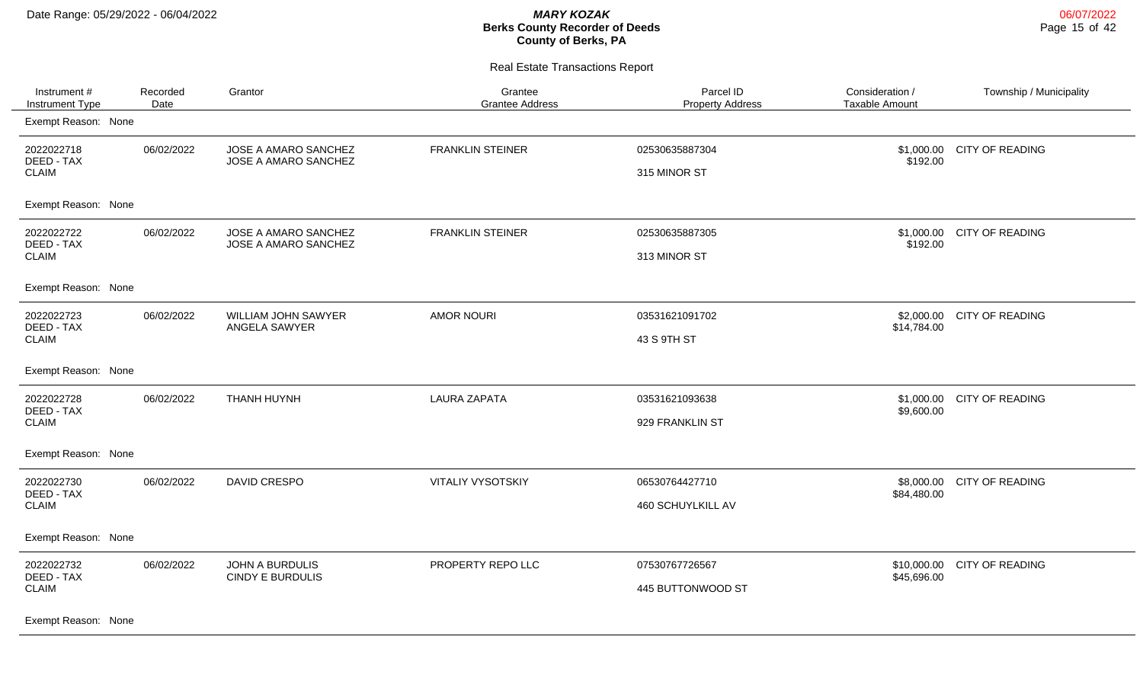| Instrument#<br>Instrument Type                                  | Recorded<br>Date | Grantor                                           | Grantee<br><b>Grantee Address</b> | Parcel ID<br><b>Property Address</b> | Consideration /<br><b>Taxable Amount</b> | Township / Municipality |
|-----------------------------------------------------------------|------------------|---------------------------------------------------|-----------------------------------|--------------------------------------|------------------------------------------|-------------------------|
| Exempt Reason: None                                             |                  |                                                   |                                   |                                      |                                          |                         |
| 2022022718<br>DEED - TAX<br><b>CLAIM</b>                        | 06/02/2022       | JOSE A AMARO SANCHEZ<br>JOSE A AMARO SANCHEZ      | <b>FRANKLIN STEINER</b>           | 02530635887304<br>315 MINOR ST       | \$1,000.00<br>\$192.00                   | <b>CITY OF READING</b>  |
| Exempt Reason: None                                             |                  |                                                   |                                   |                                      |                                          |                         |
| 2022022722<br>DEED - TAX<br><b>CLAIM</b>                        | 06/02/2022       | JOSE A AMARO SANCHEZ<br>JOSE A AMARO SANCHEZ      | <b>FRANKLIN STEINER</b>           | 02530635887305<br>313 MINOR ST       | \$1,000.00<br>\$192.00                   | <b>CITY OF READING</b>  |
| Exempt Reason: None                                             |                  |                                                   |                                   |                                      |                                          |                         |
| 2022022723<br>DEED - TAX<br><b>CLAIM</b>                        | 06/02/2022       | WILLIAM JOHN SAWYER<br>ANGELA SAWYER              | <b>AMOR NOURI</b>                 | 03531621091702<br>43 S 9TH ST        | \$2,000.00<br>\$14,784.00                | <b>CITY OF READING</b>  |
| Exempt Reason: None                                             |                  |                                                   |                                   |                                      |                                          |                         |
| 2022022728<br>DEED - TAX<br><b>CLAIM</b>                        | 06/02/2022       | THANH HUYNH                                       | <b>LAURA ZAPATA</b>               | 03531621093638<br>929 FRANKLIN ST    | \$1,000.00<br>\$9,600.00                 | <b>CITY OF READING</b>  |
| Exempt Reason: None                                             |                  |                                                   |                                   |                                      |                                          |                         |
| 2022022730<br>DEED - TAX<br><b>CLAIM</b>                        | 06/02/2022       | DAVID CRESPO                                      | <b>VITALIY VYSOTSKIY</b>          | 06530764427710<br>460 SCHUYLKILL AV  | \$8,000.00<br>\$84,480.00                | <b>CITY OF READING</b>  |
| Exempt Reason: None                                             |                  |                                                   |                                   |                                      |                                          |                         |
| 2022022732<br>DEED - TAX<br><b>CLAIM</b><br>Exempt Reason: None | 06/02/2022       | <b>JOHN A BURDULIS</b><br><b>CINDY E BURDULIS</b> | PROPERTY REPO LLC                 | 07530767726567<br>445 BUTTONWOOD ST  | \$10,000.00<br>\$45,696.00               | <b>CITY OF READING</b>  |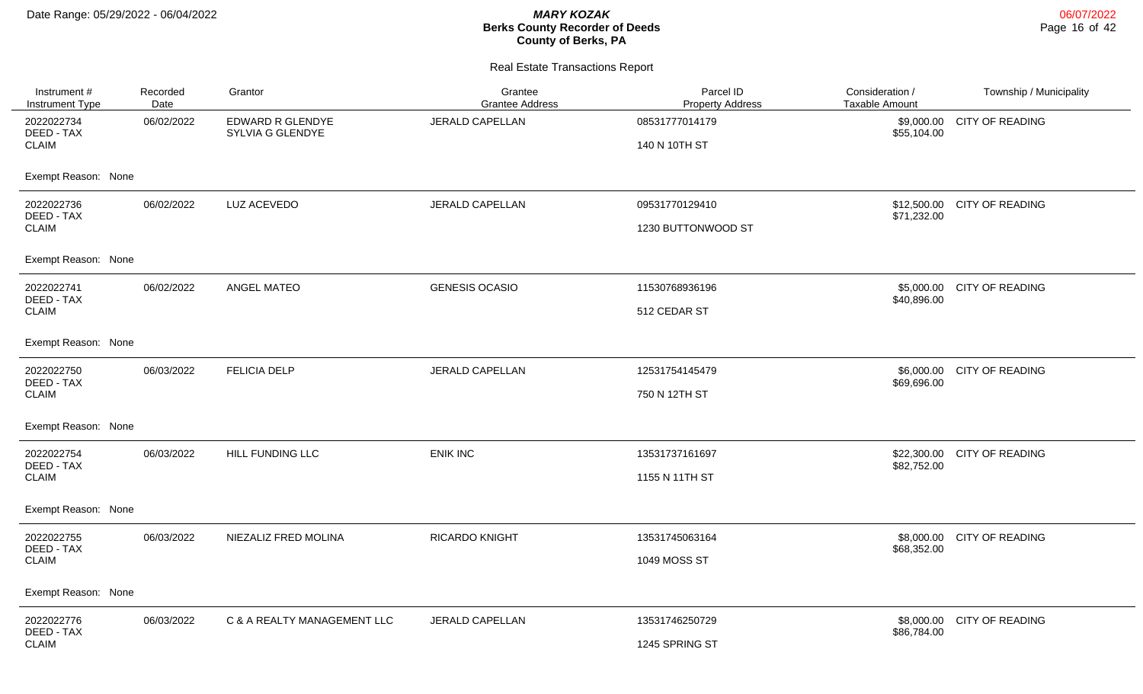$\overline{\phantom{0}}$ 

## **Berks County Recorder of Deeds County of Berks, PA**

| Instrument #<br>Instrument Type | Recorded<br>Date | Grantor                              | Grantee<br><b>Grantee Address</b> | Parcel ID<br><b>Property Address</b> | Consideration /<br><b>Taxable Amount</b> | Township / Municipality |
|---------------------------------|------------------|--------------------------------------|-----------------------------------|--------------------------------------|------------------------------------------|-------------------------|
| 2022022734<br>DEED - TAX        | 06/02/2022       | EDWARD R GLENDYE<br>SYLVIA G GLENDYE | <b>JERALD CAPELLAN</b>            | 08531777014179                       | \$9,000.00<br>\$55,104.00                | <b>CITY OF READING</b>  |
| <b>CLAIM</b>                    |                  |                                      |                                   | 140 N 10TH ST                        |                                          |                         |
| Exempt Reason: None             |                  |                                      |                                   |                                      |                                          |                         |
| 2022022736<br>DEED - TAX        | 06/02/2022       | LUZ ACEVEDO                          | <b>JERALD CAPELLAN</b>            | 09531770129410                       | \$12,500.00<br>\$71,232.00               | <b>CITY OF READING</b>  |
| <b>CLAIM</b>                    |                  |                                      |                                   | 1230 BUTTONWOOD ST                   |                                          |                         |
| Exempt Reason: None             |                  |                                      |                                   |                                      |                                          |                         |
| 2022022741<br>DEED - TAX        | 06/02/2022       | <b>ANGEL MATEO</b>                   | <b>GENESIS OCASIO</b>             | 11530768936196                       | \$5,000.00<br>\$40,896.00                | <b>CITY OF READING</b>  |
| <b>CLAIM</b>                    |                  |                                      |                                   | 512 CEDAR ST                         |                                          |                         |
| Exempt Reason: None             |                  |                                      |                                   |                                      |                                          |                         |
| 2022022750<br>DEED - TAX        | 06/03/2022       | <b>FELICIA DELP</b>                  | JERALD CAPELLAN                   | 12531754145479                       | \$6,000.00<br>\$69,696.00                | <b>CITY OF READING</b>  |
| <b>CLAIM</b>                    |                  |                                      |                                   | 750 N 12TH ST                        |                                          |                         |
| Exempt Reason: None             |                  |                                      |                                   |                                      |                                          |                         |
| 2022022754<br>DEED - TAX        | 06/03/2022       | HILL FUNDING LLC                     | <b>ENIK INC</b>                   | 13531737161697                       | \$22,300.00<br>\$82,752.00               | <b>CITY OF READING</b>  |
| <b>CLAIM</b>                    |                  |                                      |                                   | 1155 N 11TH ST                       |                                          |                         |
| Exempt Reason: None             |                  |                                      |                                   |                                      |                                          |                         |
| 2022022755<br>DEED - TAX        | 06/03/2022       | NIEZALIZ FRED MOLINA                 | <b>RICARDO KNIGHT</b>             | 13531745063164                       | \$8,000.00<br>\$68,352.00                | <b>CITY OF READING</b>  |
| <b>CLAIM</b>                    |                  |                                      |                                   | 1049 MOSS ST                         |                                          |                         |
| Exempt Reason: None             |                  |                                      |                                   |                                      |                                          |                         |
| 2022022776<br>DEED - TAX        | 06/03/2022       | C & A REALTY MANAGEMENT LLC          | <b>JERALD CAPELLAN</b>            | 13531746250729                       | \$8,000.00                               | <b>CITY OF READING</b>  |
| <b>CLAIM</b>                    |                  |                                      |                                   | 1245 SPRING ST                       | \$86,784.00                              |                         |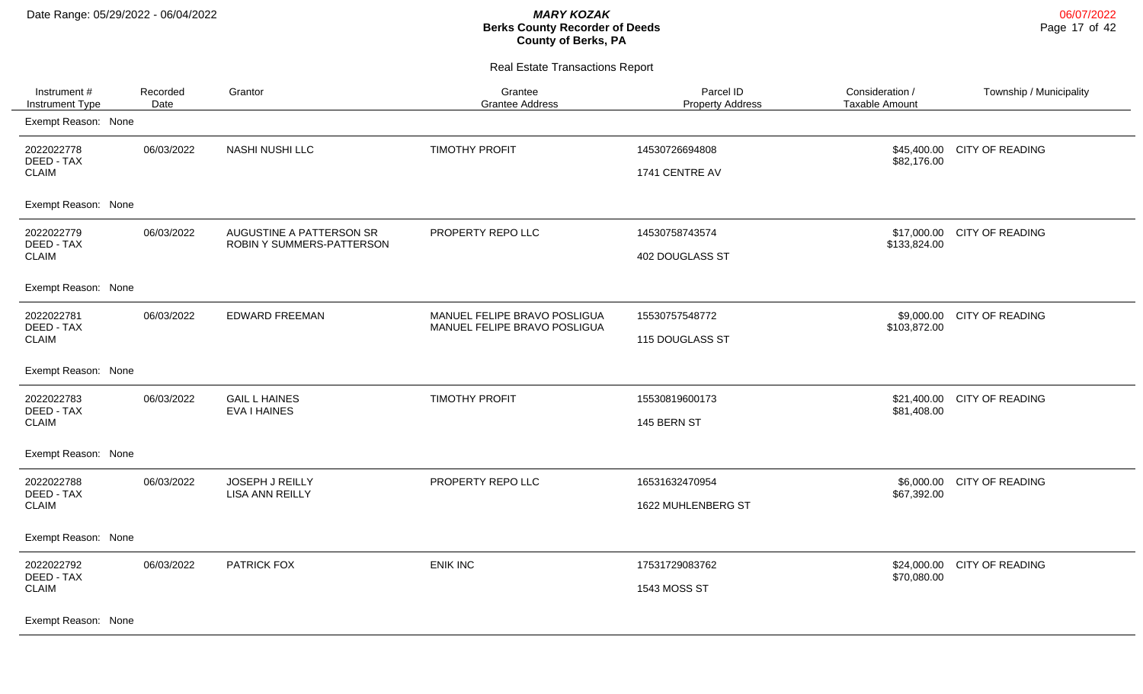| Instrument #<br><b>Instrument Type</b>                          | Recorded<br>Date | Grantor                                               | Grantee<br><b>Grantee Address</b>                            | Parcel ID<br><b>Property Address</b> | Consideration /<br><b>Taxable Amount</b> | Township / Municipality |
|-----------------------------------------------------------------|------------------|-------------------------------------------------------|--------------------------------------------------------------|--------------------------------------|------------------------------------------|-------------------------|
| Exempt Reason: None                                             |                  |                                                       |                                                              |                                      |                                          |                         |
| 2022022778<br>DEED - TAX<br><b>CLAIM</b>                        | 06/03/2022       | NASHI NUSHI LLC                                       | <b>TIMOTHY PROFIT</b>                                        | 14530726694808<br>1741 CENTRE AV     | \$45,400.00<br>\$82,176.00               | <b>CITY OF READING</b>  |
| Exempt Reason: None                                             |                  |                                                       |                                                              |                                      |                                          |                         |
| 2022022779<br>DEED - TAX<br><b>CLAIM</b>                        | 06/03/2022       | AUGUSTINE A PATTERSON SR<br>ROBIN Y SUMMERS-PATTERSON | PROPERTY REPO LLC                                            | 14530758743574<br>402 DOUGLASS ST    | \$17,000.00<br>\$133,824.00              | <b>CITY OF READING</b>  |
| Exempt Reason: None                                             |                  |                                                       |                                                              |                                      |                                          |                         |
| 2022022781<br>DEED - TAX<br><b>CLAIM</b>                        | 06/03/2022       | <b>EDWARD FREEMAN</b>                                 | MANUEL FELIPE BRAVO POSLIGUA<br>MANUEL FELIPE BRAVO POSLIGUA | 15530757548772<br>115 DOUGLASS ST    | \$9,000.00<br>\$103,872.00               | <b>CITY OF READING</b>  |
| Exempt Reason: None                                             |                  |                                                       |                                                              |                                      |                                          |                         |
| 2022022783<br>DEED - TAX<br><b>CLAIM</b>                        | 06/03/2022       | <b>GAIL L HAINES</b><br><b>EVA I HAINES</b>           | <b>TIMOTHY PROFIT</b>                                        | 15530819600173<br>145 BERN ST        | \$21,400.00<br>\$81,408.00               | <b>CITY OF READING</b>  |
| Exempt Reason: None                                             |                  |                                                       |                                                              |                                      |                                          |                         |
| 2022022788<br>DEED - TAX<br><b>CLAIM</b>                        | 06/03/2022       | <b>JOSEPH J REILLY</b><br><b>LISA ANN REILLY</b>      | PROPERTY REPO LLC                                            | 16531632470954<br>1622 MUHLENBERG ST | \$6,000.00<br>\$67,392.00                | <b>CITY OF READING</b>  |
| Exempt Reason: None                                             |                  |                                                       |                                                              |                                      |                                          |                         |
| 2022022792<br>DEED - TAX<br><b>CLAIM</b><br>Exempt Reason: None | 06/03/2022       | PATRICK FOX                                           | <b>ENIK INC</b>                                              | 17531729083762<br>1543 MOSS ST       | \$24,000.00<br>\$70,080.00               | <b>CITY OF READING</b>  |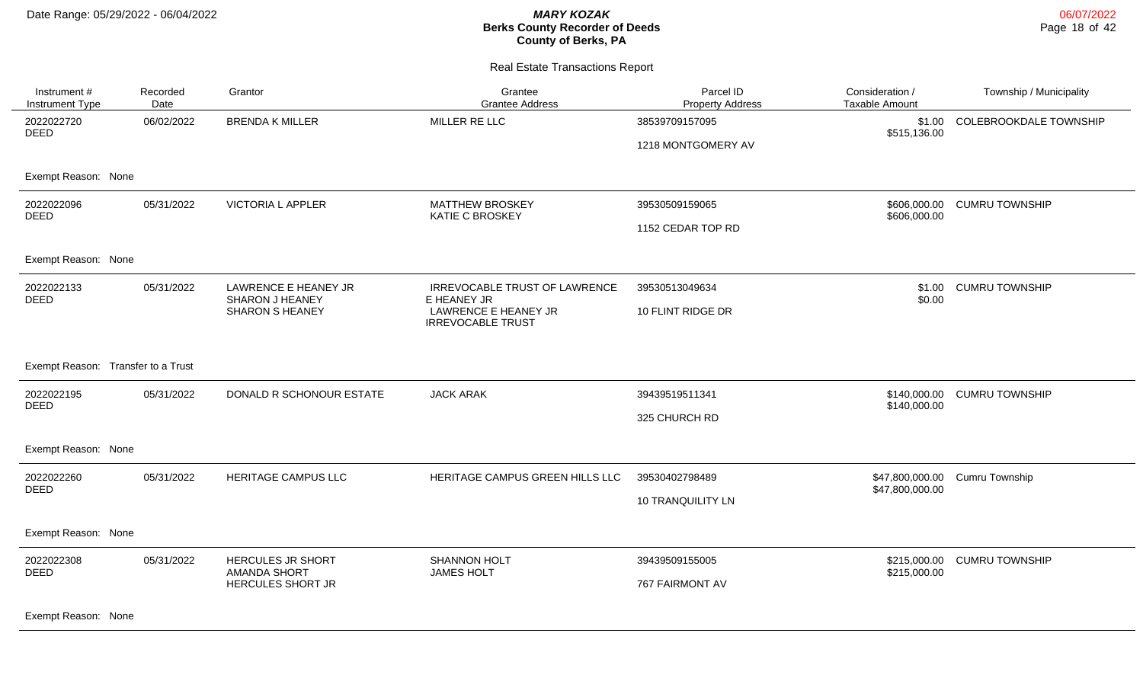| Instrument #<br>Instrument Type           | Recorded<br>Date | Grantor                                                           | Grantee<br><b>Grantee Address</b>                                                                | Parcel ID<br><b>Property Address</b>       | Consideration /<br><b>Taxable Amount</b> | Township / Municipality |
|-------------------------------------------|------------------|-------------------------------------------------------------------|--------------------------------------------------------------------------------------------------|--------------------------------------------|------------------------------------------|-------------------------|
| 2022022720<br>DEED                        | 06/02/2022       | <b>BRENDA K MILLER</b>                                            | MILLER RE LLC                                                                                    | 38539709157095<br>1218 MONTGOMERY AV       | \$1.00<br>\$515,136.00                   | COLEBROOKDALE TOWNSHIP  |
| Exempt Reason: None                       |                  |                                                                   |                                                                                                  |                                            |                                          |                         |
| 2022022096<br><b>DEED</b>                 | 05/31/2022       | <b>VICTORIA L APPLER</b>                                          | <b>MATTHEW BROSKEY</b><br><b>KATIE C BROSKEY</b>                                                 | 39530509159065<br>1152 CEDAR TOP RD        | \$606,000.00<br>\$606,000.00             | <b>CUMRU TOWNSHIP</b>   |
| Exempt Reason: None                       |                  |                                                                   |                                                                                                  |                                            |                                          |                         |
| 2022022133<br>DEED                        | 05/31/2022       | LAWRENCE E HEANEY JR<br>SHARON J HEANEY<br><b>SHARON S HEANEY</b> | IRREVOCABLE TRUST OF LAWRENCE<br>E HEANEY JR<br>LAWRENCE E HEANEY JR<br><b>IRREVOCABLE TRUST</b> | 39530513049634<br>10 FLINT RIDGE DR        | \$1.00<br>\$0.00                         | <b>CUMRU TOWNSHIP</b>   |
| Exempt Reason: Transfer to a Trust        |                  |                                                                   |                                                                                                  |                                            |                                          |                         |
| 2022022195<br><b>DEED</b>                 | 05/31/2022       | DONALD R SCHONOUR ESTATE                                          | <b>JACK ARAK</b>                                                                                 | 39439519511341<br>325 CHURCH RD            | \$140,000.00<br>\$140,000.00             | <b>CUMRU TOWNSHIP</b>   |
| Exempt Reason: None                       |                  |                                                                   |                                                                                                  |                                            |                                          |                         |
| 2022022260<br><b>DEED</b>                 | 05/31/2022       | HERITAGE CAMPUS LLC                                               | HERITAGE CAMPUS GREEN HILLS LLC                                                                  | 39530402798489<br><b>10 TRANQUILITY LN</b> | \$47,800,000.00<br>\$47,800,000.00       | Cumru Township          |
| Exempt Reason: None                       |                  |                                                                   |                                                                                                  |                                            |                                          |                         |
| 2022022308<br>DEED<br>Exempt Reason: None | 05/31/2022       | HERCULES JR SHORT<br><b>AMANDA SHORT</b><br>HERCULES SHORT JR     | SHANNON HOLT<br><b>JAMES HOLT</b>                                                                | 39439509155005<br>767 FAIRMONT AV          | \$215,000.00<br>\$215,000.00             | <b>CUMRU TOWNSHIP</b>   |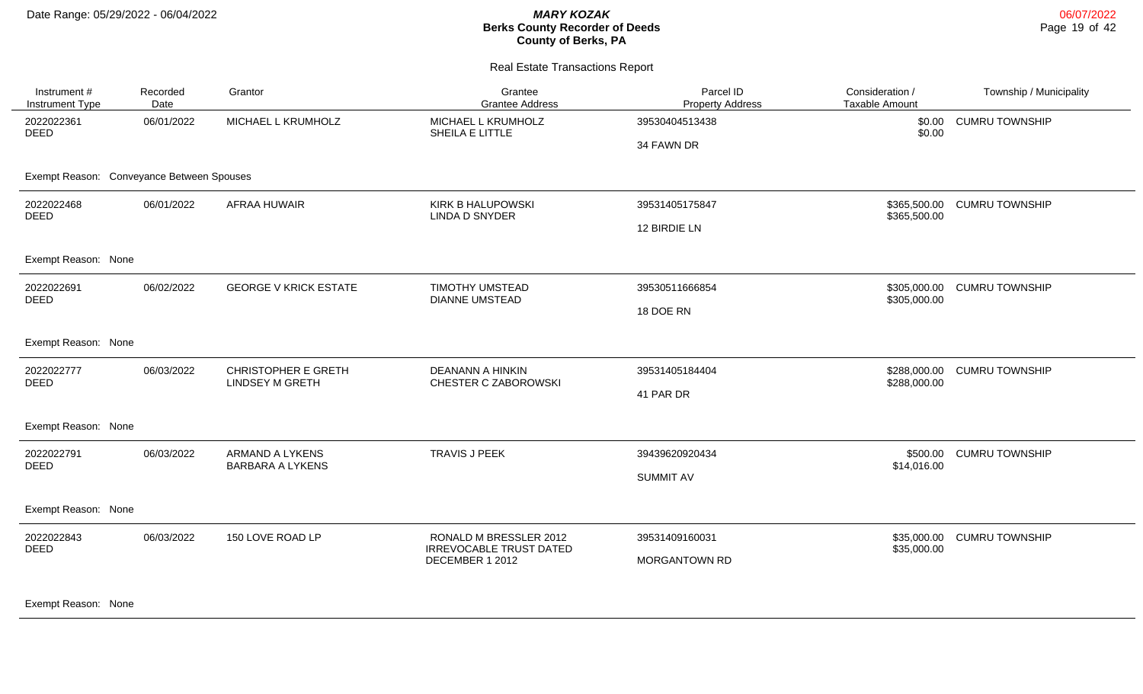#### Real Estate Transactions Report

| Instrument#<br>Instrument Type            | Recorded<br>Date | Grantor                                              | Grantee<br><b>Grantee Address</b>                                           | Parcel ID<br><b>Property Address</b>   | Consideration /<br><b>Taxable Amount</b> | Township / Municipality |
|-------------------------------------------|------------------|------------------------------------------------------|-----------------------------------------------------------------------------|----------------------------------------|------------------------------------------|-------------------------|
| 2022022361<br><b>DEED</b>                 | 06/01/2022       | MICHAEL L KRUMHOLZ                                   | MICHAEL L KRUMHOLZ<br>SHEILA E LITTLE                                       | 39530404513438<br>34 FAWN DR           | \$0.00<br>\$0.00                         | <b>CUMRU TOWNSHIP</b>   |
| Exempt Reason: Conveyance Between Spouses |                  |                                                      |                                                                             |                                        |                                          |                         |
| 2022022468<br>DEED                        | 06/01/2022       | AFRAA HUWAIR                                         | <b>KIRK B HALUPOWSKI</b><br>LINDA D SNYDER                                  | 39531405175847<br>12 BIRDIE LN         | \$365,500.00<br>\$365,500.00             | <b>CUMRU TOWNSHIP</b>   |
| Exempt Reason: None                       |                  |                                                      |                                                                             |                                        |                                          |                         |
| 2022022691<br><b>DEED</b>                 | 06/02/2022       | <b>GEORGE V KRICK ESTATE</b>                         | <b>TIMOTHY UMSTEAD</b><br><b>DIANNE UMSTEAD</b>                             | 39530511666854<br>18 DOE RN            | \$305,000.00<br>\$305,000.00             | <b>CUMRU TOWNSHIP</b>   |
| Exempt Reason: None                       |                  |                                                      |                                                                             |                                        |                                          |                         |
| 2022022777<br><b>DEED</b>                 | 06/03/2022       | <b>CHRISTOPHER E GRETH</b><br><b>LINDSEY M GRETH</b> | <b>DEANANN A HINKIN</b><br>CHESTER C ZABOROWSKI                             | 39531405184404<br>41 PAR DR            | \$288,000.00<br>\$288,000.00             | <b>CUMRU TOWNSHIP</b>   |
| Exempt Reason: None                       |                  |                                                      |                                                                             |                                        |                                          |                         |
| 2022022791<br><b>DEED</b>                 | 06/03/2022       | ARMAND A LYKENS<br><b>BARBARA A LYKENS</b>           | <b>TRAVIS J PEEK</b>                                                        | 39439620920434<br><b>SUMMIT AV</b>     | \$500.00<br>\$14,016.00                  | <b>CUMRU TOWNSHIP</b>   |
| Exempt Reason: None                       |                  |                                                      |                                                                             |                                        |                                          |                         |
| 2022022843<br><b>DEED</b>                 | 06/03/2022       | 150 LOVE ROAD LP                                     | RONALD M BRESSLER 2012<br><b>IRREVOCABLE TRUST DATED</b><br>DECEMBER 1 2012 | 39531409160031<br><b>MORGANTOWN RD</b> | \$35,000.00<br>\$35,000.00               | <b>CUMRU TOWNSHIP</b>   |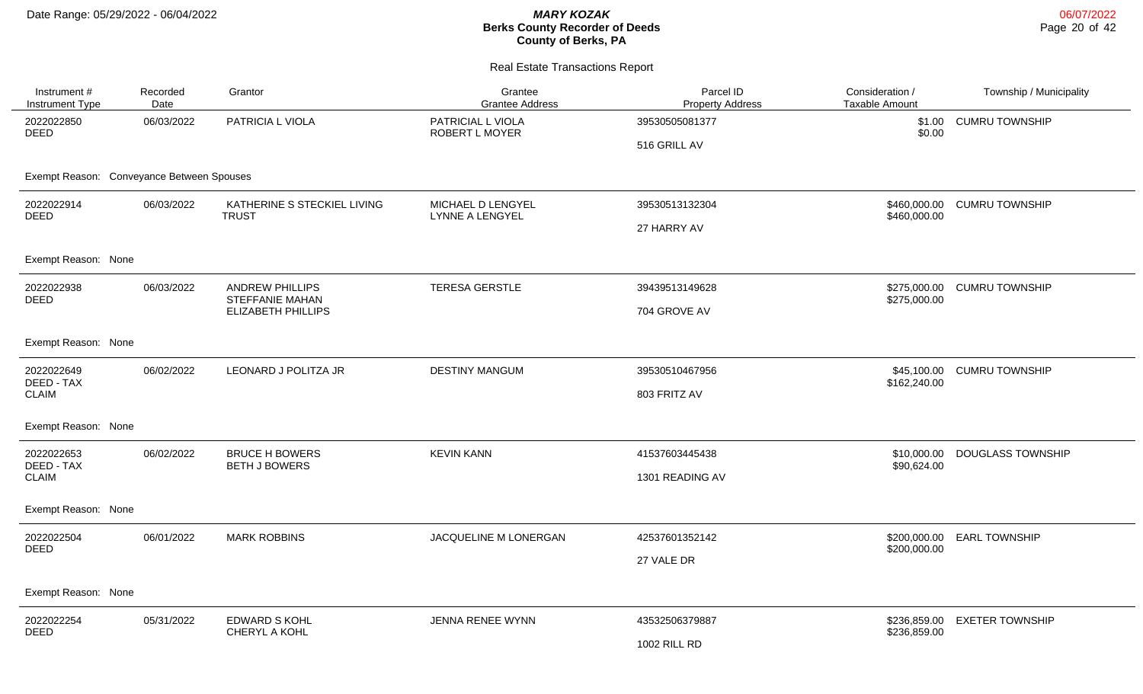| Instrument #<br>Instrument Type           | Recorded<br>Date                                                         | Grantor                                       | Grantee<br><b>Grantee Address</b>           | Parcel ID<br><b>Property Address</b> | Consideration /<br><b>Taxable Amount</b> | Township / Municipality  |
|-------------------------------------------|--------------------------------------------------------------------------|-----------------------------------------------|---------------------------------------------|--------------------------------------|------------------------------------------|--------------------------|
| 2022022850<br><b>DEED</b>                 | 06/03/2022                                                               | PATRICIA L VIOLA                              | PATRICIAL L VIOLA<br>ROBERT L MOYER         | 39530505081377                       | \$1.00<br>\$0.00                         | <b>CUMRU TOWNSHIP</b>    |
|                                           |                                                                          |                                               |                                             | 516 GRILL AV                         |                                          |                          |
| Exempt Reason: Conveyance Between Spouses |                                                                          |                                               |                                             |                                      |                                          |                          |
| 2022022914                                | 06/03/2022<br>KATHERINE S STECKIEL LIVING<br><b>DEED</b><br><b>TRUST</b> |                                               | MICHAEL D LENGYEL<br><b>LYNNE A LENGYEL</b> | 39530513132304                       | \$460,000.00<br>\$460,000.00             | <b>CUMRU TOWNSHIP</b>    |
|                                           |                                                                          |                                               | 27 HARRY AV                                 |                                      |                                          |                          |
| Exempt Reason: None                       |                                                                          |                                               |                                             |                                      |                                          |                          |
| 2022022938<br><b>DEED</b>                 | 06/03/2022                                                               | <b>ANDREW PHILLIPS</b>                        | <b>TERESA GERSTLE</b>                       | 39439513149628                       | \$275,000.00                             | <b>CUMRU TOWNSHIP</b>    |
|                                           |                                                                          | <b>STEFFANIE MAHAN</b><br>ELIZABETH PHILLIPS  |                                             | 704 GROVE AV                         | \$275,000.00                             |                          |
| Exempt Reason: None                       |                                                                          |                                               |                                             |                                      |                                          |                          |
| 2022022649<br>DEED - TAX                  | 06/02/2022                                                               | LEONARD J POLITZA JR                          | <b>DESTINY MANGUM</b>                       | 39530510467956                       | \$45,100.00<br>\$162,240.00              | <b>CUMRU TOWNSHIP</b>    |
| <b>CLAIM</b>                              |                                                                          |                                               |                                             | 803 FRITZ AV                         |                                          |                          |
| Exempt Reason: None                       |                                                                          |                                               |                                             |                                      |                                          |                          |
| 2022022653<br>DEED - TAX                  | 06/02/2022                                                               | <b>BRUCE H BOWERS</b><br><b>BETH J BOWERS</b> | <b>KEVIN KANN</b>                           | 41537603445438                       | \$10,000.00<br>\$90,624.00               | <b>DOUGLASS TOWNSHIP</b> |
| <b>CLAIM</b>                              |                                                                          |                                               |                                             | 1301 READING AV                      |                                          |                          |
| Exempt Reason: None                       |                                                                          |                                               |                                             |                                      |                                          |                          |
| 2022022504<br><b>DEED</b>                 | 06/01/2022                                                               | <b>MARK ROBBINS</b>                           | JACQUELINE M LONERGAN                       | 42537601352142                       | \$200,000.00<br>\$200,000.00             | <b>EARL TOWNSHIP</b>     |
|                                           |                                                                          |                                               |                                             | 27 VALE DR                           |                                          |                          |
| Exempt Reason: None                       |                                                                          |                                               |                                             |                                      |                                          |                          |
| 2022022254                                | 05/31/2022                                                               | <b>EDWARD S KOHL</b>                          | JENNA RENEE WYNN                            | 43532506379887                       | \$236,859.00                             | <b>EXETER TOWNSHIP</b>   |
| <b>DEED</b>                               |                                                                          | CHERYL A KOHL                                 |                                             | 1002 RILL RD                         | \$236,859.00                             |                          |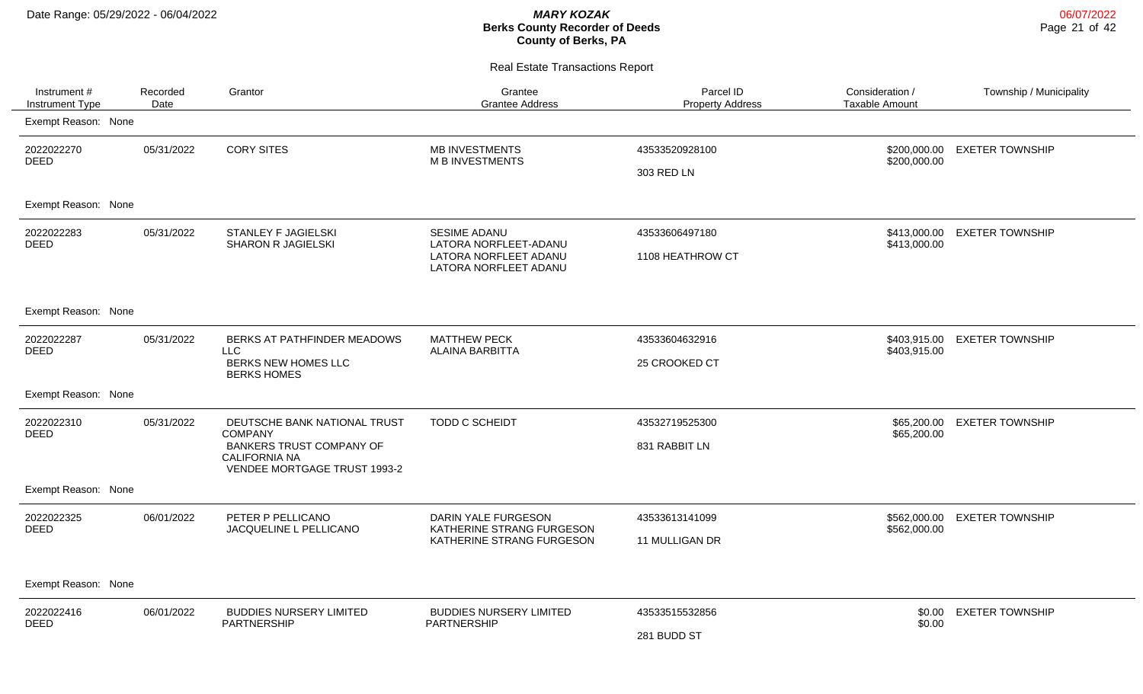Real Estate Transactions Report

| Instrument #<br>Instrument Type | Recorded<br>Date | Grantor                                                                                                                                   | Grantee<br><b>Grantee Address</b>                                                              | Parcel ID<br><b>Property Address</b> | Consideration /<br><b>Taxable Amount</b> | Township / Municipality      |
|---------------------------------|------------------|-------------------------------------------------------------------------------------------------------------------------------------------|------------------------------------------------------------------------------------------------|--------------------------------------|------------------------------------------|------------------------------|
| Exempt Reason: None             |                  |                                                                                                                                           |                                                                                                |                                      |                                          |                              |
| 2022022270<br><b>DEED</b>       | 05/31/2022       | <b>CORY SITES</b>                                                                                                                         | <b>MB INVESTMENTS</b><br><b>M B INVESTMENTS</b>                                                | 43533520928100<br>303 RED LN         | \$200,000.00<br>\$200,000.00             | <b>EXETER TOWNSHIP</b>       |
| Exempt Reason: None             |                  |                                                                                                                                           |                                                                                                |                                      |                                          |                              |
| 2022022283<br><b>DEED</b>       | 05/31/2022       | <b>STANLEY F JAGIELSKI</b><br><b>SHARON R JAGIELSKI</b>                                                                                   | <b>SESIME ADANU</b><br>LATORA NORFLEET-ADANU<br>LATORA NORFLEET ADANU<br>LATORA NORFLEET ADANU | 43533606497180<br>1108 HEATHROW CT   | \$413,000.00                             | \$413,000.00 EXETER TOWNSHIP |
| Exempt Reason: None             |                  |                                                                                                                                           |                                                                                                |                                      |                                          |                              |
| 2022022287<br><b>DEED</b>       | 05/31/2022       | BERKS AT PATHFINDER MEADOWS<br>LLC<br>BERKS NEW HOMES LLC<br><b>BERKS HOMES</b>                                                           | <b>MATTHEW PECK</b><br><b>ALAINA BARBITTA</b>                                                  | 43533604632916<br>25 CROOKED CT      | \$403,915.00                             | \$403,915.00 EXETER TOWNSHIP |
| Exempt Reason: None             |                  |                                                                                                                                           |                                                                                                |                                      |                                          |                              |
| 2022022310<br><b>DEED</b>       | 05/31/2022       | DEUTSCHE BANK NATIONAL TRUST<br><b>COMPANY</b><br><b>BANKERS TRUST COMPANY OF</b><br><b>CALIFORNIA NA</b><br>VENDEE MORTGAGE TRUST 1993-2 | TODD C SCHEIDT                                                                                 | 43532719525300<br>831 RABBIT LN      | \$65,200.00                              | \$65,200.00 EXETER TOWNSHIP  |
| Exempt Reason: None             |                  |                                                                                                                                           |                                                                                                |                                      |                                          |                              |
| 2022022325<br><b>DEED</b>       | 06/01/2022       | PETER P PELLICANO<br>JACQUELINE L PELLICANO                                                                                               | <b>DARIN YALE FURGESON</b><br>KATHERINE STRANG FURGESON<br>KATHERINE STRANG FURGESON           | 43533613141099<br>11 MULLIGAN DR     | \$562,000.00                             | \$562,000.00 EXETER TOWNSHIP |
| Exempt Reason: None             |                  |                                                                                                                                           |                                                                                                |                                      |                                          |                              |
| 2022022416<br><b>DEED</b>       | 06/01/2022       | <b>BUDDIES NURSERY LIMITED</b><br>PARTNERSHIP                                                                                             | <b>BUDDIES NURSERY LIMITED</b><br><b>PARTNERSHIP</b>                                           | 43533515532856<br>281 BUDD ST        | \$0.00<br>\$0.00                         | <b>EXETER TOWNSHIP</b>       |

06/07/2022 Page 21 of 42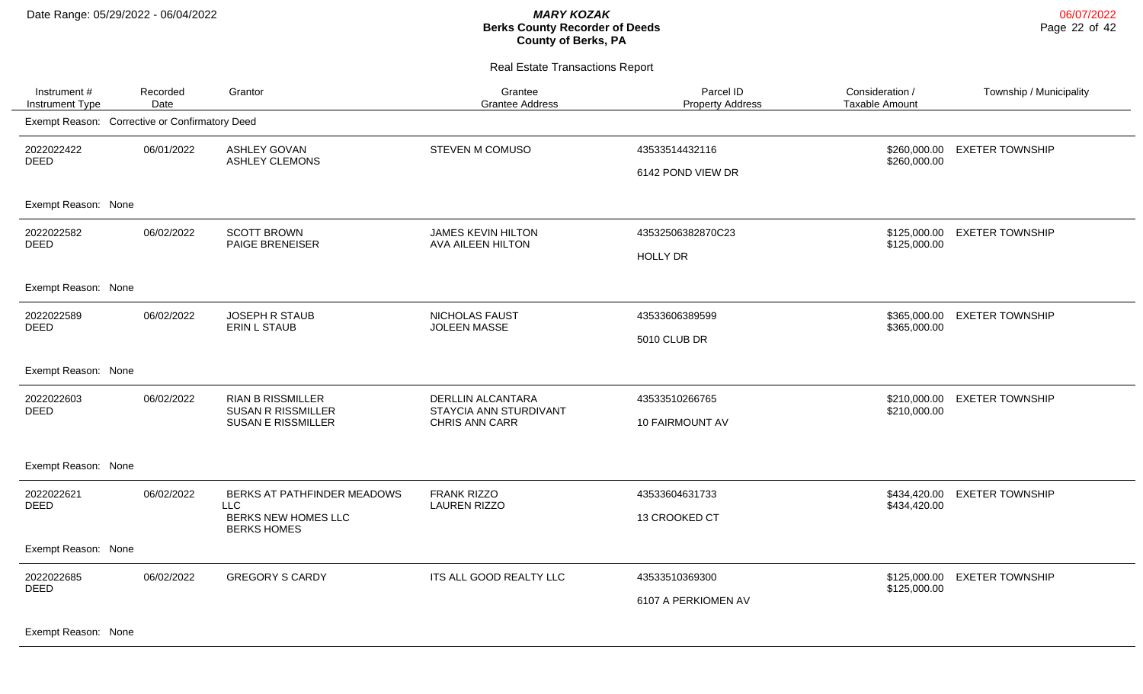Real Estate Transactions Report

| Instrument #<br>Instrument Type                | Recorded<br>Date | Grantor                                                                            | Grantee<br><b>Grantee Address</b>                                           | Parcel ID<br><b>Property Address</b>  | Consideration /<br><b>Taxable Amount</b> | Township / Municipality |
|------------------------------------------------|------------------|------------------------------------------------------------------------------------|-----------------------------------------------------------------------------|---------------------------------------|------------------------------------------|-------------------------|
| Exempt Reason: Corrective or Confirmatory Deed |                  |                                                                                    |                                                                             |                                       |                                          |                         |
| 2022022422<br><b>DEED</b>                      | 06/01/2022       | <b>ASHLEY GOVAN</b><br><b>ASHLEY CLEMONS</b>                                       | <b>STEVEN M COMUSO</b>                                                      | 43533514432116<br>6142 POND VIEW DR   | \$260,000.00<br>\$260,000.00             | <b>EXETER TOWNSHIP</b>  |
| Exempt Reason: None                            |                  |                                                                                    |                                                                             |                                       |                                          |                         |
| 2022022582<br>DEED                             | 06/02/2022       | <b>SCOTT BROWN</b><br>PAIGE BRENEISER                                              | <b>JAMES KEVIN HILTON</b><br>AVA AILEEN HILTON                              | 43532506382870C23<br><b>HOLLY DR</b>  | \$125,000.00<br>\$125,000.00             | <b>EXETER TOWNSHIP</b>  |
| Exempt Reason: None                            |                  |                                                                                    |                                                                             |                                       |                                          |                         |
| 2022022589<br><b>DEED</b>                      | 06/02/2022       | <b>JOSEPH R STAUB</b><br><b>ERIN L STAUB</b>                                       | <b>NICHOLAS FAUST</b><br><b>JOLEEN MASSE</b>                                | 43533606389599<br>5010 CLUB DR        | \$365,000.00<br>\$365,000.00             | <b>EXETER TOWNSHIP</b>  |
| Exempt Reason: None                            |                  |                                                                                    |                                                                             |                                       |                                          |                         |
| 2022022603<br><b>DEED</b>                      | 06/02/2022       | <b>RIAN B RISSMILLER</b><br><b>SUSAN R RISSMILLER</b><br><b>SUSAN E RISSMILLER</b> | <b>DERLLIN ALCANTARA</b><br>STAYCIA ANN STURDIVANT<br><b>CHRIS ANN CARR</b> | 43533510266765<br>10 FAIRMOUNT AV     | \$210,000.00<br>\$210,000.00             | <b>EXETER TOWNSHIP</b>  |
| Exempt Reason: None                            |                  |                                                                                    |                                                                             |                                       |                                          |                         |
| 2022022621<br><b>DEED</b>                      | 06/02/2022       | BERKS AT PATHFINDER MEADOWS<br>LLC<br>BERKS NEW HOMES LLC<br><b>BERKS HOMES</b>    | FRANK RIZZO<br><b>LAUREN RIZZO</b>                                          | 43533604631733<br>13 CROOKED CT       | \$434,420.00<br>\$434,420.00             | <b>EXETER TOWNSHIP</b>  |
| Exempt Reason: None                            |                  |                                                                                    |                                                                             |                                       |                                          |                         |
| 2022022685<br><b>DEED</b>                      | 06/02/2022       | <b>GREGORY S CARDY</b>                                                             | ITS ALL GOOD REALTY LLC                                                     | 43533510369300<br>6107 A PERKIOMEN AV | \$125,000.00<br>\$125,000.00             | <b>EXETER TOWNSHIP</b>  |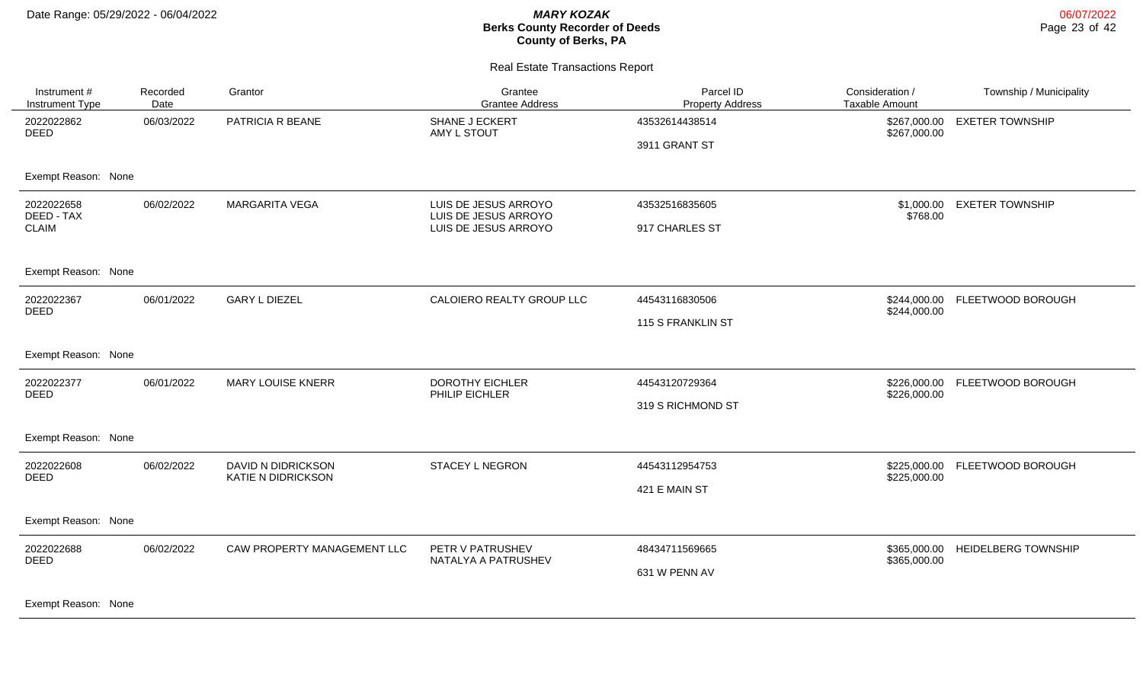#### Real Estate Transactions Report

| Instrument #<br>Instrument Type | Recorded<br>Date | Grantor                                         | Grantee<br><b>Grantee Address</b>            | Parcel ID<br><b>Property Address</b> | Consideration /<br><b>Taxable Amount</b> | Township / Municipality    |
|---------------------------------|------------------|-------------------------------------------------|----------------------------------------------|--------------------------------------|------------------------------------------|----------------------------|
| 2022022862<br><b>DEED</b>       | 06/03/2022       | PATRICIA R BEANE                                | SHANE J ECKERT<br>AMY L STOUT                | 43532614438514<br>3911 GRANT ST      | \$267,000.00<br>\$267,000.00             | <b>EXETER TOWNSHIP</b>     |
| Exempt Reason: None             |                  |                                                 |                                              |                                      |                                          |                            |
| 2022022658<br>DEED - TAX        | 06/02/2022       | <b>MARGARITA VEGA</b>                           | LUIS DE JESUS ARROYO<br>LUIS DE JESUS ARROYO | 43532516835605                       | \$1,000.00<br>\$768.00                   | <b>EXETER TOWNSHIP</b>     |
| <b>CLAIM</b>                    |                  |                                                 | LUIS DE JESUS ARROYO                         | 917 CHARLES ST                       |                                          |                            |
| Exempt Reason: None             |                  |                                                 |                                              |                                      |                                          |                            |
| 2022022367<br><b>DEED</b>       | 06/01/2022       | <b>GARY L DIEZEL</b>                            | CALOIERO REALTY GROUP LLC                    | 44543116830506                       | \$244,000.00<br>\$244,000.00             | FLEETWOOD BOROUGH          |
|                                 |                  |                                                 |                                              | 115 S FRANKLIN ST                    |                                          |                            |
| Exempt Reason: None             |                  |                                                 |                                              |                                      |                                          |                            |
| 2022022377<br><b>DEED</b>       | 06/01/2022       | <b>MARY LOUISE KNERR</b>                        | <b>DOROTHY EICHLER</b><br>PHILIP EICHLER     | 44543120729364                       | \$226,000.00<br>\$226,000.00             | FLEETWOOD BOROUGH          |
|                                 |                  |                                                 |                                              | 319 S RICHMOND ST                    |                                          |                            |
| Exempt Reason: None             |                  |                                                 |                                              |                                      |                                          |                            |
| 2022022608<br><b>DEED</b>       | 06/02/2022       | DAVID N DIDRICKSON<br><b>KATIE N DIDRICKSON</b> | <b>STACEY L NEGRON</b>                       | 44543112954753                       | \$225,000.00<br>\$225,000.00             | FLEETWOOD BOROUGH          |
|                                 |                  |                                                 |                                              | 421 E MAIN ST                        |                                          |                            |
| Exempt Reason: None             |                  |                                                 |                                              |                                      |                                          |                            |
| 2022022688<br><b>DEED</b>       | 06/02/2022       | CAW PROPERTY MANAGEMENT LLC                     | PETR V PATRUSHEV<br>NATALYA A PATRUSHEV      | 48434711569665                       | \$365,000.00<br>\$365,000.00             | <b>HEIDELBERG TOWNSHIP</b> |
|                                 |                  | 631 W PENN AV                                   |                                              |                                      |                                          |                            |
|                                 |                  |                                                 |                                              |                                      |                                          |                            |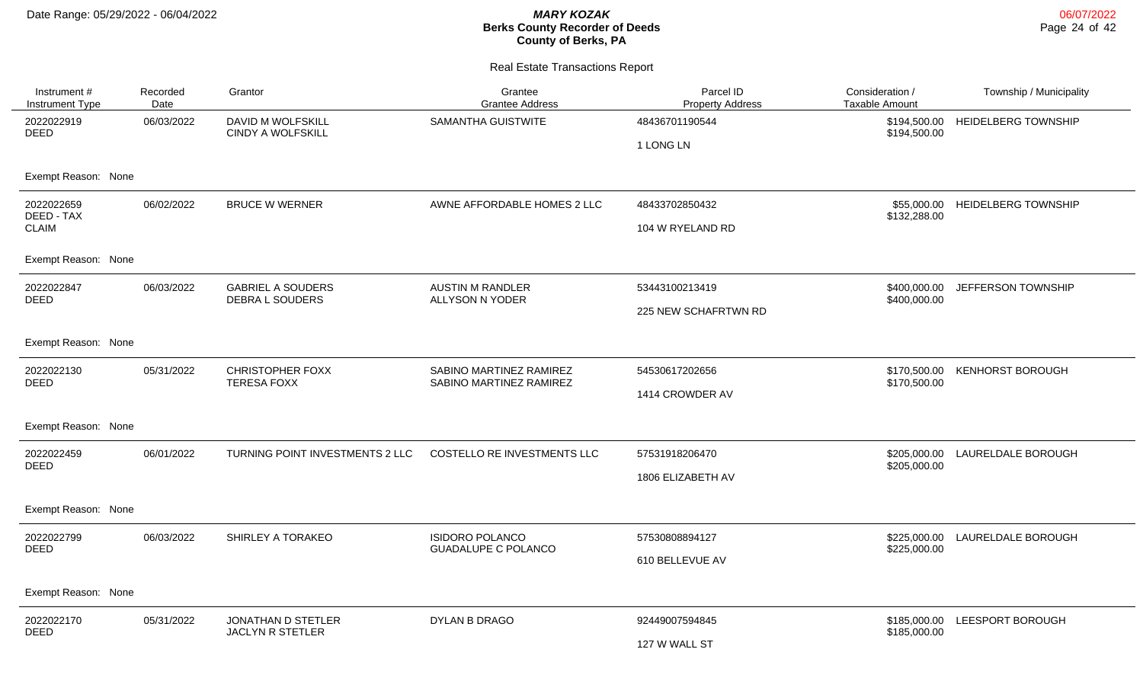| Instrument #<br><b>Instrument Type</b>                          | Recorded<br>Date | Grantor                                            | Grantee<br><b>Grantee Address</b>                    | Parcel ID<br><b>Property Address</b>   | Consideration /<br><b>Taxable Amount</b> | Township / Municipality         |
|-----------------------------------------------------------------|------------------|----------------------------------------------------|------------------------------------------------------|----------------------------------------|------------------------------------------|---------------------------------|
| 2022022919<br><b>DEED</b>                                       | 06/03/2022       | DAVID M WOLFSKILL<br><b>CINDY A WOLFSKILL</b>      | SAMANTHA GUISTWITE                                   | 48436701190544<br>1 LONG LN            | \$194,500.00<br>\$194,500.00             | <b>HEIDELBERG TOWNSHIP</b>      |
| Exempt Reason: None                                             |                  |                                                    |                                                      |                                        |                                          |                                 |
| 2022022659<br>DEED - TAX<br><b>CLAIM</b><br>Exempt Reason: None | 06/02/2022       | <b>BRUCE W WERNER</b>                              | AWNE AFFORDABLE HOMES 2 LLC                          | 48433702850432<br>104 W RYELAND RD     | \$132,288.00                             | \$55,000.00 HEIDELBERG TOWNSHIP |
| 2022022847<br><b>DEED</b>                                       | 06/03/2022       | <b>GABRIEL A SOUDERS</b><br><b>DEBRA L SOUDERS</b> | <b>AUSTIN M RANDLER</b><br>ALLYSON N YODER           | 53443100213419<br>225 NEW SCHAFRTWN RD | \$400,000.00<br>\$400,000.00             | <b>JEFFERSON TOWNSHIP</b>       |
| Exempt Reason: None                                             |                  |                                                    |                                                      |                                        |                                          |                                 |
| 2022022130<br><b>DEED</b>                                       | 05/31/2022       | <b>CHRISTOPHER FOXX</b><br><b>TERESA FOXX</b>      | SABINO MARTINEZ RAMIREZ<br>SABINO MARTINEZ RAMIREZ   | 54530617202656<br>1414 CROWDER AV      | \$170,500.00<br>\$170,500.00             | <b>KENHORST BOROUGH</b>         |
| Exempt Reason: None                                             |                  |                                                    |                                                      |                                        |                                          |                                 |
| 2022022459<br><b>DEED</b>                                       | 06/01/2022       | TURNING POINT INVESTMENTS 2 LLC                    | COSTELLO RE INVESTMENTS LLC                          | 57531918206470<br>1806 ELIZABETH AV    | \$205,000.00                             | \$205,000.00 LAURELDALE BOROUGH |
| Exempt Reason: None                                             |                  |                                                    |                                                      |                                        |                                          |                                 |
| 2022022799<br><b>DEED</b>                                       | 06/03/2022       | SHIRLEY A TORAKEO                                  | <b>ISIDORO POLANCO</b><br><b>GUADALUPE C POLANCO</b> | 57530808894127<br>610 BELLEVUE AV      | \$225,000.00<br>\$225,000.00             | LAURELDALE BOROUGH              |
| Exempt Reason: None                                             |                  |                                                    |                                                      |                                        |                                          |                                 |
| 2022022170<br><b>DEED</b>                                       | 05/31/2022       | JONATHAN D STETLER<br><b>JACLYN R STETLER</b>      | DYLAN B DRAGO                                        | 92449007594845<br>127 W WALL ST        | \$185,000.00<br>\$185,000.00             | LEESPORT BOROUGH                |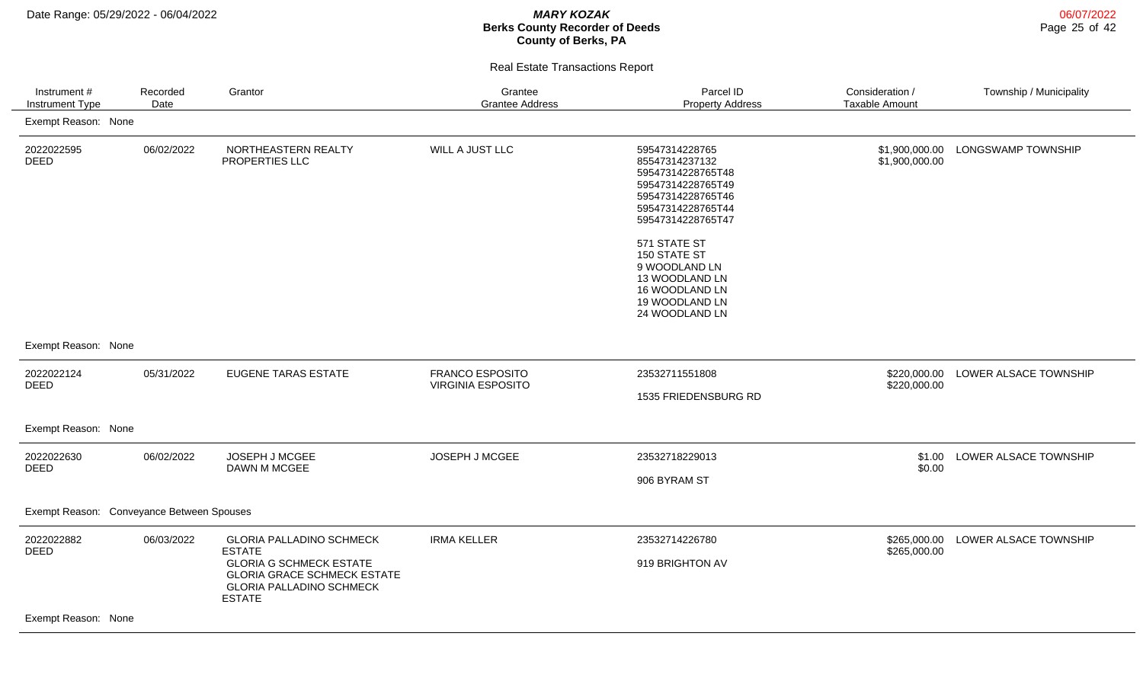| Instrument #<br>Instrument Type           | Recorded<br>Date | Grantor                                                                                                                  | Grantee<br><b>Grantee Address</b>                  | Parcel ID<br><b>Property Address</b>                                                                                                                                                                                                                               | Consideration /<br><b>Taxable Amount</b> | Township / Municipality |
|-------------------------------------------|------------------|--------------------------------------------------------------------------------------------------------------------------|----------------------------------------------------|--------------------------------------------------------------------------------------------------------------------------------------------------------------------------------------------------------------------------------------------------------------------|------------------------------------------|-------------------------|
| Exempt Reason: None                       |                  |                                                                                                                          |                                                    |                                                                                                                                                                                                                                                                    |                                          |                         |
| 2022022595<br>DEED                        | 06/02/2022       | NORTHEASTERN REALTY<br>PROPERTIES LLC                                                                                    | WILL A JUST LLC                                    | 59547314228765<br>85547314237132<br>59547314228765T48<br>59547314228765T49<br>59547314228765T46<br>59547314228765T44<br>59547314228765T47<br>571 STATE ST<br>150 STATE ST<br>9 WOODLAND LN<br>13 WOODLAND LN<br>16 WOODLAND LN<br>19 WOODLAND LN<br>24 WOODLAND LN | \$1,900,000.00<br>\$1,900,000.00         | LONGSWAMP TOWNSHIP      |
| Exempt Reason: None                       |                  |                                                                                                                          |                                                    |                                                                                                                                                                                                                                                                    |                                          |                         |
| 2022022124                                | 05/31/2022       | <b>EUGENE TARAS ESTATE</b>                                                                                               | <b>FRANCO ESPOSITO</b><br><b>VIRGINIA ESPOSITO</b> | 23532711551808                                                                                                                                                                                                                                                     | \$220,000.00<br>\$220,000.00             | LOWER ALSACE TOWNSHIP   |
| <b>DEED</b>                               |                  |                                                                                                                          |                                                    | 1535 FRIEDENSBURG RD                                                                                                                                                                                                                                               |                                          |                         |
| Exempt Reason: None                       |                  |                                                                                                                          |                                                    |                                                                                                                                                                                                                                                                    |                                          |                         |
| 2022022630<br><b>DEED</b>                 | 06/02/2022       | JOSEPH J MCGEE<br>DAWN M MCGEE                                                                                           | JOSEPH J MCGEE                                     | 23532718229013                                                                                                                                                                                                                                                     | \$1.00<br>\$0.00                         | LOWER ALSACE TOWNSHIP   |
|                                           |                  |                                                                                                                          |                                                    | 906 BYRAM ST                                                                                                                                                                                                                                                       |                                          |                         |
| Exempt Reason: Conveyance Between Spouses |                  |                                                                                                                          |                                                    |                                                                                                                                                                                                                                                                    |                                          |                         |
| 2022022882<br><b>DEED</b>                 | 06/03/2022       | <b>GLORIA PALLADINO SCHMECK</b><br><b>ESTATE</b>                                                                         | <b>IRMA KELLER</b>                                 | 23532714226780                                                                                                                                                                                                                                                     | \$265,000.00<br>\$265,000.00             | LOWER ALSACE TOWNSHIP   |
|                                           |                  | <b>GLORIA G SCHMECK ESTATE</b><br><b>GLORIA GRACE SCHMECK ESTATE</b><br><b>GLORIA PALLADINO SCHMECK</b><br><b>ESTATE</b> |                                                    | 919 BRIGHTON AV                                                                                                                                                                                                                                                    |                                          |                         |
| Exempt Reason: None                       |                  |                                                                                                                          |                                                    |                                                                                                                                                                                                                                                                    |                                          |                         |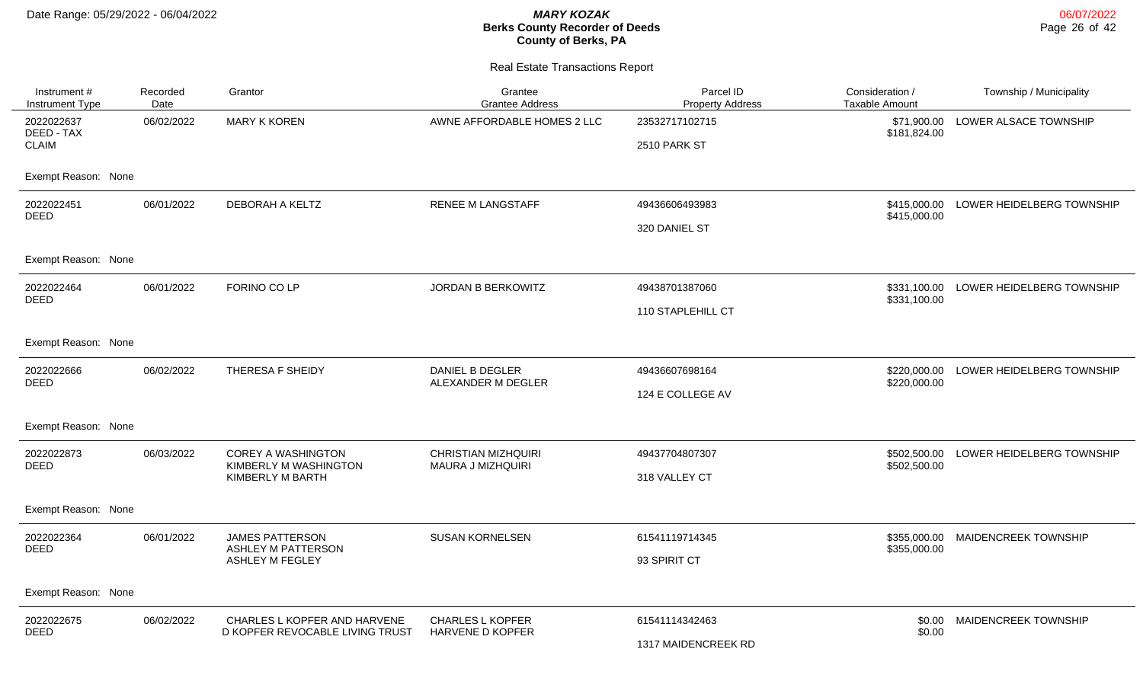| Instrument #<br>Instrument Type | Recorded<br>Date | Grantor                                             | Grantee<br><b>Grantee Address</b>                      | Parcel ID<br><b>Property Address</b> | Consideration /<br><b>Taxable Amount</b> | Township / Municipality                |
|---------------------------------|------------------|-----------------------------------------------------|--------------------------------------------------------|--------------------------------------|------------------------------------------|----------------------------------------|
| 2022022637<br>DEED - TAX        | 06/02/2022       | <b>MARY K KOREN</b>                                 | AWNE AFFORDABLE HOMES 2 LLC                            | 23532717102715                       | \$71,900.00<br>\$181,824.00              | LOWER ALSACE TOWNSHIP                  |
| <b>CLAIM</b>                    |                  |                                                     |                                                        | 2510 PARK ST                         |                                          |                                        |
| Exempt Reason: None             |                  |                                                     |                                                        |                                      |                                          |                                        |
| 2022022451<br><b>DEED</b>       | 06/01/2022       | DEBORAH A KELTZ                                     | <b>RENEE M LANGSTAFF</b>                               | 49436606493983                       | \$415,000.00                             | \$415,000.00 LOWER HEIDELBERG TOWNSHIP |
|                                 |                  |                                                     |                                                        | 320 DANIEL ST                        |                                          |                                        |
| Exempt Reason: None             |                  |                                                     |                                                        |                                      |                                          |                                        |
| 2022022464<br><b>DEED</b>       | 06/01/2022       | FORINO CO LP                                        | JORDAN B BERKOWITZ                                     | 49438701387060                       | \$331,100.00<br>\$331,100.00             | LOWER HEIDELBERG TOWNSHIP              |
|                                 |                  |                                                     |                                                        | 110 STAPLEHILL CT                    |                                          |                                        |
| Exempt Reason: None             |                  |                                                     |                                                        |                                      |                                          |                                        |
| 2022022666<br><b>DEED</b>       | 06/02/2022       | THERESA F SHEIDY                                    | <b>DANIEL B DEGLER</b><br>ALEXANDER M DEGLER           | 49436607698164                       | \$220,000.00<br>\$220,000.00             | LOWER HEIDELBERG TOWNSHIP              |
|                                 |                  |                                                     |                                                        | 124 E COLLEGE AV                     |                                          |                                        |
| Exempt Reason: None             |                  |                                                     |                                                        |                                      |                                          |                                        |
| 2022022873<br><b>DEED</b>       | 06/03/2022       | <b>COREY A WASHINGTON</b><br>KIMBERLY M WASHINGTON  | <b>CHRISTIAN MIZHQUIRI</b><br><b>MAURA J MIZHQUIRI</b> | 49437704807307                       | \$502,500.00                             | LOWER HEIDELBERG TOWNSHIP              |
|                                 |                  | KIMBERLY M BARTH                                    |                                                        | 318 VALLEY CT                        | \$502,500.00                             |                                        |
| Exempt Reason: None             |                  |                                                     |                                                        |                                      |                                          |                                        |
| 2022022364<br>DEED              | 06/01/2022       | <b>JAMES PATTERSON</b><br><b>ASHLEY M PATTERSON</b> | <b>SUSAN KORNELSEN</b>                                 | 61541119714345                       | \$355,000.00<br>\$355,000.00             | MAIDENCREEK TOWNSHIP                   |
|                                 |                  | <b>ASHLEY M FEGLEY</b>                              |                                                        | 93 SPIRIT CT                         |                                          |                                        |
| Exempt Reason: None             |                  |                                                     |                                                        |                                      |                                          |                                        |
| 2022022675                      | 06/02/2022       | CHARLES L KOPFER AND HARVENE                        | <b>CHARLES L KOPFER</b>                                | 61541114342463                       |                                          | \$0.00 MAIDENCREEK TOWNSHIP            |
| <b>DEED</b>                     |                  | D KOPFER REVOCABLE LIVING TRUST                     | HARVENE D KOPFER                                       | 1317 MAIDENCREEK RD                  | \$0.00                                   |                                        |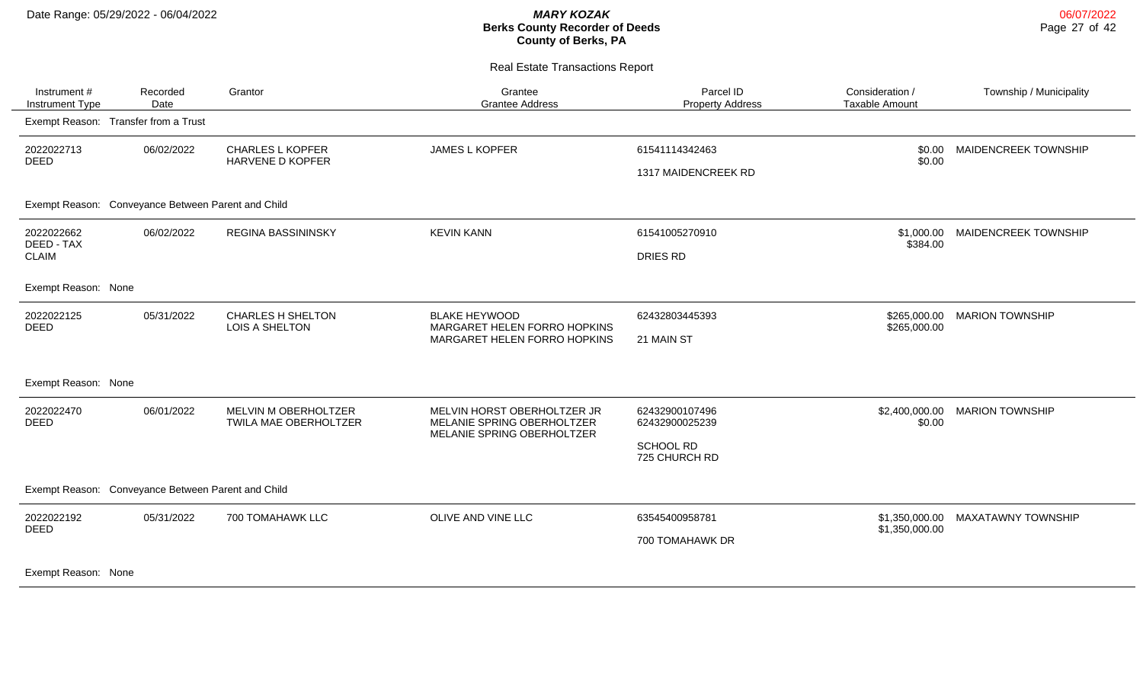| Instrument #<br>Instrument Type                    | Recorded<br>Date                    | Grantor                                       | Grantee<br><b>Grantee Address</b>                                                       | Parcel ID<br><b>Property Address</b>                           | Consideration /<br><b>Taxable Amount</b> | Township / Municipality   |
|----------------------------------------------------|-------------------------------------|-----------------------------------------------|-----------------------------------------------------------------------------------------|----------------------------------------------------------------|------------------------------------------|---------------------------|
| Exempt Reason: Transfer from a Trust               |                                     |                                               |                                                                                         |                                                                |                                          |                           |
| 2022022713<br><b>DEED</b>                          | 06/02/2022                          | <b>CHARLES L KOPFER</b><br>HARVENE D KOPFER   | JAMES L KOPFER                                                                          | 61541114342463<br>1317 MAIDENCREEK RD                          | \$0.00<br>\$0.00                         | MAIDENCREEK TOWNSHIP      |
| Exempt Reason: Conveyance Between Parent and Child |                                     |                                               |                                                                                         |                                                                |                                          |                           |
| 2022022662<br>DEED - TAX<br><b>CLAIM</b>           | 06/02/2022                          | <b>REGINA BASSININSKY</b>                     | <b>KEVIN KANN</b>                                                                       | 61541005270910<br>DRIES RD                                     | \$1,000.00<br>\$384.00                   | MAIDENCREEK TOWNSHIP      |
| Exempt Reason: None                                |                                     |                                               |                                                                                         |                                                                |                                          |                           |
| 2022022125<br><b>DEED</b>                          | 05/31/2022                          | <b>CHARLES H SHELTON</b><br>LOIS A SHELTON    | <b>BLAKE HEYWOOD</b><br>MARGARET HELEN FORRO HOPKINS<br>MARGARET HELEN FORRO HOPKINS    | 62432803445393<br>21 MAIN ST                                   | \$265,000.00<br>\$265,000.00             | <b>MARION TOWNSHIP</b>    |
| Exempt Reason: None                                |                                     |                                               |                                                                                         |                                                                |                                          |                           |
| 2022022470<br><b>DEED</b>                          | 06/01/2022                          | MELVIN M OBERHOLTZER<br>TWILA MAE OBERHOLTZER | MELVIN HORST OBERHOLTZER JR<br>MELANIE SPRING OBERHOLTZER<br>MELANIE SPRING OBERHOLTZER | 62432900107496<br>62432900025239<br>SCHOOL RD<br>725 CHURCH RD | \$2,400,000.00<br>\$0.00                 | <b>MARION TOWNSHIP</b>    |
| Exempt Reason:                                     | Conveyance Between Parent and Child |                                               |                                                                                         |                                                                |                                          |                           |
| 2022022192<br><b>DEED</b>                          | 05/31/2022                          | 700 TOMAHAWK LLC                              | OLIVE AND VINE LLC                                                                      | 63545400958781<br>700 TOMAHAWK DR                              | \$1,350,000.00<br>\$1,350,000.00         | <b>MAXATAWNY TOWNSHIP</b> |
| Exempt Reason: None                                |                                     |                                               |                                                                                         |                                                                |                                          |                           |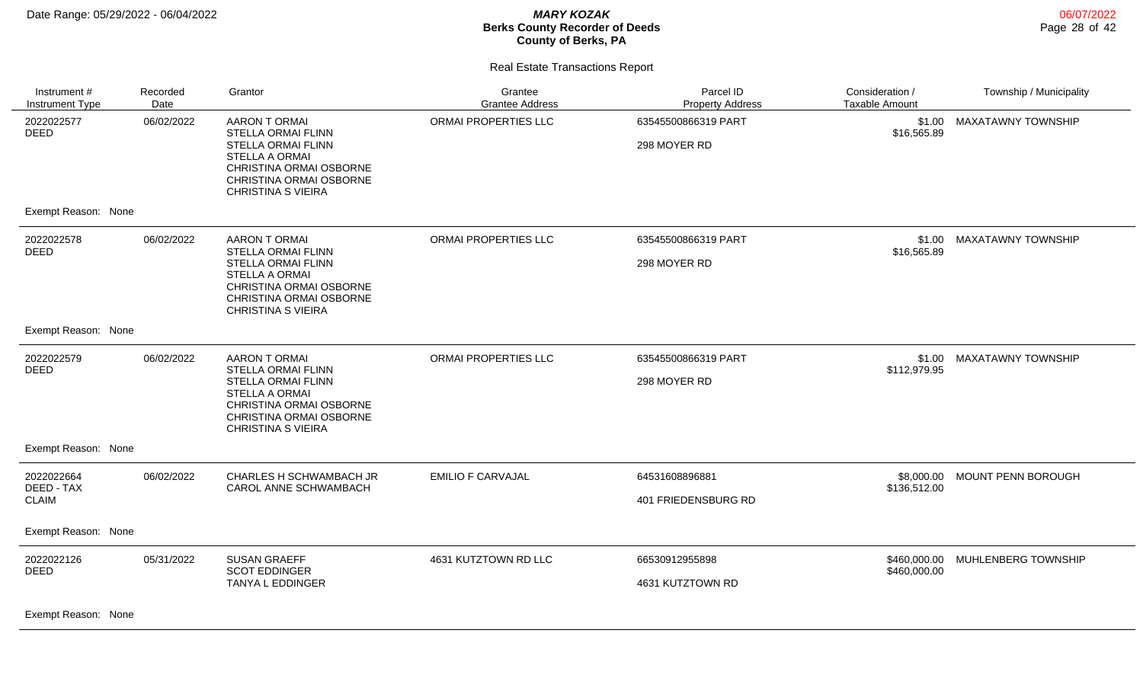| Instrument #<br>Instrument Type                  | Recorded<br>Date | Grantor                                                                                                                                                                             | Grantee<br><b>Grantee Address</b> | Parcel ID<br><b>Property Address</b>  | Consideration /<br><b>Taxable Amount</b> | Township / Municipality   |
|--------------------------------------------------|------------------|-------------------------------------------------------------------------------------------------------------------------------------------------------------------------------------|-----------------------------------|---------------------------------------|------------------------------------------|---------------------------|
| 2022022577<br><b>DEED</b>                        | 06/02/2022       | <b>AARON T ORMAI</b><br><b>STELLA ORMAI FLINN</b><br>STELLA ORMAI FLINN<br><b>STELLA A ORMAI</b><br>CHRISTINA ORMAI OSBORNE<br>CHRISTINA ORMAI OSBORNE<br><b>CHRISTINA S VIEIRA</b> | ORMAI PROPERTIES LLC              | 63545500866319 PART<br>298 MOYER RD   | \$1.00<br>\$16,565.89                    | <b>MAXATAWNY TOWNSHIP</b> |
| Exempt Reason: None                              |                  |                                                                                                                                                                                     |                                   |                                       |                                          |                           |
| 2022022578<br><b>DEED</b>                        | 06/02/2022       | <b>AARON T ORMAI</b><br>STELLA ORMAI FLINN<br>STELLA ORMAI FLINN<br><b>STELLA A ORMAI</b><br>CHRISTINA ORMAI OSBORNE<br>CHRISTINA ORMAI OSBORNE<br><b>CHRISTINA S VIEIRA</b>        | ORMAI PROPERTIES LLC              | 63545500866319 PART<br>298 MOYER RD   | \$1.00<br>\$16,565.89                    | <b>MAXATAWNY TOWNSHIP</b> |
| Exempt Reason: None                              |                  |                                                                                                                                                                                     |                                   |                                       |                                          |                           |
| 2022022579<br><b>DEED</b>                        | 06/02/2022       | <b>AARON T ORMAI</b><br><b>STELLA ORMAI FLINN</b><br>STELLA ORMAI FLINN<br><b>STELLA A ORMAI</b><br>CHRISTINA ORMAI OSBORNE<br>CHRISTINA ORMAI OSBORNE<br><b>CHRISTINA S VIEIRA</b> | ORMAI PROPERTIES LLC              | 63545500866319 PART<br>298 MOYER RD   | \$1.00<br>\$112,979.95                   | MAXATAWNY TOWNSHIP        |
| Exempt Reason: None                              |                  |                                                                                                                                                                                     |                                   |                                       |                                          |                           |
| 2022022664<br>DEED - TAX<br><b>CLAIM</b>         | 06/02/2022       | CHARLES H SCHWAMBACH JR<br>CAROL ANNE SCHWAMBACH                                                                                                                                    | <b>EMILIO F CARVAJAL</b>          | 64531608896881<br>401 FRIEDENSBURG RD | \$8,000.00<br>\$136,512.00               | MOUNT PENN BOROUGH        |
| Exempt Reason: None                              |                  |                                                                                                                                                                                     |                                   |                                       |                                          |                           |
| 2022022126<br><b>DEED</b><br>Exempt Reason: None | 05/31/2022       | <b>SUSAN GRAEFF</b><br><b>SCOT EDDINGER</b><br>TANYA L EDDINGER                                                                                                                     | 4631 KUTZTOWN RD LLC              | 66530912955898<br>4631 KUTZTOWN RD    | \$460,000.00<br>\$460,000.00             | MUHLENBERG TOWNSHIP       |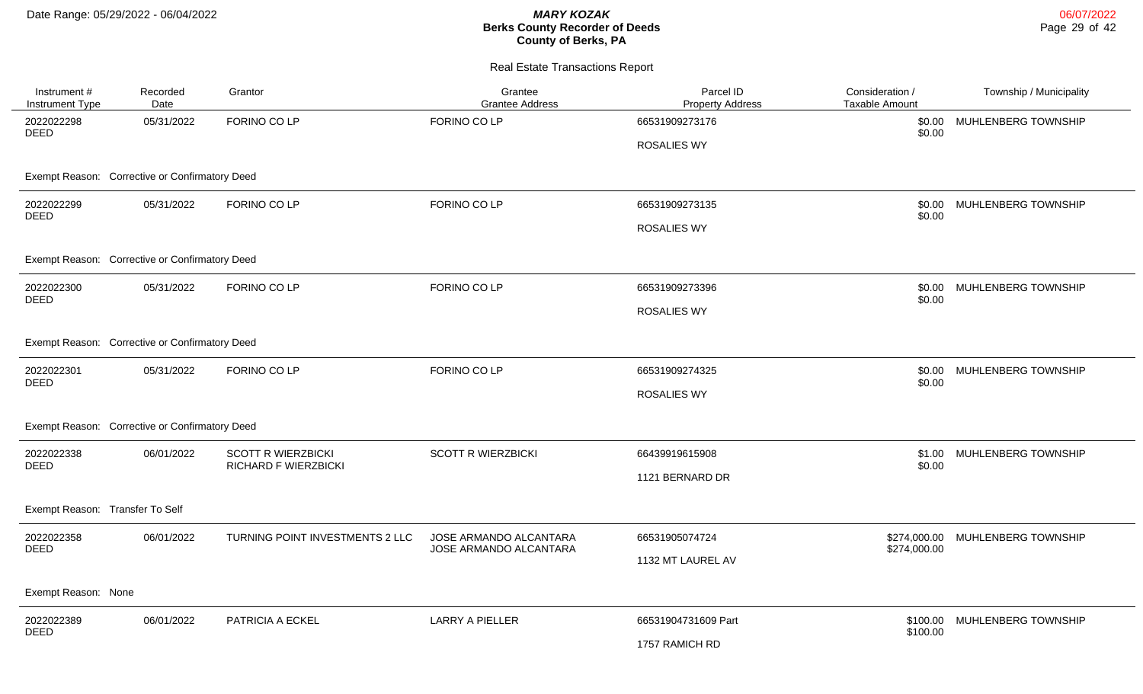| Instrument #<br>Instrument Type                | Recorded<br>Date | Grantor                         | Grantee<br><b>Grantee Address</b>                | Parcel ID<br><b>Property Address</b> | Consideration /<br>Taxable Amount | Township / Municipality |
|------------------------------------------------|------------------|---------------------------------|--------------------------------------------------|--------------------------------------|-----------------------------------|-------------------------|
| 2022022298<br><b>DEED</b>                      | 05/31/2022       | FORINO CO LP                    | FORINO CO LP                                     | 66531909273176                       | \$0.00<br>\$0.00                  | MUHLENBERG TOWNSHIP     |
|                                                |                  |                                 |                                                  | <b>ROSALIES WY</b>                   |                                   |                         |
| Exempt Reason: Corrective or Confirmatory Deed |                  |                                 |                                                  |                                      |                                   |                         |
| 2022022299<br><b>DEED</b>                      | 05/31/2022       | FORINO CO LP                    | FORINO CO LP                                     | 66531909273135                       | \$0.00<br>\$0.00                  | MUHLENBERG TOWNSHIP     |
|                                                |                  |                                 |                                                  | <b>ROSALIES WY</b>                   |                                   |                         |
| Exempt Reason: Corrective or Confirmatory Deed |                  |                                 |                                                  |                                      |                                   |                         |
| 2022022300                                     | 05/31/2022       | FORINO CO LP                    | FORINO CO LP                                     | 66531909273396                       | \$0.00                            | MUHLENBERG TOWNSHIP     |
| <b>DEED</b>                                    |                  |                                 |                                                  | <b>ROSALIES WY</b>                   | \$0.00                            |                         |
| Exempt Reason: Corrective or Confirmatory Deed |                  |                                 |                                                  |                                      |                                   |                         |
| 2022022301<br><b>DEED</b>                      | 05/31/2022       | FORINO CO LP                    | FORINO CO LP                                     | 66531909274325                       | \$0.00<br>\$0.00                  | MUHLENBERG TOWNSHIP     |
|                                                |                  |                                 |                                                  | <b>ROSALIES WY</b>                   |                                   |                         |
| Exempt Reason: Corrective or Confirmatory Deed |                  |                                 |                                                  |                                      |                                   |                         |
| 2022022338<br><b>DEED</b>                      | 06/01/2022       | <b>SCOTT R WIERZBICKI</b>       | <b>SCOTT R WIERZBICKI</b>                        | 66439919615908                       | \$1.00                            | MUHLENBERG TOWNSHIP     |
|                                                |                  | <b>RICHARD F WIERZBICKI</b>     |                                                  | 1121 BERNARD DR                      | \$0.00                            |                         |
| Exempt Reason: Transfer To Self                |                  |                                 |                                                  |                                      |                                   |                         |
| 2022022358<br><b>DEED</b>                      | 06/01/2022       | TURNING POINT INVESTMENTS 2 LLC | JOSE ARMANDO ALCANTARA<br>JOSE ARMANDO ALCANTARA | 66531905074724                       | \$274,000.00<br>\$274,000.00      | MUHLENBERG TOWNSHIP     |
|                                                |                  |                                 |                                                  | 1132 MT LAUREL AV                    |                                   |                         |
| Exempt Reason: None                            |                  |                                 |                                                  |                                      |                                   |                         |
| 2022022389<br><b>DEED</b>                      | 06/01/2022       | PATRICIA A ECKEL                | <b>LARRY A PIELLER</b>                           | 66531904731609 Part                  | \$100.00                          | MUHLENBERG TOWNSHIP     |
|                                                |                  |                                 |                                                  | 1757 RAMICH RD                       | \$100.00                          |                         |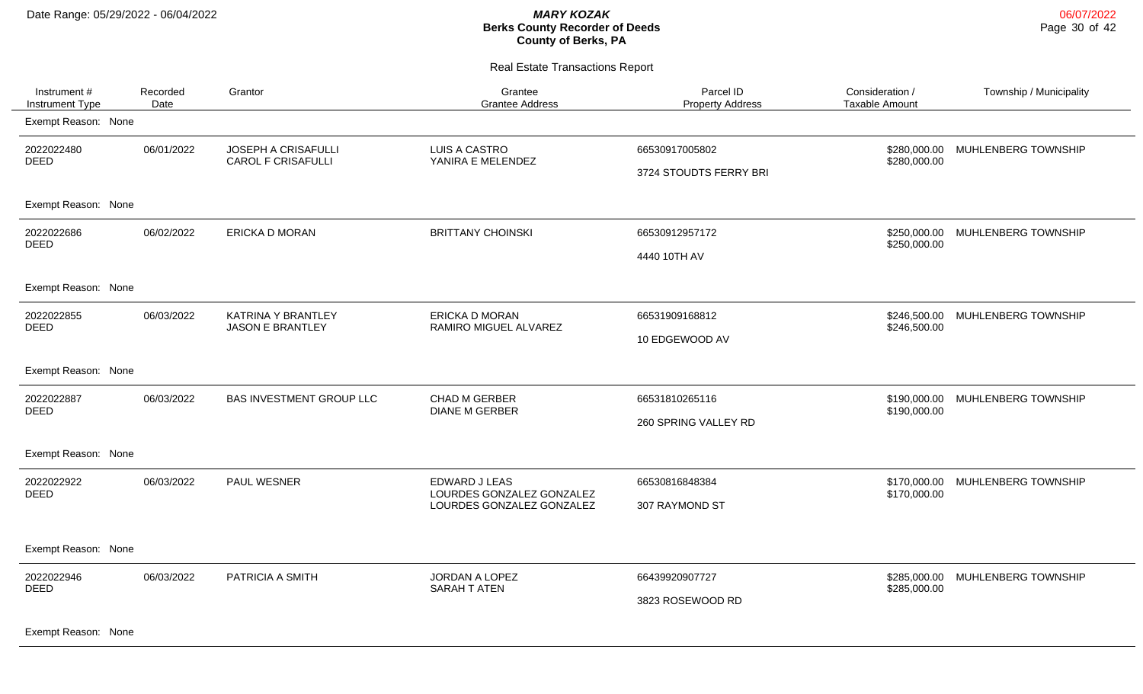| Instrument #<br>Instrument Type | Recorded<br>Date | Grantor                                          | Grantee<br><b>Grantee Address</b>                                       | Parcel ID<br><b>Property Address</b>     | Consideration /<br><b>Taxable Amount</b> | Township / Municipality          |
|---------------------------------|------------------|--------------------------------------------------|-------------------------------------------------------------------------|------------------------------------------|------------------------------------------|----------------------------------|
| Exempt Reason: None             |                  |                                                  |                                                                         |                                          |                                          |                                  |
| 2022022480<br><b>DEED</b>       | 06/01/2022       | JOSEPH A CRISAFULLI<br><b>CAROL F CRISAFULLI</b> | <b>LUIS A CASTRO</b><br>YANIRA E MELENDEZ                               | 66530917005802<br>3724 STOUDTS FERRY BRI | \$280,000.00<br>\$280,000.00             | MUHLENBERG TOWNSHIP              |
| Exempt Reason: None             |                  |                                                  |                                                                         |                                          |                                          |                                  |
| 2022022686<br><b>DEED</b>       | 06/02/2022       | <b>ERICKA D MORAN</b>                            | <b>BRITTANY CHOINSKI</b>                                                | 66530912957172<br>4440 10TH AV           | \$250,000.00<br>\$250,000.00             | MUHLENBERG TOWNSHIP              |
| Exempt Reason: None             |                  |                                                  |                                                                         |                                          |                                          |                                  |
| 2022022855<br><b>DEED</b>       | 06/03/2022       | KATRINA Y BRANTLEY<br><b>JASON E BRANTLEY</b>    | <b>ERICKA D MORAN</b><br>RAMIRO MIGUEL ALVAREZ                          | 66531909168812<br>10 EDGEWOOD AV         | \$246,500.00<br>\$246,500.00             | MUHLENBERG TOWNSHIP              |
| Exempt Reason: None             |                  |                                                  |                                                                         |                                          |                                          |                                  |
| 2022022887<br><b>DEED</b>       | 06/03/2022       | BAS INVESTMENT GROUP LLC                         | CHAD M GERBER<br><b>DIANE M GERBER</b>                                  | 66531810265116<br>260 SPRING VALLEY RD   | \$190,000.00                             | \$190,000.00 MUHLENBERG TOWNSHIP |
| Exempt Reason: None             |                  |                                                  |                                                                         |                                          |                                          |                                  |
| 2022022922<br><b>DEED</b>       | 06/03/2022       | PAUL WESNER                                      | EDWARD J LEAS<br>LOURDES GONZALEZ GONZALEZ<br>LOURDES GONZALEZ GONZALEZ | 66530816848384<br>307 RAYMOND ST         | \$170,000.00<br>\$170,000.00             | MUHLENBERG TOWNSHIP              |
| Exempt Reason: None             |                  |                                                  |                                                                         |                                          |                                          |                                  |
| 2022022946<br>DEED              | 06/03/2022       | PATRICIA A SMITH                                 | <b>JORDAN A LOPEZ</b><br>SARAH T ATEN                                   | 66439920907727<br>3823 ROSEWOOD RD       | \$285,000.00<br>\$285,000.00             | MUHLENBERG TOWNSHIP              |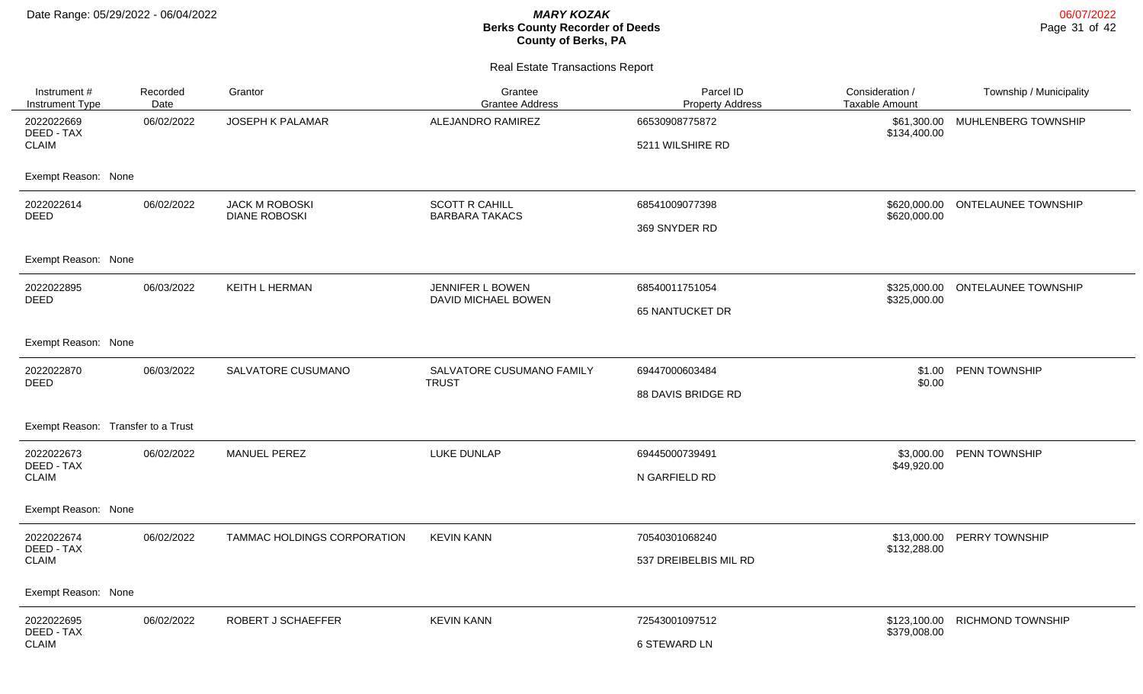| Instrument #<br><b>Instrument Type</b>   | Recorded<br>Date | Grantor                                       | Grantee<br><b>Grantee Address</b>              | Parcel ID<br><b>Property Address</b>     | Consideration /<br><b>Taxable Amount</b> | Township / Municipality          |
|------------------------------------------|------------------|-----------------------------------------------|------------------------------------------------|------------------------------------------|------------------------------------------|----------------------------------|
| 2022022669<br>DEED - TAX<br><b>CLAIM</b> | 06/02/2022       | JOSEPH K PALAMAR                              | ALEJANDRO RAMIREZ                              | 66530908775872<br>5211 WILSHIRE RD       | \$61,300.00<br>\$134,400.00              | MUHLENBERG TOWNSHIP              |
| Exempt Reason: None                      |                  |                                               |                                                |                                          |                                          |                                  |
| 2022022614<br><b>DEED</b>                | 06/02/2022       | <b>JACK M ROBOSKI</b><br><b>DIANE ROBOSKI</b> | <b>SCOTT R CAHILL</b><br><b>BARBARA TAKACS</b> | 68541009077398<br>369 SNYDER RD          | \$620,000.00                             | \$620,000.00 ONTELAUNEE TOWNSHIP |
| Exempt Reason: None                      |                  |                                               |                                                |                                          |                                          |                                  |
| 2022022895<br><b>DEED</b>                | 06/03/2022       | KEITH L HERMAN                                | JENNIFER L BOWEN<br>DAVID MICHAEL BOWEN        | 68540011751054<br><b>65 NANTUCKET DR</b> | \$325,000.00<br>\$325,000.00             | <b>ONTELAUNEE TOWNSHIP</b>       |
| Exempt Reason: None                      |                  |                                               |                                                |                                          |                                          |                                  |
| 2022022870<br><b>DEED</b>                | 06/03/2022       | SALVATORE CUSUMANO                            | SALVATORE CUSUMANO FAMILY<br><b>TRUST</b>      | 69447000603484<br>88 DAVIS BRIDGE RD     | \$1.00<br>\$0.00                         | PENN TOWNSHIP                    |
| Exempt Reason: Transfer to a Trust       |                  |                                               |                                                |                                          |                                          |                                  |
| 2022022673<br>DEED - TAX<br><b>CLAIM</b> | 06/02/2022       | MANUEL PEREZ                                  | LUKE DUNLAP                                    | 69445000739491<br>N GARFIELD RD          | \$3,000.00<br>\$49,920.00                | PENN TOWNSHIP                    |
| Exempt Reason: None                      |                  |                                               |                                                |                                          |                                          |                                  |
| 2022022674<br>DEED - TAX<br><b>CLAIM</b> | 06/02/2022       | TAMMAC HOLDINGS CORPORATION                   | <b>KEVIN KANN</b>                              | 70540301068240<br>537 DREIBELBIS MIL RD  | \$13,000.00<br>\$132,288.00              | PERRY TOWNSHIP                   |
| Exempt Reason: None                      |                  |                                               |                                                |                                          |                                          |                                  |
| 2022022695<br>DEED - TAX<br><b>CLAIM</b> | 06/02/2022       | ROBERT J SCHAEFFER                            | <b>KEVIN KANN</b>                              | 72543001097512<br><b>6 STEWARD LN</b>    | \$123,100.00<br>\$379,008.00             | <b>RICHMOND TOWNSHIP</b>         |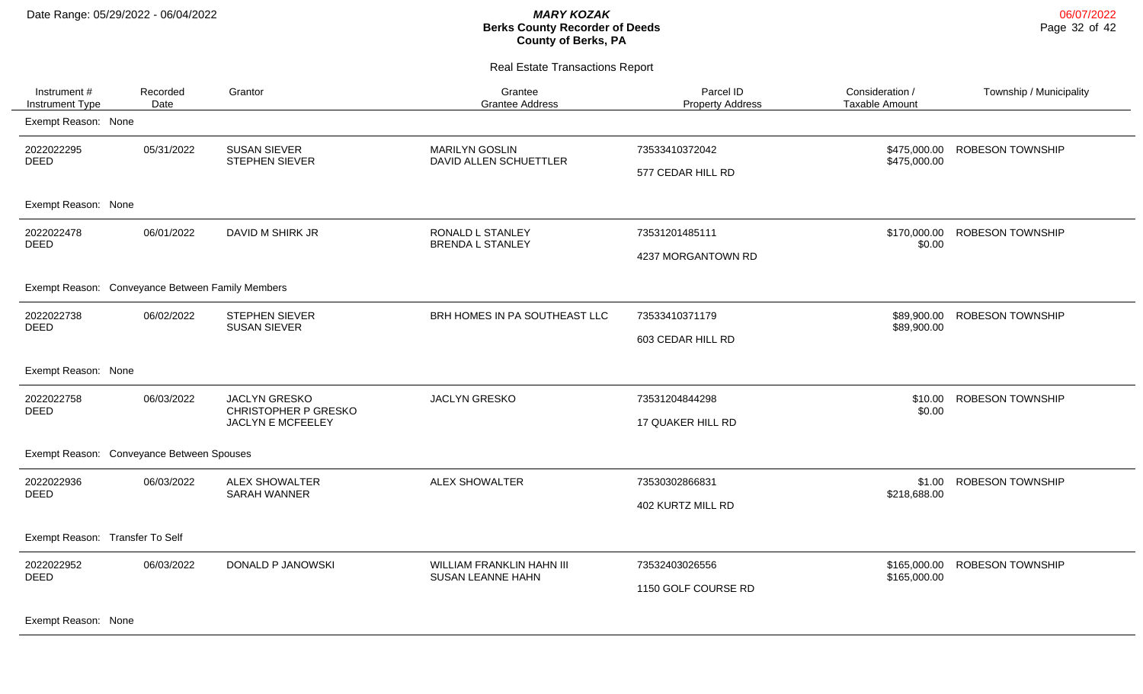Real Estate Transactions Report

| Instrument #<br>Instrument Type                  | Recorded<br>Date | Grantor                                                                  | Grantee<br><b>Grantee Address</b>                     | Parcel ID<br><b>Property Address</b>  | Consideration /<br><b>Taxable Amount</b> | Township / Municipality |
|--------------------------------------------------|------------------|--------------------------------------------------------------------------|-------------------------------------------------------|---------------------------------------|------------------------------------------|-------------------------|
| Exempt Reason: None                              |                  |                                                                          |                                                       |                                       |                                          |                         |
| 2022022295<br><b>DEED</b>                        | 05/31/2022       | <b>SUSAN SIEVER</b><br>STEPHEN SIEVER                                    | <b>MARILYN GOSLIN</b><br>DAVID ALLEN SCHUETTLER       | 73533410372042<br>577 CEDAR HILL RD   | \$475,000.00<br>\$475,000.00             | <b>ROBESON TOWNSHIP</b> |
| Exempt Reason: None                              |                  |                                                                          |                                                       |                                       |                                          |                         |
| 2022022478<br><b>DEED</b>                        | 06/01/2022       | DAVID M SHIRK JR                                                         | RONALD L STANLEY<br><b>BRENDA L STANLEY</b>           | 73531201485111<br>4237 MORGANTOWN RD  | \$170,000.00<br>\$0.00                   | <b>ROBESON TOWNSHIP</b> |
| Exempt Reason: Conveyance Between Family Members |                  |                                                                          |                                                       |                                       |                                          |                         |
| 2022022738<br><b>DEED</b>                        | 06/02/2022       | STEPHEN SIEVER<br><b>SUSAN SIEVER</b>                                    | BRH HOMES IN PA SOUTHEAST LLC                         | 73533410371179<br>603 CEDAR HILL RD   | \$89,900.00<br>\$89,900.00               | <b>ROBESON TOWNSHIP</b> |
| Exempt Reason: None                              |                  |                                                                          |                                                       |                                       |                                          |                         |
| 2022022758<br><b>DEED</b>                        | 06/03/2022       | <b>JACLYN GRESKO</b><br><b>CHRISTOPHER P GRESKO</b><br>JACLYN E MCFEELEY | <b>JACLYN GRESKO</b>                                  | 73531204844298<br>17 QUAKER HILL RD   | \$10.00<br>\$0.00                        | <b>ROBESON TOWNSHIP</b> |
| Exempt Reason: Conveyance Between Spouses        |                  |                                                                          |                                                       |                                       |                                          |                         |
| 2022022936<br>DEED                               | 06/03/2022       | <b>ALEX SHOWALTER</b><br><b>SARAH WANNER</b>                             | <b>ALEX SHOWALTER</b>                                 | 73530302866831<br>402 KURTZ MILL RD   | \$1.00<br>\$218,688.00                   | <b>ROBESON TOWNSHIP</b> |
| Exempt Reason: Transfer To Self                  |                  |                                                                          |                                                       |                                       |                                          |                         |
| 2022022952<br><b>DEED</b>                        | 06/03/2022       | DONALD P JANOWSKI                                                        | <b>WILLIAM FRANKLIN HAHN III</b><br>SUSAN LEANNE HAHN | 73532403026556<br>1150 GOLF COURSE RD | \$165,000.00<br>\$165,000.00             | <b>ROBESON TOWNSHIP</b> |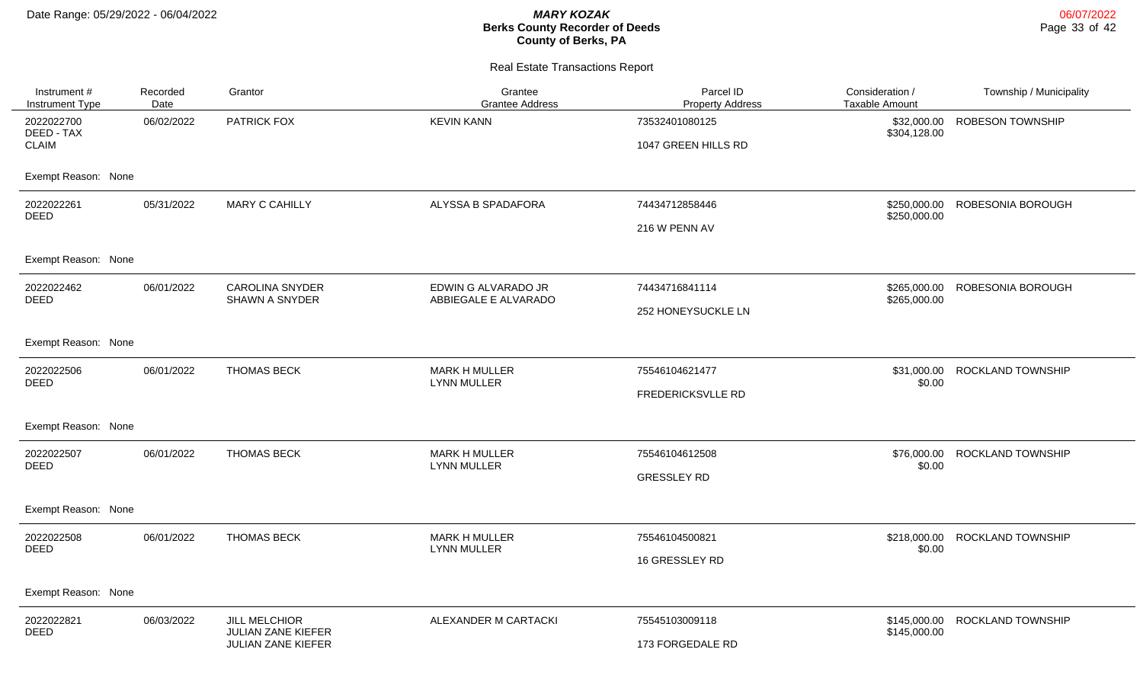| Instrument #<br><b>Instrument Type</b> | Recorded<br>Date | Grantor                                           | Grantee<br><b>Grantee Address</b>           | Parcel ID<br><b>Property Address</b> | Consideration /<br><b>Taxable Amount</b> | Township / Municipality |
|----------------------------------------|------------------|---------------------------------------------------|---------------------------------------------|--------------------------------------|------------------------------------------|-------------------------|
| 2022022700<br>DEED - TAX               | 06/02/2022       | PATRICK FOX                                       | <b>KEVIN KANN</b>                           | 73532401080125                       | \$32,000.00<br>\$304,128.00              | ROBESON TOWNSHIP        |
| <b>CLAIM</b>                           |                  |                                                   |                                             | 1047 GREEN HILLS RD                  |                                          |                         |
| Exempt Reason: None                    |                  |                                                   |                                             |                                      |                                          |                         |
| 2022022261<br><b>DEED</b>              | 05/31/2022       | <b>MARY C CAHILLY</b>                             | ALYSSA B SPADAFORA                          | 74434712858446                       | \$250,000.00<br>\$250,000.00             | ROBESONIA BOROUGH       |
|                                        |                  |                                                   |                                             | 216 W PENN AV                        |                                          |                         |
| Exempt Reason: None                    |                  |                                                   |                                             |                                      |                                          |                         |
| 2022022462<br><b>DEED</b>              | 06/01/2022       | <b>CAROLINA SNYDER</b><br>SHAWN A SNYDER          | EDWIN G ALVARADO JR<br>ABBIEGALE E ALVARADO | 74434716841114                       | \$265,000.00<br>\$265,000.00             | ROBESONIA BOROUGH       |
|                                        |                  |                                                   |                                             | 252 HONEYSUCKLE LN                   |                                          |                         |
| Exempt Reason: None                    |                  |                                                   |                                             |                                      |                                          |                         |
| 2022022506<br><b>DEED</b>              | 06/01/2022       | <b>THOMAS BECK</b>                                | <b>MARK H MULLER</b><br><b>LYNN MULLER</b>  | 75546104621477                       | \$31,000.00<br>\$0.00                    | ROCKLAND TOWNSHIP       |
|                                        |                  |                                                   |                                             | FREDERICKSVLLE RD                    |                                          |                         |
| Exempt Reason: None                    |                  |                                                   |                                             |                                      |                                          |                         |
| 2022022507<br><b>DEED</b>              | 06/01/2022       | <b>THOMAS BECK</b>                                | <b>MARK H MULLER</b><br><b>LYNN MULLER</b>  | 75546104612508                       | \$76,000.00<br>\$0.00                    | ROCKLAND TOWNSHIP       |
|                                        |                  |                                                   |                                             | <b>GRESSLEY RD</b>                   |                                          |                         |
| Exempt Reason: None                    |                  |                                                   |                                             |                                      |                                          |                         |
| 2022022508<br><b>DEED</b>              | 06/01/2022       | <b>THOMAS BECK</b>                                | <b>MARK H MULLER</b><br><b>LYNN MULLER</b>  | 75546104500821                       | \$218,000.00<br>\$0.00                   | ROCKLAND TOWNSHIP       |
|                                        |                  |                                                   |                                             | 16 GRESSLEY RD                       |                                          |                         |
| Exempt Reason: None                    |                  |                                                   |                                             |                                      |                                          |                         |
| 2022022821<br><b>DEED</b>              | 06/03/2022       | <b>JILL MELCHIOR</b><br><b>JULIAN ZANE KIEFER</b> | ALEXANDER M CARTACKI                        | 75545103009118                       | \$145,000.00<br>\$145,000.00             | ROCKLAND TOWNSHIP       |
|                                        |                  | JULIAN ZANE KIEFER                                |                                             | 173 FORGEDALE RD                     |                                          |                         |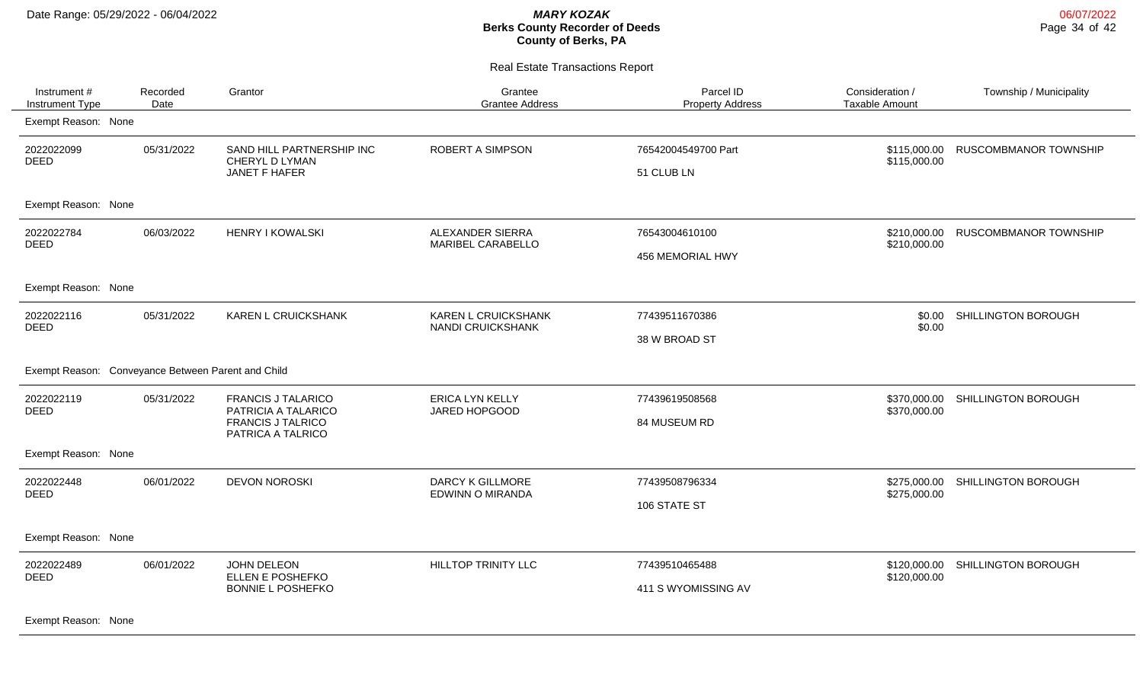| Instrument #<br><b>Instrument Type</b>             | Recorded<br>Date | Grantor                                                                                           | Grantee<br><b>Grantee Address</b>               | Parcel ID<br><b>Property Address</b>  | Consideration /<br><b>Taxable Amount</b> | Township / Municipality      |
|----------------------------------------------------|------------------|---------------------------------------------------------------------------------------------------|-------------------------------------------------|---------------------------------------|------------------------------------------|------------------------------|
| Exempt Reason: None                                |                  |                                                                                                   |                                                 |                                       |                                          |                              |
| 2022022099<br><b>DEED</b>                          | 05/31/2022       | SAND HILL PARTNERSHIP INC<br>CHERYL D LYMAN<br>JANET F HAFER                                      | <b>ROBERT A SIMPSON</b>                         | 76542004549700 Part<br>51 CLUB LN     | \$115,000.00<br>\$115,000.00             | <b>RUSCOMBMANOR TOWNSHIP</b> |
| Exempt Reason: None                                |                  |                                                                                                   |                                                 |                                       |                                          |                              |
| 2022022784<br><b>DEED</b>                          | 06/03/2022       | <b>HENRY I KOWALSKI</b>                                                                           | ALEXANDER SIERRA<br>MARIBEL CARABELLO           | 76543004610100<br>456 MEMORIAL HWY    | \$210,000.00<br>\$210,000.00             | RUSCOMBMANOR TOWNSHIP        |
| Exempt Reason: None                                |                  |                                                                                                   |                                                 |                                       |                                          |                              |
| 2022022116<br><b>DEED</b>                          | 05/31/2022       | <b>KAREN L CRUICKSHANK</b>                                                                        | <b>KAREN L CRUICKSHANK</b><br>NANDI CRUICKSHANK | 77439511670386<br>38 W BROAD ST       | \$0.00<br>\$0.00                         | SHILLINGTON BOROUGH          |
| Exempt Reason: Conveyance Between Parent and Child |                  |                                                                                                   |                                                 |                                       |                                          |                              |
| 2022022119<br><b>DEED</b>                          | 05/31/2022       | <b>FRANCIS J TALARICO</b><br>PATRICIA A TALARICO<br><b>FRANCIS J TALRICO</b><br>PATRICA A TALRICO | <b>ERICA LYN KELLY</b><br>JARED HOPGOOD         | 77439619508568<br>84 MUSEUM RD        | \$370,000.00<br>\$370,000.00             | SHILLINGTON BOROUGH          |
| Exempt Reason: None                                |                  |                                                                                                   |                                                 |                                       |                                          |                              |
| 2022022448<br><b>DEED</b>                          | 06/01/2022       | <b>DEVON NOROSKI</b>                                                                              | <b>DARCY K GILLMORE</b><br>EDWINN O MIRANDA     | 77439508796334<br>106 STATE ST        | \$275,000.00<br>\$275,000.00             | SHILLINGTON BOROUGH          |
| Exempt Reason: None                                |                  |                                                                                                   |                                                 |                                       |                                          |                              |
| 2022022489<br><b>DEED</b>                          | 06/01/2022       | JOHN DELEON<br>ELLEN E POSHEFKO<br><b>BONNIE L POSHEFKO</b>                                       | HILLTOP TRINITY LLC                             | 77439510465488<br>411 S WYOMISSING AV | \$120,000.00<br>\$120,000.00             | SHILLINGTON BOROUGH          |
| Exempt Reason: None                                |                  |                                                                                                   |                                                 |                                       |                                          |                              |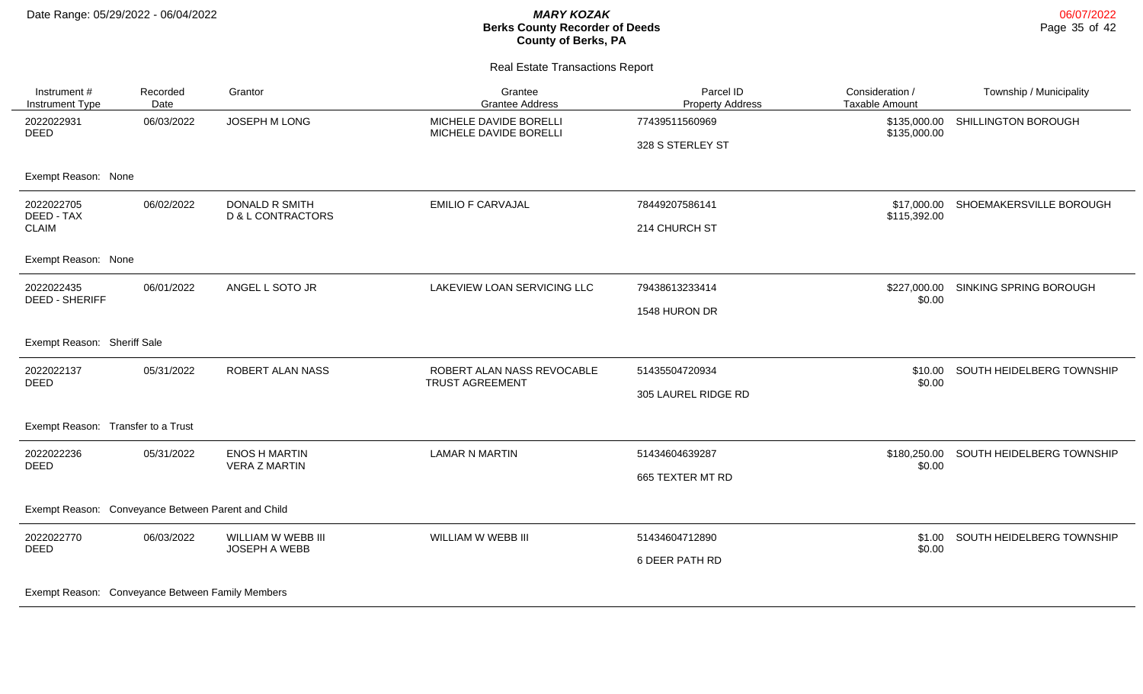| Instrument #<br>Instrument Type                    | Recorded<br>Date | Grantor                                      | Grantee<br><b>Grantee Address</b>                    | Parcel ID<br><b>Property Address</b> | Consideration /<br>Taxable Amount | Township / Municipality   |
|----------------------------------------------------|------------------|----------------------------------------------|------------------------------------------------------|--------------------------------------|-----------------------------------|---------------------------|
| 2022022931<br><b>DEED</b>                          | 06/03/2022       | JOSEPH M LONG                                | MICHELE DAVIDE BORELLI<br>MICHELE DAVIDE BORELLI     | 77439511560969<br>328 S STERLEY ST   | \$135,000.00<br>\$135,000.00      | SHILLINGTON BOROUGH       |
| Exempt Reason: None                                |                  |                                              |                                                      |                                      |                                   |                           |
| 2022022705<br>DEED - TAX                           | 06/02/2022       | <b>DONALD R SMITH</b><br>D & L CONTRACTORS   | <b>EMILIO F CARVAJAL</b>                             | 78449207586141                       | \$17,000.00<br>\$115,392.00       | SHOEMAKERSVILLE BOROUGH   |
| <b>CLAIM</b>                                       |                  |                                              |                                                      | 214 CHURCH ST                        |                                   |                           |
| Exempt Reason: None                                |                  |                                              |                                                      |                                      |                                   |                           |
| 2022022435<br><b>DEED - SHERIFF</b>                | 06/01/2022       | ANGEL L SOTO JR                              | LAKEVIEW LOAN SERVICING LLC                          | 79438613233414                       | \$227,000.00<br>\$0.00            | SINKING SPRING BOROUGH    |
|                                                    |                  |                                              |                                                      | 1548 HURON DR                        |                                   |                           |
| Exempt Reason: Sheriff Sale                        |                  |                                              |                                                      |                                      |                                   |                           |
| 2022022137<br><b>DEED</b>                          | 05/31/2022       | ROBERT ALAN NASS                             | ROBERT ALAN NASS REVOCABLE<br><b>TRUST AGREEMENT</b> | 51435504720934                       | \$10.00<br>\$0.00                 | SOUTH HEIDELBERG TOWNSHIP |
|                                                    |                  |                                              |                                                      | 305 LAUREL RIDGE RD                  |                                   |                           |
| Exempt Reason: Transfer to a Trust                 |                  |                                              |                                                      |                                      |                                   |                           |
| 2022022236<br><b>DEED</b>                          | 05/31/2022       | <b>ENOS H MARTIN</b><br><b>VERA Z MARTIN</b> | <b>LAMAR N MARTIN</b>                                | 51434604639287                       | \$180,250.00<br>\$0.00            | SOUTH HEIDELBERG TOWNSHIP |
|                                                    |                  |                                              |                                                      | 665 TEXTER MT RD                     |                                   |                           |
| Exempt Reason: Conveyance Between Parent and Child |                  |                                              |                                                      |                                      |                                   |                           |
| 2022022770<br><b>DEED</b>                          | 06/03/2022       | WILLIAM W WEBB III<br>JOSEPH A WEBB          | WILLIAM W WEBB III                                   | 51434604712890                       | \$1.00<br>\$0.00                  | SOUTH HEIDELBERG TOWNSHIP |
|                                                    |                  |                                              |                                                      | 6 DEER PATH RD                       |                                   |                           |
| Exempt Reason: Conveyance Between Family Members   |                  |                                              |                                                      |                                      |                                   |                           |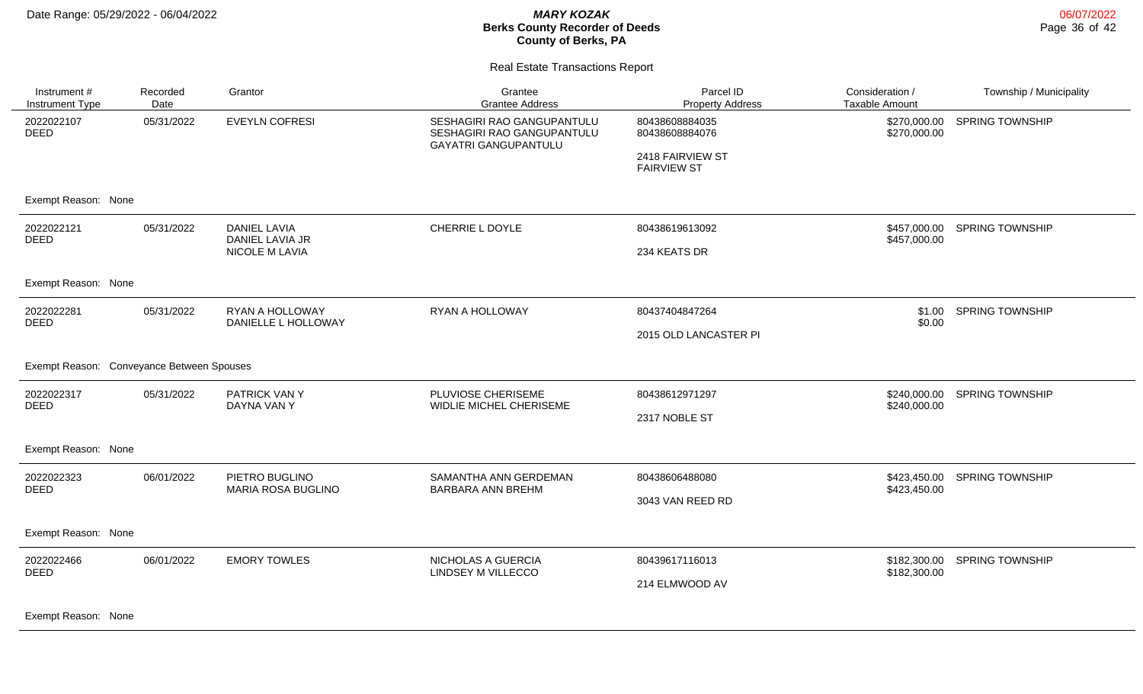06/07/2022 Page 36 of 42

#### Real Estate Transactions Report

| Instrument#<br>Instrument Type            | Recorded<br>Date | Grantor                                | Grantee<br><b>Grantee Address</b>                                                       | Parcel ID<br><b>Property Address</b>   | Consideration /<br><b>Taxable Amount</b> | Township / Municipality |
|-------------------------------------------|------------------|----------------------------------------|-----------------------------------------------------------------------------------------|----------------------------------------|------------------------------------------|-------------------------|
| 2022022107<br><b>DEED</b>                 | 05/31/2022       | <b>EVEYLN COFRESI</b>                  | SESHAGIRI RAO GANGUPANTULU<br>SESHAGIRI RAO GANGUPANTULU<br><b>GAYATRI GANGUPANTULU</b> | 80438608884035<br>80438608884076       | \$270,000.00<br>\$270,000.00             | <b>SPRING TOWNSHIP</b>  |
|                                           |                  |                                        |                                                                                         | 2418 FAIRVIEW ST<br><b>FAIRVIEW ST</b> |                                          |                         |
| Exempt Reason: None                       |                  |                                        |                                                                                         |                                        |                                          |                         |
| 2022022121<br><b>DEED</b>                 | 05/31/2022       | <b>DANIEL LAVIA</b><br>DANIEL LAVIA JR | <b>CHERRIE L DOYLE</b>                                                                  | 80438619613092                         | \$457,000.00<br>\$457,000.00             | <b>SPRING TOWNSHIP</b>  |
|                                           |                  | <b>NICOLE M LAVIA</b>                  |                                                                                         | 234 KEATS DR                           |                                          |                         |
| Exempt Reason: None                       |                  |                                        |                                                                                         |                                        |                                          |                         |
| 2022022281<br><b>DEED</b>                 | 05/31/2022       | RYAN A HOLLOWAY<br>DANIELLE L HOLLOWAY | RYAN A HOLLOWAY                                                                         | 80437404847264                         | \$1.00<br>\$0.00                         | <b>SPRING TOWNSHIP</b>  |
|                                           |                  |                                        |                                                                                         | 2015 OLD LANCASTER PI                  |                                          |                         |
| Exempt Reason: Conveyance Between Spouses |                  |                                        |                                                                                         |                                        |                                          |                         |
| 2022022317<br><b>DEED</b>                 | 05/31/2022       | PATRICK VAN Y<br>DAYNA VAN Y           | PLUVIOSE CHERISEME<br>WIDLIE MICHEL CHERISEME                                           | 80438612971297                         | \$240,000.00<br>\$240,000.00             | <b>SPRING TOWNSHIP</b>  |
|                                           |                  |                                        |                                                                                         | 2317 NOBLE ST                          |                                          |                         |
| Exempt Reason: None                       |                  |                                        |                                                                                         |                                        |                                          |                         |
| 2022022323<br><b>DEED</b>                 | 06/01/2022       | PIETRO BUGLINO<br>MARIA ROSA BUGLINO   | SAMANTHA ANN GERDEMAN<br>BARBARA ANN BREHM                                              | 80438606488080                         | \$423,450.00<br>\$423,450.00             | <b>SPRING TOWNSHIP</b>  |
|                                           |                  |                                        |                                                                                         | 3043 VAN REED RD                       |                                          |                         |
| Exempt Reason: None                       |                  |                                        |                                                                                         |                                        |                                          |                         |
| 2022022466<br>DEED                        | 06/01/2022       | <b>EMORY TOWLES</b>                    | NICHOLAS A GUERCIA<br>LINDSEY M VILLECCO                                                | 80439617116013                         | \$182,300.00<br>\$182,300.00             | <b>SPRING TOWNSHIP</b>  |
|                                           |                  |                                        |                                                                                         | 214 ELMWOOD AV                         |                                          |                         |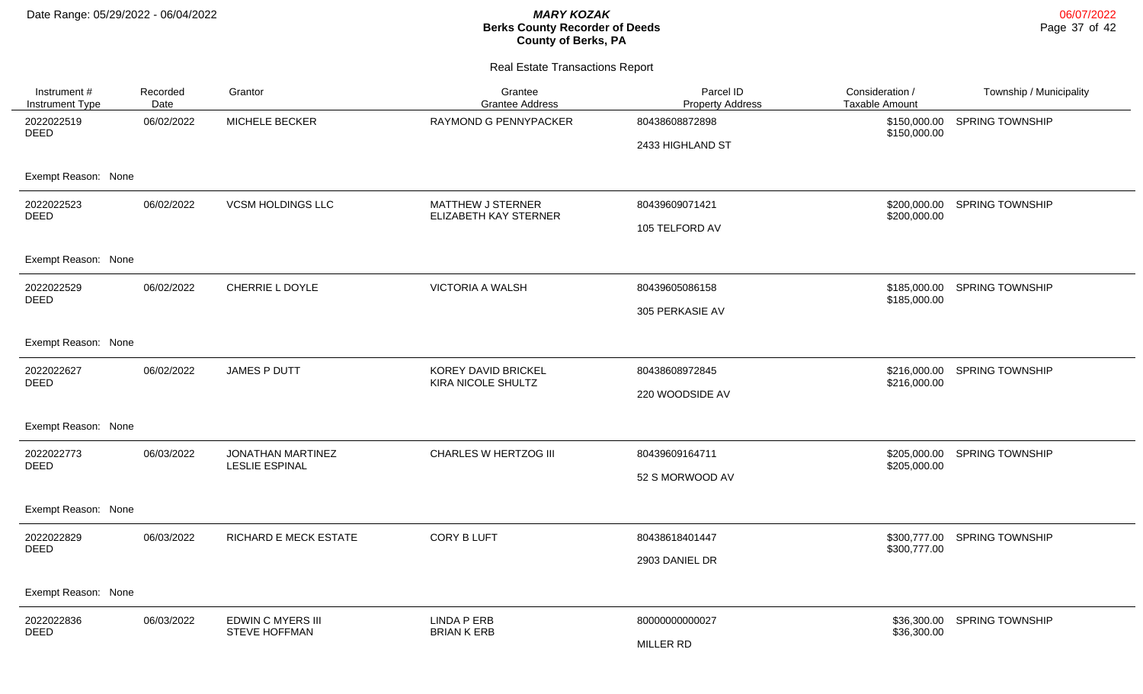| Instrument #<br><b>Instrument Type</b> | Recorded<br>Date | Grantor                                    | Grantee<br><b>Grantee Address</b>          | Parcel ID<br><b>Property Address</b> | Consideration /<br><b>Taxable Amount</b> | Township / Municipality |
|----------------------------------------|------------------|--------------------------------------------|--------------------------------------------|--------------------------------------|------------------------------------------|-------------------------|
| 2022022519<br><b>DEED</b>              | 06/02/2022       | MICHELE BECKER                             | RAYMOND G PENNYPACKER                      | 80438608872898                       | \$150,000.00<br>\$150,000.00             | <b>SPRING TOWNSHIP</b>  |
|                                        |                  |                                            |                                            | 2433 HIGHLAND ST                     |                                          |                         |
| Exempt Reason: None                    |                  |                                            |                                            |                                      |                                          |                         |
| 2022022523<br><b>DEED</b>              | 06/02/2022       | <b>VCSM HOLDINGS LLC</b>                   | MATTHEW J STERNER<br>ELIZABETH KAY STERNER | 80439609071421                       | \$200,000.00<br>\$200,000.00             | <b>SPRING TOWNSHIP</b>  |
|                                        |                  |                                            |                                            | 105 TELFORD AV                       |                                          |                         |
| Exempt Reason: None                    |                  |                                            |                                            |                                      |                                          |                         |
| 2022022529<br><b>DEED</b>              | 06/02/2022       | CHERRIE L DOYLE                            | <b>VICTORIA A WALSH</b>                    | 80439605086158                       | \$185,000.00<br>\$185,000.00             | <b>SPRING TOWNSHIP</b>  |
|                                        |                  |                                            |                                            | 305 PERKASIE AV                      |                                          |                         |
| Exempt Reason: None                    |                  |                                            |                                            |                                      |                                          |                         |
| 2022022627<br><b>DEED</b>              | 06/02/2022       | JAMES P DUTT                               | KOREY DAVID BRICKEL<br>KIRA NICOLE SHULTZ  | 80438608972845                       | \$216,000.00<br>\$216,000.00             | <b>SPRING TOWNSHIP</b>  |
|                                        |                  |                                            |                                            | 220 WOODSIDE AV                      |                                          |                         |
| Exempt Reason: None                    |                  |                                            |                                            |                                      |                                          |                         |
| 2022022773<br><b>DEED</b>              | 06/03/2022       | JONATHAN MARTINEZ<br><b>LESLIE ESPINAL</b> | CHARLES W HERTZOG III                      | 80439609164711                       | \$205,000.00<br>\$205,000.00             | <b>SPRING TOWNSHIP</b>  |
|                                        |                  |                                            |                                            | 52 S MORWOOD AV                      |                                          |                         |
| Exempt Reason: None                    |                  |                                            |                                            |                                      |                                          |                         |
| 2022022829<br><b>DEED</b>              | 06/03/2022       | RICHARD E MECK ESTATE                      | <b>CORY B LUFT</b>                         | 80438618401447                       | \$300,777.00<br>\$300,777.00             | <b>SPRING TOWNSHIP</b>  |
|                                        |                  |                                            |                                            | 2903 DANIEL DR                       |                                          |                         |
| Exempt Reason: None                    |                  |                                            |                                            |                                      |                                          |                         |
| 2022022836<br>DEED                     | 06/03/2022       | EDWIN C MYERS III<br><b>STEVE HOFFMAN</b>  | <b>LINDA P ERB</b><br><b>BRIAN K ERB</b>   | 80000000000027                       | \$36,300.00<br>\$36,300.00               | <b>SPRING TOWNSHIP</b>  |
|                                        |                  |                                            |                                            | MILLER RD                            |                                          |                         |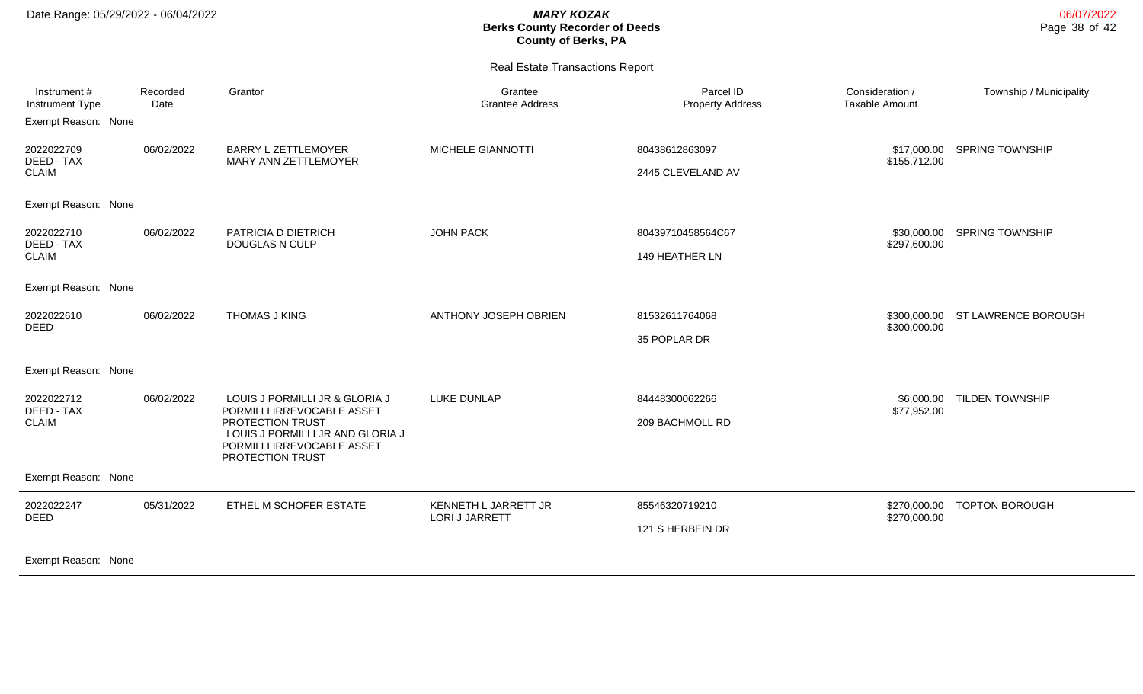| Instrument #<br><b>Instrument Type</b>           | Recorded<br>Date | Grantor                                                                                                                                                                | Grantee<br><b>Grantee Address</b>      | Parcel ID<br><b>Property Address</b> | Consideration /<br><b>Taxable Amount</b> | Township / Municipality |
|--------------------------------------------------|------------------|------------------------------------------------------------------------------------------------------------------------------------------------------------------------|----------------------------------------|--------------------------------------|------------------------------------------|-------------------------|
| Exempt Reason: None                              |                  |                                                                                                                                                                        |                                        |                                      |                                          |                         |
| 2022022709<br>DEED - TAX<br><b>CLAIM</b>         | 06/02/2022       | <b>BARRY L ZETTLEMOYER</b><br>MARY ANN ZETTLEMOYER                                                                                                                     | MICHELE GIANNOTTI                      | 80438612863097<br>2445 CLEVELAND AV  | \$17,000.00<br>\$155,712.00              | <b>SPRING TOWNSHIP</b>  |
| Exempt Reason: None                              |                  |                                                                                                                                                                        |                                        |                                      |                                          |                         |
| 2022022710<br>DEED - TAX<br><b>CLAIM</b>         | 06/02/2022       | PATRICIA D DIETRICH<br><b>DOUGLAS N CULP</b>                                                                                                                           | <b>JOHN PACK</b>                       | 80439710458564C67<br>149 HEATHER LN  | \$30,000.00<br>\$297,600.00              | <b>SPRING TOWNSHIP</b>  |
| Exempt Reason: None                              |                  |                                                                                                                                                                        |                                        |                                      |                                          |                         |
| 2022022610<br><b>DEED</b>                        | 06/02/2022       | <b>THOMAS J KING</b>                                                                                                                                                   | ANTHONY JOSEPH OBRIEN                  | 81532611764068<br>35 POPLAR DR       | \$300,000.00<br>\$300,000.00             | ST LAWRENCE BOROUGH     |
| Exempt Reason: None                              |                  |                                                                                                                                                                        |                                        |                                      |                                          |                         |
| 2022022712<br>DEED - TAX<br><b>CLAIM</b>         | 06/02/2022       | LOUIS J PORMILLI JR & GLORIA J<br>PORMILLI IRREVOCABLE ASSET<br>PROTECTION TRUST<br>LOUIS J PORMILLI JR AND GLORIA J<br>PORMILLI IRREVOCABLE ASSET<br>PROTECTION TRUST | LUKE DUNLAP                            | 84448300062266<br>209 BACHMOLL RD    | \$6,000.00<br>\$77,952.00                | <b>TILDEN TOWNSHIP</b>  |
| Exempt Reason: None                              |                  |                                                                                                                                                                        |                                        |                                      |                                          |                         |
| 2022022247<br><b>DEED</b><br>Exempt Reason: None | 05/31/2022       | ETHEL M SCHOFER ESTATE                                                                                                                                                 | KENNETH L JARRETT JR<br>LORI J JARRETT | 85546320719210<br>121 S HERBEIN DR   | \$270,000.00<br>\$270,000.00             | <b>TOPTON BOROUGH</b>   |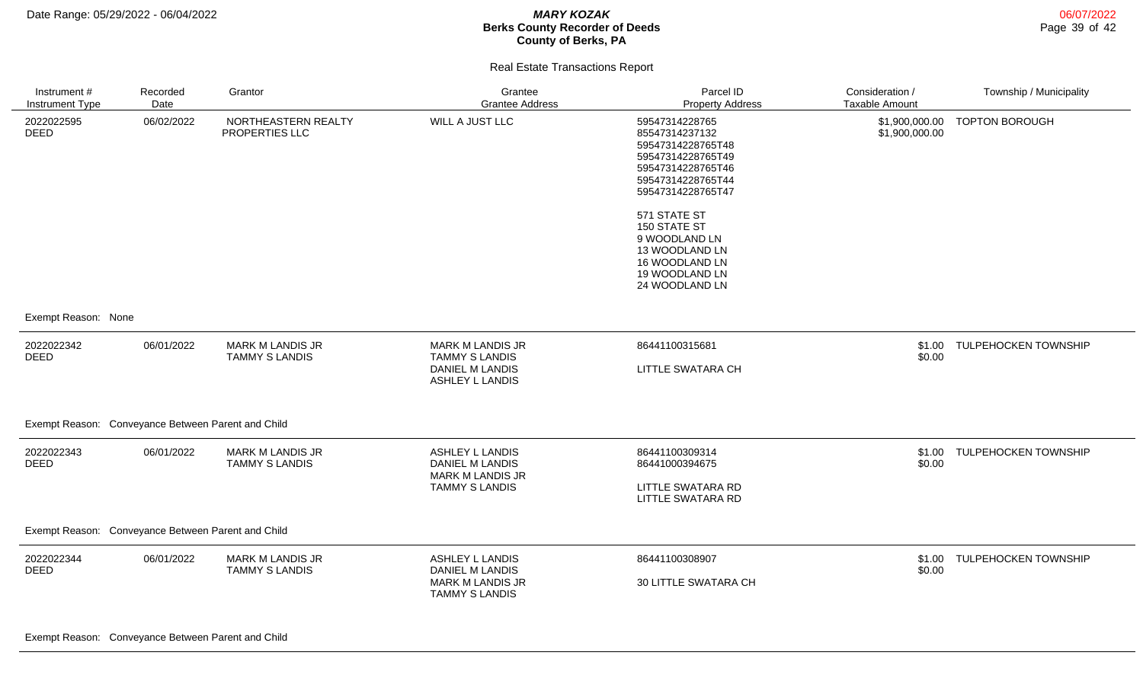| Instrument #<br>Instrument Type                    | Recorded<br>Date | Grantor                                          | Grantee<br><b>Grantee Address</b>                                                             | Parcel ID<br><b>Property Address</b>                                                                                                      | Consideration /<br><b>Taxable Amount</b> | Township / Municipality     |
|----------------------------------------------------|------------------|--------------------------------------------------|-----------------------------------------------------------------------------------------------|-------------------------------------------------------------------------------------------------------------------------------------------|------------------------------------------|-----------------------------|
| 2022022595<br><b>DEED</b>                          | 06/02/2022       | NORTHEASTERN REALTY<br>PROPERTIES LLC            | WILL A JUST LLC                                                                               | 59547314228765<br>85547314237132<br>59547314228765T48<br>59547314228765T49<br>59547314228765T46<br>59547314228765T44<br>59547314228765T47 | \$1,900,000.00<br>\$1,900,000.00         | <b>TOPTON BOROUGH</b>       |
|                                                    |                  |                                                  |                                                                                               | 571 STATE ST<br>150 STATE ST<br>9 WOODLAND LN<br>13 WOODLAND LN<br>16 WOODLAND LN<br>19 WOODLAND LN<br>24 WOODLAND LN                     |                                          |                             |
| Exempt Reason: None                                |                  |                                                  |                                                                                               |                                                                                                                                           |                                          |                             |
| 2022022342<br><b>DEED</b>                          | 06/01/2022       | <b>MARK M LANDIS JR</b><br><b>TAMMY S LANDIS</b> | MARK M LANDIS JR<br><b>TAMMY S LANDIS</b><br><b>DANIEL M LANDIS</b><br>ASHLEY L LANDIS        | 86441100315681<br>LITTLE SWATARA CH                                                                                                       | \$0.00                                   | \$1.00 TULPEHOCKEN TOWNSHIP |
| Exempt Reason: Conveyance Between Parent and Child |                  |                                                  |                                                                                               |                                                                                                                                           |                                          |                             |
| 2022022343<br><b>DEED</b>                          | 06/01/2022       | <b>MARK M LANDIS JR</b><br><b>TAMMY S LANDIS</b> | ASHLEY L LANDIS<br><b>DANIEL M LANDIS</b><br><b>MARK M LANDIS JR</b><br><b>TAMMY S LANDIS</b> | 86441100309314<br>86441000394675<br>LITTLE SWATARA RD<br>LITTLE SWATARA RD                                                                | \$0.00                                   | \$1.00 TULPEHOCKEN TOWNSHIP |
| Exempt Reason: Conveyance Between Parent and Child |                  |                                                  |                                                                                               |                                                                                                                                           |                                          |                             |
| 2022022344<br><b>DEED</b>                          | 06/01/2022       | <b>MARK M LANDIS JR</b><br><b>TAMMY S LANDIS</b> | ASHLEY L LANDIS<br>DANIEL M LANDIS<br><b>MARK M LANDIS JR</b><br><b>TAMMY S LANDIS</b>        | 86441100308907<br>30 LITTLE SWATARA CH                                                                                                    | \$0.00                                   | \$1.00 TULPEHOCKEN TOWNSHIP |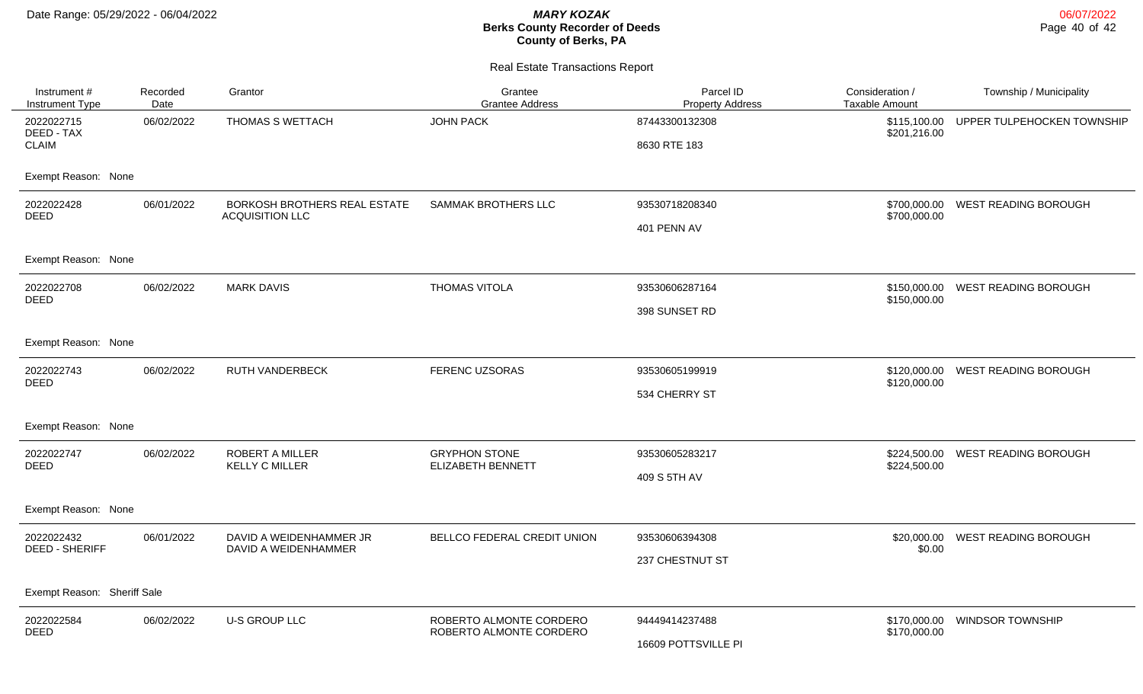| Instrument #<br>Instrument Type     | Recorded<br>Date | Grantor                                                | Grantee<br><b>Grantee Address</b> | Parcel ID<br><b>Property Address</b> | Consideration /<br><b>Taxable Amount</b> | Township / Municipality     |
|-------------------------------------|------------------|--------------------------------------------------------|-----------------------------------|--------------------------------------|------------------------------------------|-----------------------------|
| 2022022715<br>DEED - TAX            | 06/02/2022       | THOMAS S WETTACH                                       | <b>JOHN PACK</b>                  | 87443300132308                       | \$115,100.00<br>\$201,216.00             | UPPER TULPEHOCKEN TOWNSHIP  |
| <b>CLAIM</b>                        |                  |                                                        |                                   | 8630 RTE 183                         |                                          |                             |
| Exempt Reason: None                 |                  |                                                        |                                   |                                      |                                          |                             |
| 2022022428<br><b>DEED</b>           | 06/01/2022       | BORKOSH BROTHERS REAL ESTATE<br><b>ACQUISITION LLC</b> | <b>SAMMAK BROTHERS LLC</b>        | 93530718208340                       | \$700,000.00                             | WEST READING BOROUGH        |
|                                     |                  |                                                        |                                   | 401 PENN AV                          | \$700,000.00                             |                             |
| Exempt Reason: None                 |                  |                                                        |                                   |                                      |                                          |                             |
| 2022022708                          | 06/02/2022       | <b>MARK DAVIS</b>                                      | THOMAS VITOLA                     | 93530606287164                       | \$150,000.00                             | WEST READING BOROUGH        |
| <b>DEED</b>                         |                  |                                                        |                                   | 398 SUNSET RD                        | \$150,000.00                             |                             |
| Exempt Reason: None                 |                  |                                                        |                                   |                                      |                                          |                             |
| 2022022743<br><b>DEED</b>           | 06/02/2022       | <b>RUTH VANDERBECK</b>                                 | FERENC UZSORAS                    | 93530605199919                       | \$120,000.00<br>\$120,000.00             | <b>WEST READING BOROUGH</b> |
|                                     |                  |                                                        |                                   | 534 CHERRY ST                        |                                          |                             |
| Exempt Reason: None                 |                  |                                                        |                                   |                                      |                                          |                             |
| 2022022747<br><b>DEED</b>           | 06/02/2022       | <b>ROBERT A MILLER</b>                                 | <b>GRYPHON STONE</b>              | 93530605283217                       | \$224,500.00                             | WEST READING BOROUGH        |
|                                     |                  | <b>KELLY C MILLER</b>                                  | <b>ELIZABETH BENNETT</b>          | 409 S 5TH AV                         | \$224,500.00                             |                             |
| Exempt Reason: None                 |                  |                                                        |                                   |                                      |                                          |                             |
| 2022022432<br><b>DEED - SHERIFF</b> | 06/01/2022       | DAVID A WEIDENHAMMER JR<br>DAVID A WEIDENHAMMER        | BELLCO FEDERAL CREDIT UNION       | 93530606394308                       | \$20,000.00<br>\$0.00                    | <b>WEST READING BOROUGH</b> |
|                                     |                  |                                                        |                                   | 237 CHESTNUT ST                      |                                          |                             |
| Exempt Reason: Sheriff Sale         |                  |                                                        |                                   |                                      |                                          |                             |
| 2022022584                          | 06/02/2022       | <b>U-S GROUP LLC</b>                                   | ROBERTO ALMONTE CORDERO           | 94449414237488                       | \$170,000.00                             | <b>WINDSOR TOWNSHIP</b>     |
| <b>DEED</b>                         |                  |                                                        | ROBERTO ALMONTE CORDERO           | 16609 POTTSVILLE PI                  | \$170,000.00                             |                             |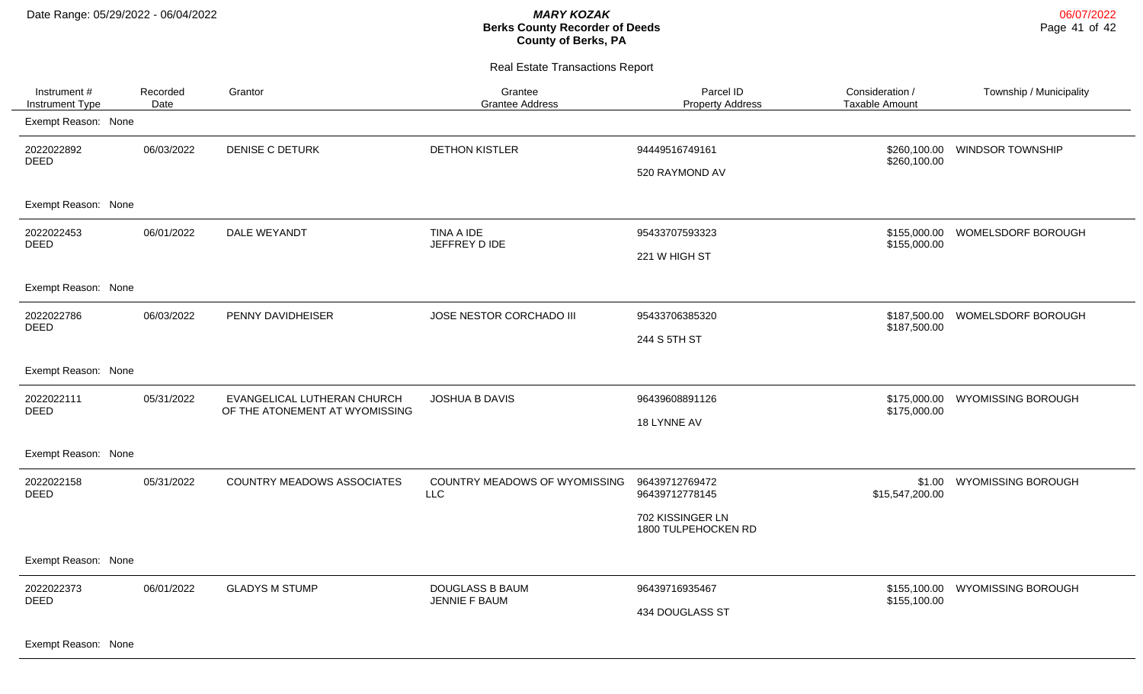Real Estate Transactions Report

| Instrument #<br>Instrument Type | Recorded<br>Date | Grantor                                                       | Grantee<br><b>Grantee Address</b>           | Parcel ID<br><b>Property Address</b>                                        | Consideration /<br><b>Taxable Amount</b> | Township / Municipality   |
|---------------------------------|------------------|---------------------------------------------------------------|---------------------------------------------|-----------------------------------------------------------------------------|------------------------------------------|---------------------------|
| Exempt Reason: None             |                  |                                                               |                                             |                                                                             |                                          |                           |
| 2022022892<br><b>DEED</b>       | 06/03/2022       | <b>DENISE C DETURK</b>                                        | <b>DETHON KISTLER</b>                       | 94449516749161<br>520 RAYMOND AV                                            | \$260,100.00<br>\$260,100.00             | <b>WINDSOR TOWNSHIP</b>   |
| Exempt Reason: None             |                  |                                                               |                                             |                                                                             |                                          |                           |
| 2022022453<br><b>DEED</b>       | 06/01/2022       | DALE WEYANDT                                                  | TINA A IDE<br>JEFFREY D IDE                 | 95433707593323<br>221 W HIGH ST                                             | \$155,000.00<br>\$155,000.00             | <b>WOMELSDORF BOROUGH</b> |
| Exempt Reason: None             |                  |                                                               |                                             |                                                                             |                                          |                           |
| 2022022786<br><b>DEED</b>       | 06/03/2022       | PENNY DAVIDHEISER                                             | JOSE NESTOR CORCHADO III                    | 95433706385320<br>244 S 5TH ST                                              | \$187,500.00<br>\$187,500.00             | WOMELSDORF BOROUGH        |
| Exempt Reason: None             |                  |                                                               |                                             |                                                                             |                                          |                           |
| 2022022111<br><b>DEED</b>       | 05/31/2022       | EVANGELICAL LUTHERAN CHURCH<br>OF THE ATONEMENT AT WYOMISSING | JOSHUA B DAVIS                              | 96439608891126<br>18 LYNNE AV                                               | \$175,000.00<br>\$175,000.00             | <b>WYOMISSING BOROUGH</b> |
| Exempt Reason: None             |                  |                                                               |                                             |                                                                             |                                          |                           |
| 2022022158<br><b>DEED</b>       | 05/31/2022       | <b>COUNTRY MEADOWS ASSOCIATES</b>                             | COUNTRY MEADOWS OF WYOMISSING<br><b>LLC</b> | 96439712769472<br>96439712778145<br>702 KISSINGER LN<br>1800 TULPEHOCKEN RD | \$1.00<br>\$15,547,200.00                | <b>WYOMISSING BOROUGH</b> |
| Exempt Reason: None             |                  |                                                               |                                             |                                                                             |                                          |                           |
| 2022022373<br><b>DEED</b>       | 06/01/2022       | <b>GLADYS M STUMP</b>                                         | <b>DOUGLASS B BAUM</b><br>JENNIE F BAUM     | 96439716935467<br>434 DOUGLASS ST                                           | \$155,100.00<br>\$155,100.00             | <b>WYOMISSING BOROUGH</b> |

Exempt Reason: None

06/07/2022 Page 41 of 42